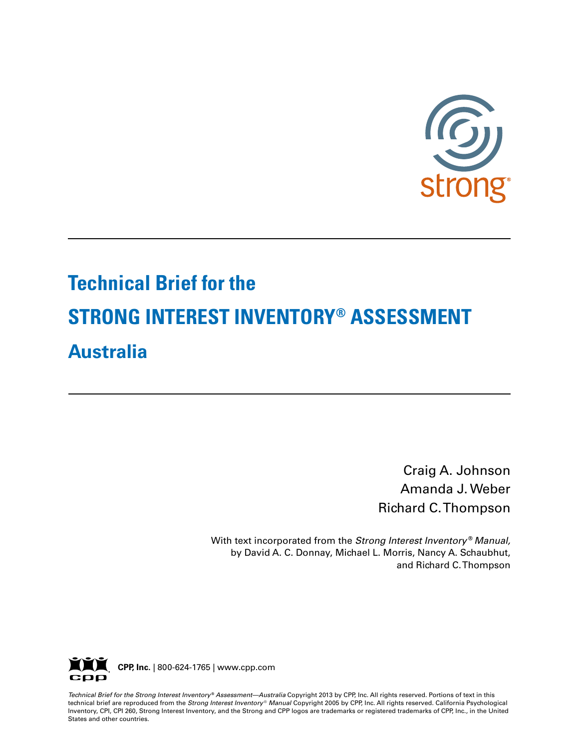

# **Technical Brief for the STRONG INTEREST INVENTORY® ASSESSMENT Australia**

Craig A. Johnson Amanda J. Weber Richard C. Thompson

With text incorporated from the *Strong Interest Inventory* ® *Manual,* by David A. C. Donnay, Michael L. Morris, Nancy A. Schaubhut, and Richard C. Thompson



Technical Brief for the Strong Interest Inventory® Assessment—Australia Copyright 2013 by CPP, Inc. All rights reserved. Portions of text in this technical brief are reproduced from the *Strong Interest Inventory* ® *Manual* Copyright 2005 by CPP, Inc. All rights reserved. California Psychological Inventory, CPI, CPI 260, Strong Interest Inventory, and the Strong and CPP logos are trademarks or registered trademarks of CPP, Inc., in the United States and other countries.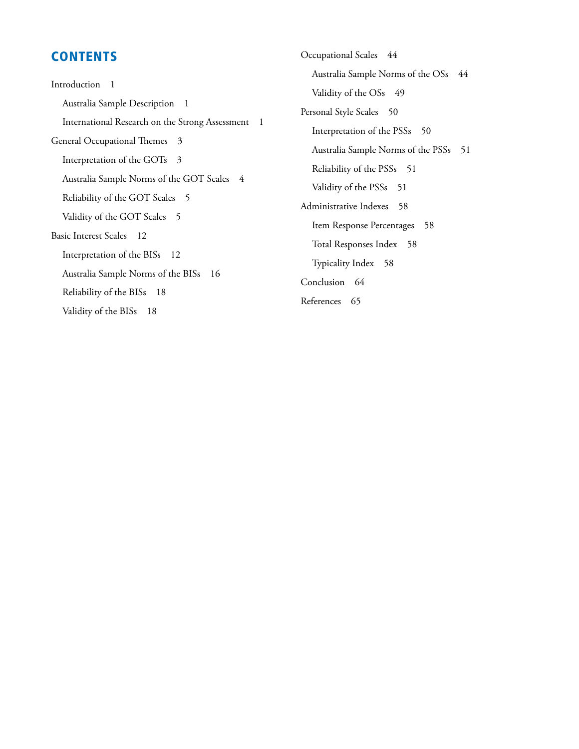### **CONTENTS**

Introduction 1 Australia Sample Description 1 International Research on the Strong Assessment 1 General Occupational Themes 3 Interpretation of the GOTs 3 Australia Sample Norms of the GOT Scales 4 Reliability of the GOT Scales 5 Validity of the GOT Scales 5 Basic Interest Scales 12 Interpretation of the BISs 12 Australia Sample Norms of the BISs 16 Reliability of the BISs 18 Validity of the BISs 18

Occupational Scales 44 Australia Sample Norms of the OSs 44 Validity of the OSs 49 Personal Style Scales 50 Interpretation of the PSSs 50 Australia Sample Norms of the PSSs 51 Reliability of the PSSs 51 Validity of the PSSs 51 Administrative Indexes 58 Item Response Percentages 58 Total Responses Index 58 Typicality Index 58 Conclusion 64 References 65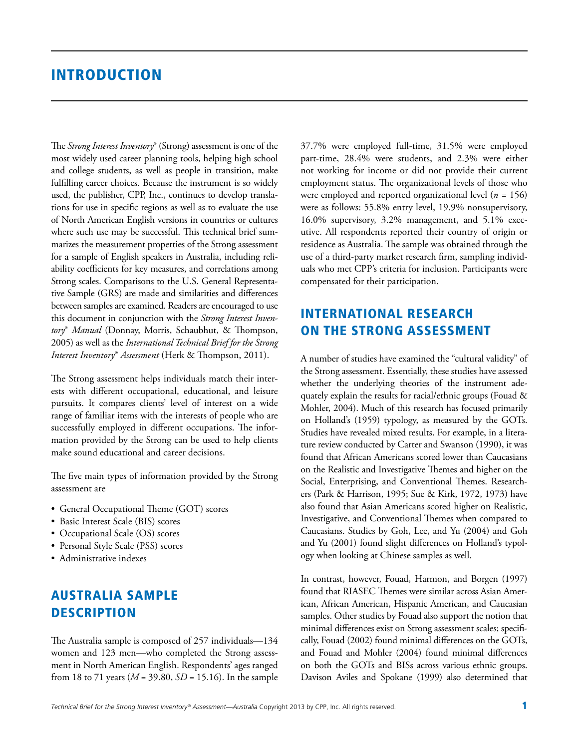### **INTRODUCTION**

The *Strong Interest Inventory*® (Strong) assessment is one of the most widely used career planning tools, helping high school and college students, as well as people in transition, make fulfilling career choices. Because the instrument is so widely used, the publisher, CPP, Inc., continues to develop translations for use in specific regions as well as to evaluate the use of North American English versions in countries or cultures where such use may be successful. This technical brief summarizes the measurement properties of the Strong assessment for a sample of English speakers in Australia, including reliability coefficients for key measures, and correlations among Strong scales. Comparisons to the U.S. General Representative Sample (GRS) are made and similarities and differences between samples are examined. Readers are encouraged to use this document in conjunction with the *Strong Interest Inventory*® *Manual* (Donnay, Morris, Schaubhut, & Thompson, 2005) as well as the *International Technical Brief for the Strong Interest Inventory*® *Assessment* (Herk & Thompson, 2011).

The Strong assessment helps individuals match their interests with different occupational, educational, and leisure pursuits. It compares clients' level of interest on a wide range of familiar items with the interests of people who are successfully employed in different occupations. The information provided by the Strong can be used to help clients make sound educational and career decisions.

The five main types of information provided by the Strong assessment are

- General Occupational Theme (GOT) scores
- Basic Interest Scale (BIS) scores
- Occupational Scale (OS) scores
- Personal Style Scale (PSS) scores
- Administrative indexes

### Australia Sample **DESCRIPTION**

The Australia sample is composed of 257 individuals—134 women and 123 men—who completed the Strong assessment in North American English. Respondents' ages ranged from 18 to 71 years (*M* = 39.80, *SD* = 15.16). In the sample 37.7% were employed full-time, 31.5% were employed part-time, 28.4% were students, and 2.3% were either not working for income or did not provide their current employment status. The organizational levels of those who were employed and reported organizational level (*n =* 156) were as follows: 55.8% entry level, 19.9% nonsupervisory, 16.0% supervisory, 3.2% management, and 5.1% executive. All respondents reported their country of origin or residence as Australia. The sample was obtained through the use of a third-party market research firm, sampling individuals who met CPP's criteria for inclusion. Participants were compensated for their participation.

### International Research on the Strong Assessment

A number of studies have examined the "cultural validity" of the Strong assessment. Essentially, these studies have assessed whether the underlying theories of the instrument adequately explain the results for racial/ethnic groups (Fouad & Mohler, 2004). Much of this research has focused primarily on Holland's (1959) typology, as measured by the GOTs. Studies have revealed mixed results. For example, in a literature review conducted by Carter and Swanson (1990), it was found that African Americans scored lower than Caucasians on the Realistic and Investigative Themes and higher on the Social, Enterprising, and Conventional Themes. Researchers (Park & Harrison, 1995; Sue & Kirk, 1972, 1973) have also found that Asian Americans scored higher on Realistic, Investigative, and Conventional Themes when compared to Caucasians. Studies by Goh, Lee, and Yu (2004) and Goh and Yu (2001) found slight differences on Holland's typology when looking at Chinese samples as well.

In contrast, however, Fouad, Harmon, and Borgen (1997) found that RIASEC Themes were similar across Asian American, African American, Hispanic American, and Caucasian samples. Other studies by Fouad also support the notion that minimal differences exist on Strong assessment scales; specifically, Fouad (2002) found minimal differences on the GOTs, and Fouad and Mohler (2004) found minimal differences on both the GOTs and BISs across various ethnic groups. Davison Aviles and Spokane (1999) also determined that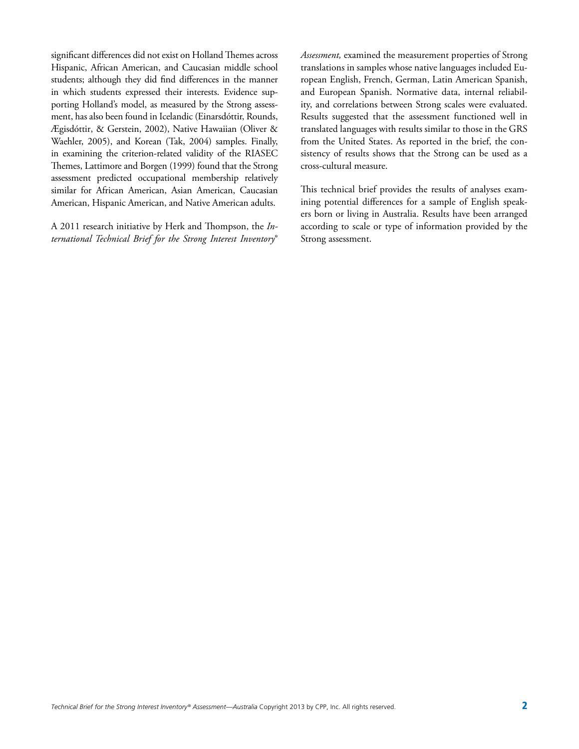significant differences did not exist on Holland Themes across Hispanic, African American, and Caucasian middle school students; although they did find differences in the manner in which students expressed their interests. Evidence supporting Holland's model, as measured by the Strong assessment, has also been found in Icelandic (Einarsdóttir, Rounds, Ægisdóttir, & Gerstein, 2002), Native Hawaiian (Oliver & Waehler, 2005), and Korean (Tak, 2004) samples. Finally, in examining the criterion-related validity of the RIASEC Themes, Lattimore and Borgen (1999) found that the Strong assessment predicted occupational membership relatively similar for African American, Asian American, Caucasian American, Hispanic American, and Native American adults.

A 2011 research initiative by Herk and Thompson, the *International Technical Brief for the Strong Interest Inventory*® *Assessment,* examined the measurement properties of Strong translations in samples whose native languages included European English, French, German, Latin American Spanish, and European Spanish. Normative data, internal reliability, and correlations between Strong scales were evaluated. Results suggested that the assessment functioned well in translated languages with results similar to those in the GRS from the United States. As reported in the brief, the consistency of results shows that the Strong can be used as a cross-cultural measure.

This technical brief provides the results of analyses examining potential differences for a sample of English speakers born or living in Australia. Results have been arranged according to scale or type of information provided by the Strong assessment.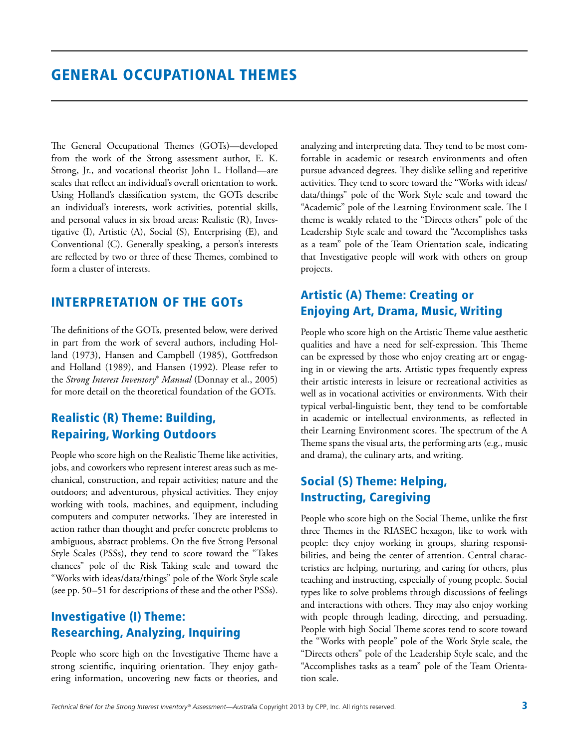The General Occupational Themes (GOTs)—developed from the work of the Strong assessment author, E. K. Strong, Jr., and vocational theorist John L. Holland—are scales that reflect an individual's overall orientation to work. Using Holland's classification system, the GOTs describe an individual's interests, work activities, potential skills, and personal values in six broad areas: Realistic (R), Investigative (I), Artistic (A), Social (S), Enterprising (E), and Conventional (C). Generally speaking, a person's interests are reflected by two or three of these Themes, combined to form a cluster of interests.

### Interpretation of the GOTs

The definitions of the GOTs, presented below, were derived in part from the work of several authors, including Holland (1973), Hansen and Campbell (1985), Gottfredson and Holland (1989), and Hansen (1992). Please refer to the *Strong Interest Inventory*® *Manual* (Donnay et al., 2005) for more detail on the theoretical foundation of the GOTs.

### Realistic (R) Theme: Building, Repairing, Working Outdoors

People who score high on the Realistic Theme like activities, jobs, and coworkers who represent interest areas such as mechanical, construction, and repair activities; nature and the outdoors; and adventurous, physical activities. They enjoy working with tools, machines, and equipment, including computers and computer networks. They are interested in action rather than thought and prefer concrete problems to ambiguous, abstract problems. On the five Strong Personal Style Scales (PSSs), they tend to score toward the "Takes chances" pole of the Risk Taking scale and toward the "Works with ideas/data/things" pole of the Work Style scale (see pp. 50–51 for descriptions of these and the other PSSs).

### Investigative (I) Theme: Researching, Analyzing, Inquiring

People who score high on the Investigative Theme have a strong scientific, inquiring orientation. They enjoy gathering information, uncovering new facts or theories, and analyzing and interpreting data. They tend to be most comfortable in academic or research environments and often pursue advanced degrees. They dislike selling and repetitive activities. They tend to score toward the "Works with ideas/ data/things" pole of the Work Style scale and toward the "Academic" pole of the Learning Environment scale. The I theme is weakly related to the "Directs others" pole of the Leadership Style scale and toward the "Accomplishes tasks as a team" pole of the Team Orientation scale, indicating that Investigative people will work with others on group projects.

### Artistic (A) Theme: Creating or Enjoying Art, Drama, Music, Writing

People who score high on the Artistic Theme value aesthetic qualities and have a need for self-expression. This Theme can be expressed by those who enjoy creating art or engaging in or viewing the arts. Artistic types frequently express their artistic interests in leisure or recreational activities as well as in vocational activities or environments. With their typical verbal-linguistic bent, they tend to be comfortable in academic or intellectual environments, as reflected in their Learning Environment scores. The spectrum of the A Theme spans the visual arts, the performing arts (e.g., music and drama), the culinary arts, and writing.

### Social (S) Theme: Helping, Instructing, Caregiving

People who score high on the Social Theme, unlike the first three Themes in the RIASEC hexagon, like to work with people: they enjoy working in groups, sharing responsibilities, and being the center of attention. Central characteristics are helping, nurturing, and caring for others, plus teaching and instructing, especially of young people. Social types like to solve problems through discussions of feelings and interactions with others. They may also enjoy working with people through leading, directing, and persuading. People with high Social Theme scores tend to score toward the "Works with people" pole of the Work Style scale, the "Directs others" pole of the Leadership Style scale, and the "Accomplishes tasks as a team" pole of the Team Orientation scale.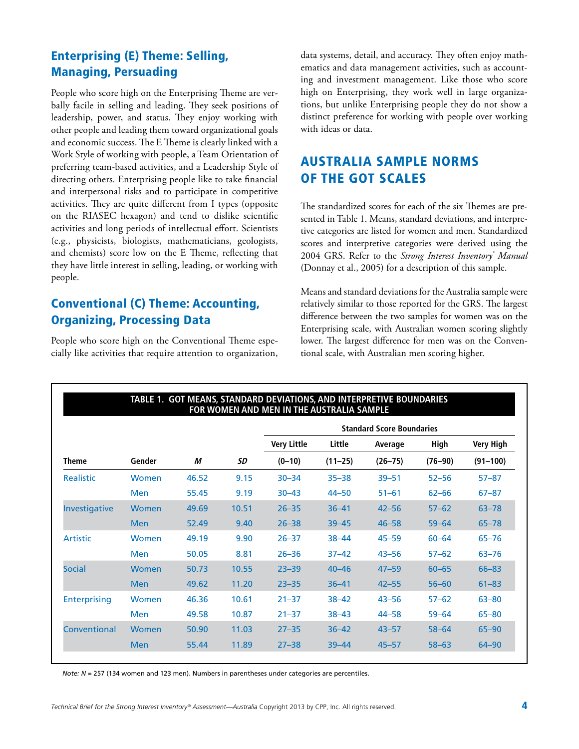### Enterprising (E) Theme: Selling, Managing, Persuading

People who score high on the Enterprising Theme are verbally facile in selling and leading. They seek positions of leadership, power, and status. They enjoy working with other people and leading them toward organizational goals and economic success. The E Theme is clearly linked with a Work Style of working with people, a Team Orientation of preferring team-based activities, and a Leadership Style of directing others. Enterprising people like to take financial and interpersonal risks and to participate in competitive activities. They are quite different from I types (opposite on the RIASEC hexagon) and tend to dislike scientific activities and long periods of intellectual effort. Scientists (e.g., physicists, biologists, mathematicians, geologists, and chemists) score low on the E Theme, reflecting that they have little interest in selling, leading, or working with people.

### Conventional (C) Theme: Accounting, Organizing, Processing Data

People who score high on the Conventional Theme especially like activities that require attention to organization, data systems, detail, and accuracy. They often enjoy mathematics and data management activities, such as accounting and investment management. Like those who score high on Enterprising, they work well in large organizations, but unlike Enterprising people they do not show a distinct preference for working with people over working with ideas or data.

### Australia Sample Norms of the GOT Scales

The standardized scores for each of the six Themes are presented in Table 1. Means, standard deviations, and interpretive categories are listed for women and men. Standardized scores and interpretive categories were derived using the 2004 GRS. Refer to the *Strong Interest Inventory® Manual* (Donnay et al., 2005) for a description of this sample.

Means and standard deviations for the Australia sample were relatively similar to those reported for the GRS. The largest difference between the two samples for women was on the Enterprising scale, with Australian women scoring slightly lower. The largest difference for men was on the Conventional scale, with Australian men scoring higher.

| TABLE 1. GOT MEANS, STANDARD DEVIATIONS, AND INTERPRETIVE BOUNDARIES<br>FOR WOMEN AND MEN IN THE AUSTRALIA SAMPLE |            |       |       |                                  |             |             |             |                  |
|-------------------------------------------------------------------------------------------------------------------|------------|-------|-------|----------------------------------|-------------|-------------|-------------|------------------|
|                                                                                                                   |            |       |       | <b>Standard Score Boundaries</b> |             |             |             |                  |
|                                                                                                                   |            |       |       | <b>Very Little</b>               | Little      | Average     | High        | <b>Very High</b> |
| <b>Theme</b>                                                                                                      | Gender     | М     | SD    | $(0-10)$                         | $(11 - 25)$ | $(26 - 75)$ | $(76 - 90)$ | $(91 - 100)$     |
| Realistic                                                                                                         | Women      | 46.52 | 9.15  | $30 - 34$                        | $35 - 38$   | $39 - 51$   | $52 - 56$   | $57 - 87$        |
|                                                                                                                   | <b>Men</b> | 55.45 | 9.19  | $30 - 43$                        | $44 - 50$   | $51 - 61$   | $62 - 66$   | $67 - 87$        |
| Investigative                                                                                                     | Women      | 49.69 | 10.51 | $26 - 35$                        | $36 - 41$   | $42 - 56$   | $57 - 62$   | $63 - 78$        |
|                                                                                                                   | <b>Men</b> | 52.49 | 9.40  | $26 - 38$                        | $39 - 45$   | $46 - 58$   | $59 - 64$   | $65 - 78$        |
| <b>Artistic</b>                                                                                                   | Women      | 49.19 | 9.90  | $26 - 37$                        | $38 - 44$   | $45 - 59$   | $60 - 64$   | $65 - 76$        |
|                                                                                                                   | <b>Men</b> | 50.05 | 8.81  | $26 - 36$                        | $37 - 42$   | $43 - 56$   | $57 - 62$   | $63 - 76$        |
| <b>Social</b>                                                                                                     | Women      | 50.73 | 10.55 | $23 - 39$                        | $40 - 46$   | $47 - 59$   | $60 - 65$   | $66 - 83$        |
|                                                                                                                   | <b>Men</b> | 49.62 | 11.20 | $23 - 35$                        | $36 - 41$   | $42 - 55$   | $56 - 60$   | $61 - 83$        |
| <b>Enterprising</b>                                                                                               | Women      | 46.36 | 10.61 | $21 - 37$                        | $38 - 42$   | $43 - 56$   | $57 - 62$   | $63 - 80$        |
|                                                                                                                   | <b>Men</b> | 49.58 | 10.87 | $21 - 37$                        | $38 - 43$   | $44 - 58$   | $59 - 64$   | $65 - 80$        |
| Conventional                                                                                                      | Women      | 50.90 | 11.03 | $27 - 35$                        | $36 - 42$   | $43 - 57$   | $58 - 64$   | $65 - 90$        |
|                                                                                                                   | <b>Men</b> | 55.44 | 11.89 | $27 - 38$                        | $39 - 44$   | $45 - 57$   | $58 - 63$   | $64 - 90$        |

*Note: N* = 257 (134 women and 123 men). Numbers in parentheses under categories are percentiles.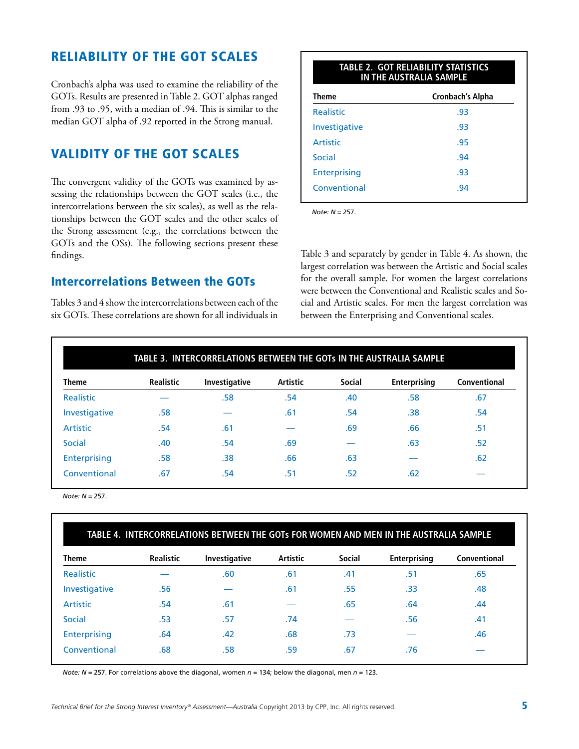### Reliability of the GOT Scales

Cronbach's alpha was used to examine the reliability of the GOTs. Results are presented in Table 2. GOT alphas ranged from .93 to .95, with a median of .94. This is similar to the median GOT alpha of .92 reported in the Strong manual.

### Validity of the GOT Scales

The convergent validity of the GOTs was examined by assessing the relationships between the GOT scales (i.e., the intercorrelations between the six scales), as well as the relationships between the GOT scales and the other scales of the Strong assessment (e.g., the correlations between the GOTs and the OSs). The following sections present these findings.

### Intercorrelations Between the GOTs

Tables 3 and 4 show the intercorrelations between each of the six GOTs. These correlations are shown for all individuals in

| <b>TABLE 2. GOT RELIABILITY STATISTICS</b><br>IN THE AUSTRALIA SAMPLE |                  |  |  |  |
|-----------------------------------------------------------------------|------------------|--|--|--|
| <b>Theme</b>                                                          | Cronbach's Alpha |  |  |  |
| <b>Realistic</b>                                                      | .93              |  |  |  |
| Investigative                                                         | .93              |  |  |  |
| Artistic                                                              | .95              |  |  |  |
| Social                                                                | .94              |  |  |  |
| <b>Enterprising</b>                                                   | .93              |  |  |  |
| Conventional                                                          | .94              |  |  |  |
|                                                                       |                  |  |  |  |

*Note: N* = 257.

Table 3 and separately by gender in Table 4. As shown, the largest correlation was between the Artistic and Social scales for the overall sample. For women the largest correlations were between the Conventional and Realistic scales and Social and Artistic scales. For men the largest correlation was between the Enterprising and Conventional scales.

|                 |                  | TABLE 3. INTERCORRELATIONS BETWEEN THE GOTs IN THE AUSTRALIA SAMPLE |          |               |                     |              |
|-----------------|------------------|---------------------------------------------------------------------|----------|---------------|---------------------|--------------|
| <b>Theme</b>    | <b>Realistic</b> | Investigative                                                       | Artistic | <b>Social</b> | <b>Enterprising</b> | Conventional |
| Realistic       |                  | .58                                                                 | .54      | .40           | .58                 | .67          |
| Investigative   | .58              |                                                                     | .61      | .54           | .38                 | .54          |
| <b>Artistic</b> | .54              | .61                                                                 |          | .69           | .66                 | .51          |
| Social          | .40              | .54                                                                 | .69      |               | .63                 | .52          |
| Enterprising    | .58              | .38                                                                 | .66      | .63           |                     | .62          |
| Conventional    | .67              | .54                                                                 | .51      | .52           | .62                 |              |

*Note: N* = 257.

| <b>Theme</b>        | <b>Realistic</b> | Investigative | Artistic | <b>Social</b> | <b>Enterprising</b> | Conventional |
|---------------------|------------------|---------------|----------|---------------|---------------------|--------------|
| Realistic           |                  | .60           | .61      | .41           | .51                 | .65          |
| Investigative       | .56              |               | .61      | .55           | .33                 | .48          |
| <b>Artistic</b>     | .54              | .61           |          | .65           | .64                 | .44          |
| Social              | .53              | .57           | .74      |               | .56                 | .41          |
| <b>Enterprising</b> | .64              | .42           | .68      | .73           |                     | .46          |
| Conventional        | .68              | .58           | .59      | .67           | .76                 |              |

*Note: N* = 257. For correlations above the diagonal, women *n* = 134; below the diagonal, men *n* = 123.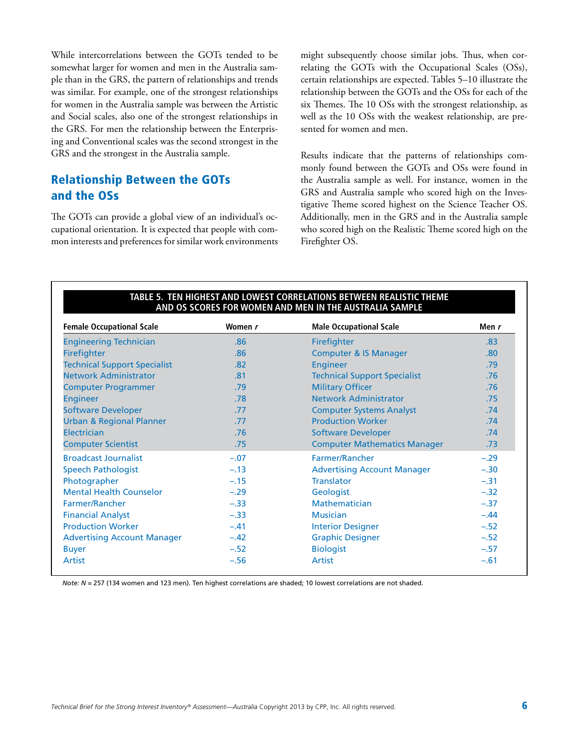While intercorrelations between the GOTs tended to be somewhat larger for women and men in the Australia sample than in the GRS, the pattern of relationships and trends was similar. For example, one of the strongest relationships for women in the Australia sample was between the Artistic and Social scales, also one of the strongest relationships in the GRS. For men the relationship between the Enterprising and Conventional scales was the second strongest in the GRS and the strongest in the Australia sample.

### Relationship Between the GOTs and the OSs

The GOTs can provide a global view of an individual's occupational orientation. It is expected that people with common interests and preferences for similar work environments might subsequently choose similar jobs. Thus, when correlating the GOTs with the Occupational Scales (OSs), certain relationships are expected. Tables 5–10 illustrate the relationship between the GOTs and the OSs for each of the six Themes. The 10 OSs with the strongest relationship, as well as the 10 OSs with the weakest relationship, are presented for women and men.

Results indicate that the patterns of relationships commonly found between the GOTs and OSs were found in the Australia sample as well. For instance, women in the GRS and Australia sample who scored high on the Investigative Theme scored highest on the Science Teacher OS. Additionally, men in the GRS and in the Australia sample who scored high on the Realistic Theme scored high on the Firefighter OS.

| <b>Female Occupational Scale</b>    | Women r | <b>Male Occupational Scale</b>      | Men r  |
|-------------------------------------|---------|-------------------------------------|--------|
| <b>Engineering Technician</b>       | .86     | Firefighter                         | .83    |
| Firefighter                         | .86     | <b>Computer &amp; IS Manager</b>    | .80    |
| <b>Technical Support Specialist</b> | .82     | <b>Engineer</b>                     | .79    |
| <b>Network Administrator</b>        | .81     | <b>Technical Support Specialist</b> | .76    |
| <b>Computer Programmer</b>          | .79     | <b>Military Officer</b>             | .76    |
| <b>Engineer</b>                     | .78     | <b>Network Administrator</b>        | .75    |
| <b>Software Developer</b>           | .77     | <b>Computer Systems Analyst</b>     | .74    |
| <b>Urban &amp; Regional Planner</b> | .77     | <b>Production Worker</b>            | .74    |
| <b>Electrician</b>                  | .76     | <b>Software Developer</b>           | .74    |
| <b>Computer Scientist</b>           | .75     | <b>Computer Mathematics Manager</b> | .73    |
| <b>Broadcast Journalist</b>         | $-.07$  | Farmer/Rancher                      | $-.29$ |
| <b>Speech Pathologist</b>           | $-.13$  | <b>Advertising Account Manager</b>  | $-.30$ |
| Photographer                        | $-.15$  | <b>Translator</b>                   | $-.31$ |
| <b>Mental Health Counselor</b>      | $-.29$  | Geologist                           | $-.32$ |
| Farmer/Rancher                      | $-.33$  | <b>Mathematician</b>                | $-.37$ |
| <b>Financial Analyst</b>            | $-.33$  | <b>Musician</b>                     | $-.44$ |
| <b>Production Worker</b>            | $-.41$  | <b>Interior Designer</b>            | $-.52$ |
| <b>Advertising Account Manager</b>  | $-.42$  | <b>Graphic Designer</b>             | $-.52$ |
| <b>Buyer</b>                        | $-.52$  | <b>Biologist</b>                    | $-.57$ |
| <b>Artist</b>                       | $-.56$  | <b>Artist</b>                       | $-.61$ |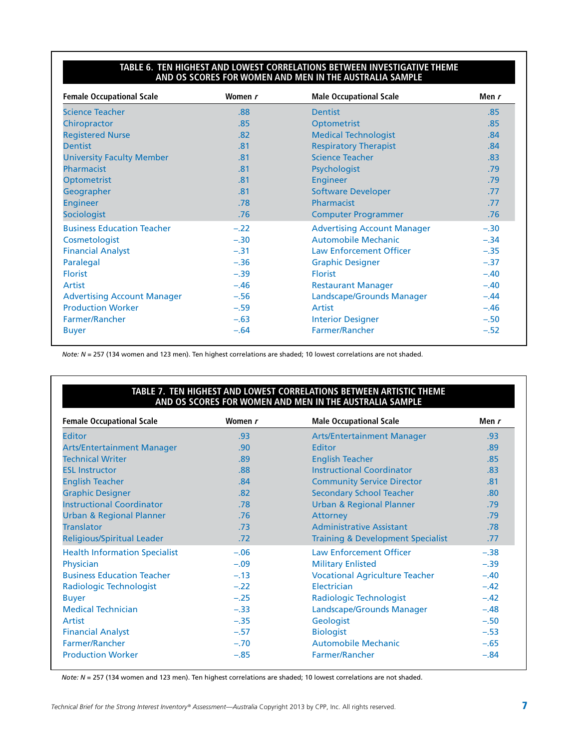#### **Table 6. Ten Highest and Lowest Correlations Between Investigative Theme and OS Scores for Women and Men in the Australia Sample**

| <b>Female Occupational Scale</b>   | Women r | <b>Male Occupational Scale</b>     | Men r  |
|------------------------------------|---------|------------------------------------|--------|
| <b>Science Teacher</b>             | .88     | <b>Dentist</b>                     | .85    |
| Chiropractor                       | .85     | Optometrist                        | .85    |
| <b>Registered Nurse</b>            | .82     | <b>Medical Technologist</b>        | .84    |
| <b>Dentist</b>                     | .81     | <b>Respiratory Therapist</b>       | .84    |
| <b>University Faculty Member</b>   | .81     | <b>Science Teacher</b>             | .83    |
| Pharmacist                         | .81     | Psychologist                       | .79    |
| <b>Optometrist</b>                 | .81     | <b>Engineer</b>                    | .79    |
| Geographer                         | .81     | <b>Software Developer</b>          | .77    |
| <b>Engineer</b>                    | .78     | Pharmacist                         | .77    |
| <b>Sociologist</b>                 | .76     | <b>Computer Programmer</b>         | .76    |
| <b>Business Education Teacher</b>  | $-.22$  | <b>Advertising Account Manager</b> | $-.30$ |
| Cosmetologist                      | $-.30$  | <b>Automobile Mechanic</b>         | $-.34$ |
| <b>Financial Analyst</b>           | $-.31$  | <b>Law Enforcement Officer</b>     | $-.35$ |
| Paralegal                          | $-.36$  | <b>Graphic Designer</b>            | $-.37$ |
| <b>Florist</b>                     | $-.39$  | <b>Florist</b>                     | $-.40$ |
| Artist                             | $-.46$  | <b>Restaurant Manager</b>          | $-.40$ |
| <b>Advertising Account Manager</b> | $-.56$  | Landscape/Grounds Manager          | $-.44$ |
| <b>Production Worker</b>           | $-.59$  | Artist                             | $-.46$ |
| Farmer/Rancher                     | $-.63$  | <b>Interior Designer</b>           | $-.50$ |
| <b>Buyer</b>                       | $-.64$  | Farmer/Rancher                     | $-.52$ |

*Note: N* = 257 (134 women and 123 men). Ten highest correlations are shaded; 10 lowest correlations are not shaded.

#### **Table 7. Ten Highest and Lowest Correlations Between Artistic Theme and OS Scores for Women and Men in the Australia Sample**

| <b>Female Occupational Scale</b>     | Women r | <b>Male Occupational Scale</b>               | Men r  |
|--------------------------------------|---------|----------------------------------------------|--------|
| Editor                               | .93     | <b>Arts/Entertainment Manager</b>            | .93    |
| <b>Arts/Entertainment Manager</b>    | .90     | Editor                                       | .89    |
| <b>Technical Writer</b>              | .89     | <b>English Teacher</b>                       | .85    |
| <b>ESL Instructor</b>                | .88     | <b>Instructional Coordinator</b>             | .83    |
| <b>English Teacher</b>               | .84     | <b>Community Service Director</b>            | .81    |
| <b>Graphic Designer</b>              | .82     | <b>Secondary School Teacher</b>              | .80    |
| <b>Instructional Coordinator</b>     | .78     | <b>Urban &amp; Regional Planner</b>          | .79    |
| <b>Urban &amp; Regional Planner</b>  | .76     | Attorney                                     | .79    |
| <b>Translator</b>                    | .73     | <b>Administrative Assistant</b>              | .78    |
| Religious/Spiritual Leader           | .72     | <b>Training &amp; Development Specialist</b> | .77    |
| <b>Health Information Specialist</b> | $-.06$  | <b>Law Enforcement Officer</b>               | $-.38$ |
| Physician                            | $-.09$  | <b>Military Enlisted</b>                     | $-.39$ |
| <b>Business Education Teacher</b>    | $-.13$  | <b>Vocational Agriculture Teacher</b>        | $-.40$ |
| Radiologic Technologist              | $-.22$  | Electrician                                  | $-.42$ |
| <b>Buyer</b>                         | $-.25$  | Radiologic Technologist                      | $-.42$ |
| <b>Medical Technician</b>            | $-.33$  | Landscape/Grounds Manager                    | $-.48$ |
| Artist                               | $-.35$  | Geologist                                    | $-.50$ |
| <b>Financial Analyst</b>             | $-.57$  | <b>Biologist</b>                             | $-.53$ |
| Farmer/Rancher                       | $-.70$  | <b>Automobile Mechanic</b>                   | $-.65$ |
| <b>Production Worker</b>             | $-.85$  | <b>Farmer/Rancher</b>                        | $-.84$ |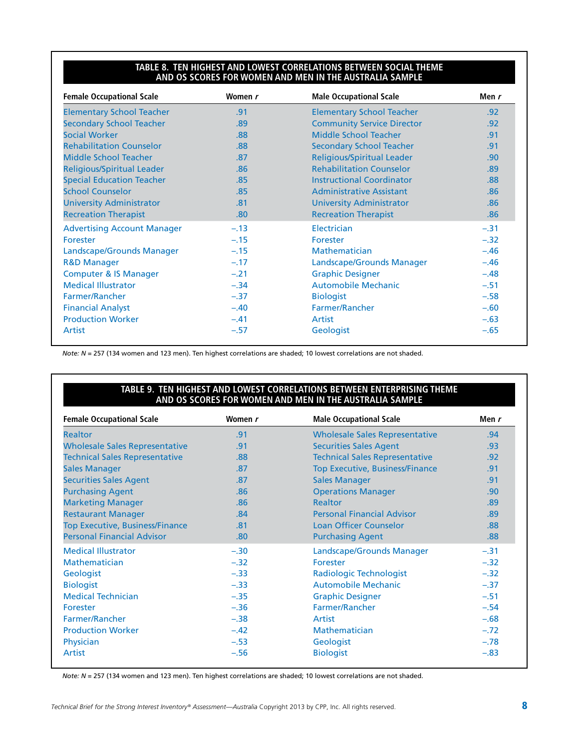#### **Table 8. Ten Highest and Lowest Correlations Between Social Theme and OS Scores for Women and Men in the Australia Sample**

| <b>Female Occupational Scale</b>   | Women r | <b>Male Occupational Scale</b>    | Men r  |
|------------------------------------|---------|-----------------------------------|--------|
| <b>Elementary School Teacher</b>   | .91     | <b>Elementary School Teacher</b>  | .92    |
| <b>Secondary School Teacher</b>    | .89     | <b>Community Service Director</b> | .92    |
| <b>Social Worker</b>               | .88     | Middle School Teacher             | .91    |
| <b>Rehabilitation Counselor</b>    | .88     | <b>Secondary School Teacher</b>   | .91    |
| Middle School Teacher              | .87     | <b>Religious/Spiritual Leader</b> | .90    |
| <b>Religious/Spiritual Leader</b>  | .86     | <b>Rehabilitation Counselor</b>   | .89    |
| <b>Special Education Teacher</b>   | .85     | <b>Instructional Coordinator</b>  | .88    |
| <b>School Counselor</b>            | .85     | <b>Administrative Assistant</b>   | .86    |
| <b>University Administrator</b>    | .81     | <b>University Administrator</b>   | .86    |
| <b>Recreation Therapist</b>        | .80     | <b>Recreation Therapist</b>       | .86    |
| <b>Advertising Account Manager</b> | $-.13$  | Electrician                       | $-.31$ |
| Forester                           | $-.15$  | Forester                          | $-.32$ |
| Landscape/Grounds Manager          | $-.15$  | Mathematician                     | $-.46$ |
| <b>R&amp;D Manager</b>             | $-.17$  | Landscape/Grounds Manager         | $-.46$ |
| <b>Computer &amp; IS Manager</b>   | $-.21$  | <b>Graphic Designer</b>           | $-.48$ |
| <b>Medical Illustrator</b>         | $-.34$  | <b>Automobile Mechanic</b>        | $-.51$ |
| Farmer/Rancher                     | $-.37$  | <b>Biologist</b>                  | $-.58$ |
| <b>Financial Analyst</b>           | $-.40$  | Farmer/Rancher                    | $-.60$ |
| <b>Production Worker</b>           | $-.41$  | Artist                            | $-.63$ |
| Artist                             | $-.57$  | Geologist                         | $-.65$ |

*Note: N* = 257 (134 women and 123 men). Ten highest correlations are shaded; 10 lowest correlations are not shaded.

#### **Table 9. Ten Highest and Lowest Correlations Between Enterprising Theme and OS Scores for Women and Men in the Australia Sample**

| <b>Female Occupational Scale</b>       | Women r | <b>Male Occupational Scale</b>         | Men r            |
|----------------------------------------|---------|----------------------------------------|------------------|
| <b>Realtor</b>                         | .91     | <b>Wholesale Sales Representative</b>  | .94 <sub>1</sub> |
| <b>Wholesale Sales Representative</b>  | .91     | <b>Securities Sales Agent</b>          | .93              |
| <b>Technical Sales Representative</b>  | .88     | <b>Technical Sales Representative</b>  | .92              |
| <b>Sales Manager</b>                   | .87     | <b>Top Executive, Business/Finance</b> | .91              |
| <b>Securities Sales Agent</b>          | .87     | <b>Sales Manager</b>                   | .91              |
| <b>Purchasing Agent</b>                | .86     | <b>Operations Manager</b>              | .90 <sub>1</sub> |
| <b>Marketing Manager</b>               | .86     | <b>Realtor</b>                         | .89              |
| <b>Restaurant Manager</b>              | .84     | <b>Personal Financial Advisor</b>      | .89              |
| <b>Top Executive, Business/Finance</b> | .81     | <b>Loan Officer Counselor</b>          | .88              |
| <b>Personal Financial Advisor</b>      | .80     | <b>Purchasing Agent</b>                | .88 <sub>1</sub> |
| <b>Medical Illustrator</b>             | $-.30$  | Landscape/Grounds Manager              | $-.31$           |
| <b>Mathematician</b>                   | $-.32$  | Forester                               | $-.32$           |
| Geologist                              | $-.33$  | Radiologic Technologist                | $-.32$           |
| <b>Biologist</b>                       | $-.33$  | <b>Automobile Mechanic</b>             | $-.37$           |
| <b>Medical Technician</b>              | $-.35$  | <b>Graphic Designer</b>                | $-.51$           |
| Forester                               | $-.36$  | <b>Farmer/Rancher</b>                  | $-.54$           |
| <b>Farmer/Rancher</b>                  | $-.38$  | Artist                                 | $-.68$           |
| <b>Production Worker</b>               | $-.42$  | Mathematician                          | $-.72$           |
| Physician                              | $-.53$  | Geologist                              | $-.78$           |
| <b>Artist</b>                          | $-.56$  | <b>Biologist</b>                       | $-.83$           |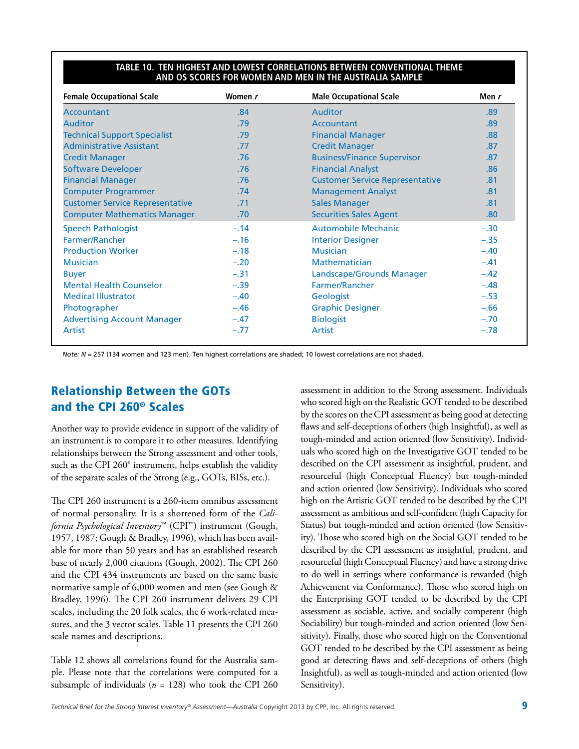#### **Table 10. Ten Highest and Lowest Correlations Between Conventional Theme and OS Scores for Women and Men in the Australia Sample**

| <b>Female Occupational Scale</b>       | Women r | <b>Male Occupational Scale</b>         | Men r  |
|----------------------------------------|---------|----------------------------------------|--------|
| <b>Accountant</b>                      | .84     | <b>Auditor</b>                         | .89    |
| <b>Auditor</b>                         | .79     | Accountant                             | .89    |
| <b>Technical Support Specialist</b>    | .79     | <b>Financial Manager</b>               | .88    |
| <b>Administrative Assistant</b>        | .77     | <b>Credit Manager</b>                  | .87    |
| <b>Credit Manager</b>                  | .76     | <b>Business/Finance Supervisor</b>     | .87    |
| <b>Software Developer</b>              | .76     | <b>Financial Analyst</b>               | .86    |
| <b>Financial Manager</b>               | .76     | <b>Customer Service Representative</b> | .81    |
| <b>Computer Programmer</b>             | .74     | <b>Management Analyst</b>              | .81    |
| <b>Customer Service Representative</b> | .71     | <b>Sales Manager</b>                   | .81    |
| <b>Computer Mathematics Manager</b>    | .70     | <b>Securities Sales Agent</b>          | .80    |
| <b>Speech Pathologist</b>              | $-.14$  | <b>Automobile Mechanic</b>             | $-.30$ |
| Farmer/Rancher                         | $-.16$  | <b>Interior Designer</b>               | $-.35$ |
| <b>Production Worker</b>               | $-.18$  | <b>Musician</b>                        | $-.40$ |
| <b>Musician</b>                        | $-.20$  | Mathematician                          | $-.41$ |
| <b>Buyer</b>                           | $-.31$  | Landscape/Grounds Manager              | $-.42$ |
| <b>Mental Health Counselor</b>         | $-.39$  | Farmer/Rancher                         | $-.48$ |
| <b>Medical Illustrator</b>             | $-.40$  | Geologist                              | $-.53$ |
| Photographer                           | $-.46$  | <b>Graphic Designer</b>                | $-.66$ |
| <b>Advertising Account Manager</b>     | $-.47$  | <b>Biologist</b>                       | $-.70$ |
| Artist                                 | $-.77$  | Artist                                 | $-.78$ |

*Note: N* = 257 (134 women and 123 men). Ten highest correlations are shaded; 10 lowest correlations are not shaded.

### Relationship Between the GOTs and the CPI 260® Scales

Another way to provide evidence in support of the validity of an instrument is to compare it to other measures. Identifying relationships between the Strong assessment and other tools, such as the CPI 260® instrument, helps establish the validity of the separate scales of the Strong (e.g., GOTs, BISs, etc.).

The CPI 260 instrument is a 260-item omnibus assessment of normal personality. It is a shortened form of the *California Psychological Inventory*™ (CPI™) instrument (Gough, 1957, 1987; Gough & Bradley, 1996), which has been available for more than 50 years and has an established research base of nearly 2,000 citations (Gough, 2002). The CPI 260 and the CPI 434 instruments are based on the same basic normative sample of 6,000 women and men (see Gough & Bradley, 1996). The CPI 260 instrument delivers 29 CPI scales, including the 20 folk scales, the 6 work-related measures, and the 3 vector scales. Table 11 presents the CPI 260 scale names and descriptions.

Table 12 shows all correlations found for the Australia sample. Please note that the correlations were computed for a subsample of individuals (*n* = 128) who took the CPI 260 assessment in addition to the Strong assessment. Individuals who scored high on the Realistic GOT tended to be described by the scores on the CPI assessment as being good at detecting flaws and self-deceptions of others (high Insightful), as well as tough-minded and action oriented (low Sensitivity). Individuals who scored high on the Investigative GOT tended to be described on the CPI assessment as insightful, prudent, and resourceful (high Conceptual Fluency) but tough-minded and action oriented (low Sensitivity). Individuals who scored high on the Artistic GOT tended to be described by the CPI assessment as ambitious and self-confident (high Capacity for Status) but tough-minded and action oriented (low Sensitivity). Those who scored high on the Social GOT tended to be described by the CPI assessment as insightful, prudent, and resourceful (high Conceptual Fluency) and have a strong drive to do well in settings where conformance is rewarded (high Achievement via Conformance). Those who scored high on the Enterprising GOT tended to be described by the CPI assessment as sociable, active, and socially competent (high Sociability) but tough-minded and action oriented (low Sensitivity). Finally, those who scored high on the Conventional GOT tended to be described by the CPI assessment as being good at detecting flaws and self-deceptions of others (high Insightful), as well as tough-minded and action oriented (low Sensitivity).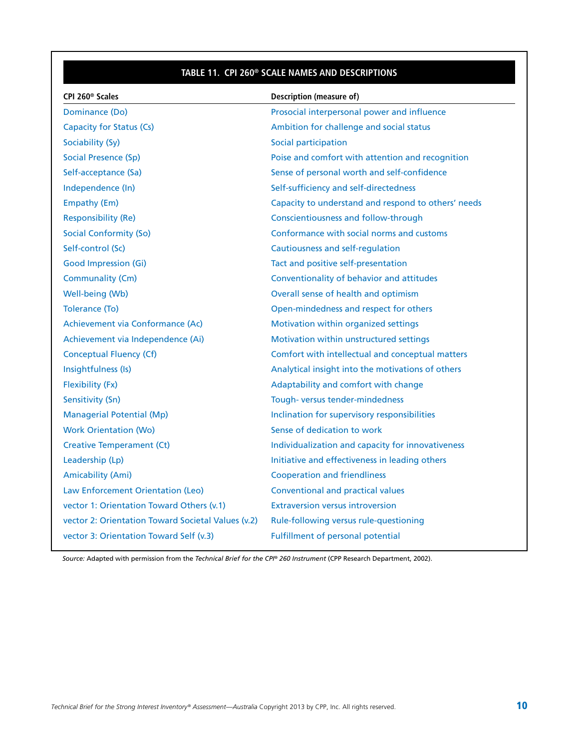### **Table 11. CPI 260® Scale Names and Descriptions**

| CPI 260 <sup>®</sup> Scales                        | Description (measure of)                            |
|----------------------------------------------------|-----------------------------------------------------|
| Dominance (Do)                                     | Prosocial interpersonal power and influence         |
| <b>Capacity for Status (Cs)</b>                    | Ambition for challenge and social status            |
| Sociability (Sy)                                   | Social participation                                |
| <b>Social Presence (Sp)</b>                        | Poise and comfort with attention and recognition    |
| Self-acceptance (Sa)                               | Sense of personal worth and self-confidence         |
| Independence (In)                                  | Self-sufficiency and self-directedness              |
| Empathy (Em)                                       | Capacity to understand and respond to others' needs |
| <b>Responsibility (Re)</b>                         | Conscientiousness and follow-through                |
| <b>Social Conformity (So)</b>                      | Conformance with social norms and customs           |
| Self-control (Sc)                                  | Cautiousness and self-regulation                    |
| <b>Good Impression (Gi)</b>                        | Tact and positive self-presentation                 |
| Communality (Cm)                                   | Conventionality of behavior and attitudes           |
| Well-being (Wb)                                    | Overall sense of health and optimism                |
| Tolerance (To)                                     | Open-mindedness and respect for others              |
| Achievement via Conformance (Ac)                   | Motivation within organized settings                |
| Achievement via Independence (Ai)                  | Motivation within unstructured settings             |
| Conceptual Fluency (Cf)                            | Comfort with intellectual and conceptual matters    |
| Insightfulness (Is)                                | Analytical insight into the motivations of others   |
| Flexibility (Fx)                                   | Adaptability and comfort with change                |
| Sensitivity (Sn)                                   | Tough-versus tender-mindedness                      |
| <b>Managerial Potential (Mp)</b>                   | Inclination for supervisory responsibilities        |
| <b>Work Orientation (Wo)</b>                       | Sense of dedication to work                         |
| <b>Creative Temperament (Ct)</b>                   | Individualization and capacity for innovativeness   |
| Leadership (Lp)                                    | Initiative and effectiveness in leading others      |
| <b>Amicability (Ami)</b>                           | <b>Cooperation and friendliness</b>                 |
| Law Enforcement Orientation (Leo)                  | <b>Conventional and practical values</b>            |
| vector 1: Orientation Toward Others (v.1)          | <b>Extraversion versus introversion</b>             |
| vector 2: Orientation Toward Societal Values (v.2) | Rule-following versus rule-questioning              |
| vector 3: Orientation Toward Self (v.3)            | <b>Fulfillment of personal potential</b>            |

*Source:* Adapted with permission from the *Technical Brief for the CPI® 260 Instrument* (CPP Research Department, 2002).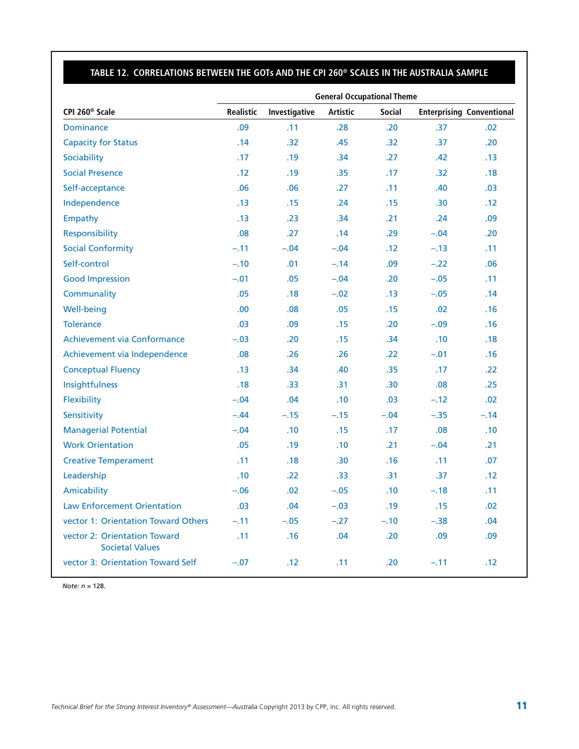#### **Table 12. Correlations Between the GOTs and the CPI 260® Scales in the Australia Sample**

|                                                        | <b>General Occupational Theme</b> |               |                  |                  |                  |                                  |  |
|--------------------------------------------------------|-----------------------------------|---------------|------------------|------------------|------------------|----------------------------------|--|
| CPI 260 <sup>®</sup> Scale                             | Realistic                         | Investigative | <b>Artistic</b>  | <b>Social</b>    |                  | <b>Enterprising Conventional</b> |  |
| <b>Dominance</b>                                       | .09                               | .11           | .28              | .20              | .37              | .02                              |  |
| <b>Capacity for Status</b>                             | .14                               | .32           | .45              | .32              | .37              | .20                              |  |
| Sociability                                            | .17                               | .19           | .34              | .27              | .42              | .13                              |  |
| <b>Social Presence</b>                                 | .12                               | .19           | .35              | .17              | .32              | .18                              |  |
| Self-acceptance                                        | .06                               | .06           | .27              | .11              | .40              | .03                              |  |
| Independence                                           | .13                               | .15           | .24              | .15              | .30 <sub>0</sub> | .12                              |  |
| Empathy                                                | .13                               | .23           | .34              | .21              | .24              | .09                              |  |
| Responsibility                                         | .08                               | .27           | .14              | .29              | $-.04$           | .20                              |  |
| <b>Social Conformity</b>                               | $-.11$                            | $-.04$        | $-.04$           | .12              | $-.13$           | .11                              |  |
| Self-control                                           | $-.10$                            | .01           | $-.14$           | .09              | $-.22$           | .06                              |  |
| <b>Good Impression</b>                                 | $-.01$                            | .05           | $-.04$           | .20              | $-.05$           | .11                              |  |
| Communality                                            | .05                               | .18           | $-.02$           | .13              | $-.05$           | .14                              |  |
| Well-being                                             | .00                               | .08           | .05              | .15              | .02              | .16                              |  |
| <b>Tolerance</b>                                       | .03                               | .09           | .15              | .20              | $-.09$           | .16                              |  |
| Achievement via Conformance                            | $-.03$                            | .20           | .15              | .34              | .10              | .18                              |  |
| Achievement via Independence                           | .08                               | .26           | .26              | .22              | $-.01$           | .16                              |  |
| <b>Conceptual Fluency</b>                              | .13                               | .34           | .40              | .35              | .17              | .22                              |  |
| Insightfulness                                         | .18                               | .33           | .31              | .30 <sub>0</sub> | .08              | .25                              |  |
| Flexibility                                            | $-.04$                            | .04           | .10              | .03              | $-.12$           | .02                              |  |
| Sensitivity                                            | $-.44$                            | $-.15$        | $-.15$           | $-.04$           | $-.35$           | $-.14$                           |  |
| <b>Managerial Potential</b>                            | $-.04$                            | .10           | .15              | .17              | .08              | .10                              |  |
| <b>Work Orientation</b>                                | .05                               | .19           | .10              | .21              | $-.04$           | .21                              |  |
| <b>Creative Temperament</b>                            | .11                               | .18           | .30 <sub>0</sub> | .16              | .11              | .07                              |  |
| Leadership                                             | .10                               | .22           | .33 <sub>1</sub> | .31              | .37              | .12                              |  |
| Amicability                                            | $-.06$                            | .02           | $-.05$           | .10              | $-.18$           | .11                              |  |
| <b>Law Enforcement Orientation</b>                     | .03                               | .04           | $-.03$           | .19              | .15              | .02                              |  |
| vector 1: Orientation Toward Others                    | $-.11$                            | $-.05$        | $-.27$           | $-.10$           | $-.38$           | .04                              |  |
| vector 2: Orientation Toward<br><b>Societal Values</b> | .11                               | .16           | .04              | .20              | .09              | .09                              |  |
| vector 3: Orientation Toward Self                      | $-.07$                            | .12           | .11              | .20              | $-.11$           | .12                              |  |

*Note: n* = 128.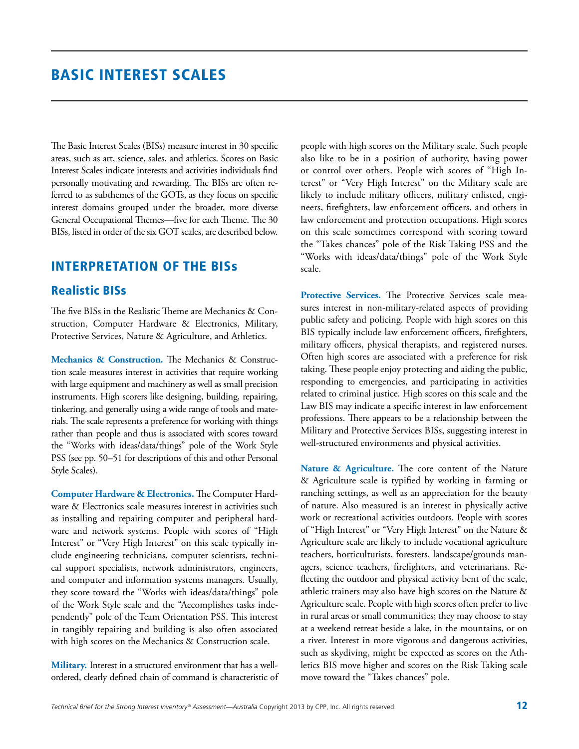### Basic Interest Scales

The Basic Interest Scales (BISs) measure interest in 30 specific areas, such as art, science, sales, and athletics. Scores on Basic Interest Scales indicate interests and activities individuals find personally motivating and rewarding. The BISs are often referred to as subthemes of the GOTs, as they focus on specific interest domains grouped under the broader, more diverse General Occupational Themes—five for each Theme. The 30 BISs, listed in order of the six GOT scales, are described below.

### Interpretation of the BISs

### Realistic BISs

The five BISs in the Realistic Theme are Mechanics & Construction, Computer Hardware & Electronics, Military, Protective Services, Nature & Agriculture, and Athletics.

**Mechanics & Construction.** The Mechanics & Construction scale measures interest in activities that require working with large equipment and machinery as well as small precision instruments. High scorers like designing, building, repairing, tinkering, and generally using a wide range of tools and materials. The scale represents a preference for working with things rather than people and thus is associated with scores toward the "Works with ideas/data/things" pole of the Work Style PSS (see pp. 50–51 for descriptions of this and other Personal Style Scales).

**Computer Hardware & Electronics.** The Computer Hardware & Electronics scale measures interest in activities such as installing and repairing computer and peripheral hardware and network systems. People with scores of "High Interest" or "Very High Interest" on this scale typically include engineering technicians, computer scientists, technical support specialists, network administrators, engineers, and computer and information systems managers. Usually, they score toward the "Works with ideas/data/things" pole of the Work Style scale and the "Accomplishes tasks independently" pole of the Team Orientation PSS. This interest in tangibly repairing and building is also often associated with high scores on the Mechanics & Construction scale.

**Military.** Interest in a structured environment that has a wellordered, clearly defined chain of command is characteristic of people with high scores on the Military scale. Such people also like to be in a position of authority, having power or control over others. People with scores of "High Interest" or "Very High Interest" on the Military scale are likely to include military officers, military enlisted, engineers, firefighters, law enforcement officers, and others in law enforcement and protection occupations. High scores on this scale sometimes correspond with scoring toward the "Takes chances" pole of the Risk Taking PSS and the "Works with ideas/data/things" pole of the Work Style scale.

**Protective Services.** The Protective Services scale measures interest in non-military-related aspects of providing public safety and policing. People with high scores on this BIS typically include law enforcement officers, firefighters, military officers, physical therapists, and registered nurses. Often high scores are associated with a preference for risk taking. These people enjoy protecting and aiding the public, responding to emergencies, and participating in activities related to criminal justice. High scores on this scale and the Law BIS may indicate a specific interest in law enforcement professions. There appears to be a relationship between the Military and Protective Services BISs, suggesting interest in well-structured environments and physical activities.

**Nature & Agriculture.** The core content of the Nature & Agriculture scale is typified by working in farming or ranching settings, as well as an appreciation for the beauty of nature. Also measured is an interest in physically active work or recreational activities outdoors. People with scores of "High Interest" or "Very High Interest" on the Nature & Agriculture scale are likely to include vocational agriculture teachers, horticulturists, foresters, landscape/grounds managers, science teachers, firefighters, and veterinarians. Reflecting the outdoor and physical activity bent of the scale, athletic trainers may also have high scores on the Nature & Agriculture scale. People with high scores often prefer to live in rural areas or small communities; they may choose to stay at a weekend retreat beside a lake, in the mountains, or on a river. Interest in more vigorous and dangerous activities, such as skydiving, might be expected as scores on the Athletics BIS move higher and scores on the Risk Taking scale move toward the "Takes chances" pole.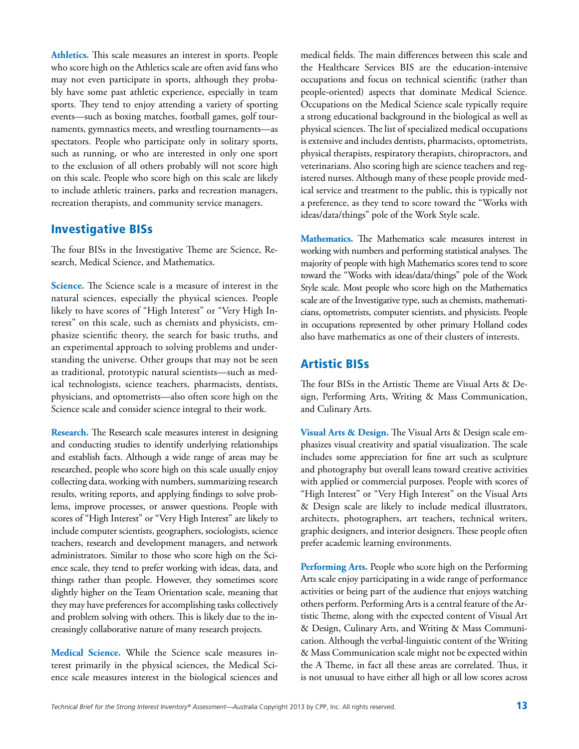**Athletics.** This scale measures an interest in sports. People who score high on the Athletics scale are often avid fans who may not even participate in sports, although they probably have some past athletic experience, especially in team sports. They tend to enjoy attending a variety of sporting events—such as boxing matches, football games, golf tournaments, gymnastics meets, and wrestling tournaments—as spectators. People who participate only in solitary sports, such as running, or who are interested in only one sport to the exclusion of all others probably will not score high on this scale. People who score high on this scale are likely to include athletic trainers, parks and recreation managers, recreation therapists, and community service managers.

#### Investigative BISs

The four BISs in the Investigative Theme are Science, Research, Medical Science, and Mathematics.

**Science.** The Science scale is a measure of interest in the natural sciences, especially the physical sciences. People likely to have scores of "High Interest" or "Very High Interest" on this scale, such as chemists and physicists, emphasize scientific theory, the search for basic truths, and an experimental approach to solving problems and understanding the universe. Other groups that may not be seen as traditional, prototypic natural scientists—such as medical technologists, science teachers, pharmacists, dentists, physicians, and optometrists—also often score high on the Science scale and consider science integral to their work.

**Research.** The Research scale measures interest in designing and conducting studies to identify underlying relationships and establish facts. Although a wide range of areas may be researched, people who score high on this scale usually enjoy collecting data, working with numbers, summarizing research results, writing reports, and applying findings to solve problems, improve processes, or answer questions. People with scores of "High Interest" or "Very High Interest" are likely to include computer scientists, geographers, sociologists, science teachers, research and development managers, and network administrators. Similar to those who score high on the Science scale, they tend to prefer working with ideas, data, and things rather than people. However, they sometimes score slightly higher on the Team Orientation scale, meaning that they may have preferences for accomplishing tasks collectively and problem solving with others. This is likely due to the increasingly collaborative nature of many research projects.

**Medical Science.** While the Science scale measures interest primarily in the physical sciences, the Medical Science scale measures interest in the biological sciences and medical fields. The main differences between this scale and the Healthcare Services BIS are the education-intensive occupations and focus on technical scientific (rather than people-oriented) aspects that dominate Medical Science. Occupations on the Medical Science scale typically require a strong educational background in the biological as well as physical sciences. The list of specialized medical occupations is extensive and includes dentists, pharmacists, optometrists, physical therapists, respiratory therapists, chiropractors, and veterinarians. Also scoring high are science teachers and registered nurses. Although many of these people provide medical service and treatment to the public, this is typically not a preference, as they tend to score toward the "Works with ideas/data/things" pole of the Work Style scale.

**Mathematics.** The Mathematics scale measures interest in working with numbers and performing statistical analyses. The majority of people with high Mathematics scores tend to score toward the "Works with ideas/data/things" pole of the Work Style scale. Most people who score high on the Mathematics scale are of the Investigative type, such as chemists, mathematicians, optometrists, computer scientists, and physicists. People in occupations represented by other primary Holland codes also have mathematics as one of their clusters of interests.

#### Artistic BISs

The four BISs in the Artistic Theme are Visual Arts & Design, Performing Arts, Writing & Mass Communication, and Culinary Arts.

**Visual Arts & Design.** The Visual Arts & Design scale emphasizes visual creativity and spatial visualization. The scale includes some appreciation for fine art such as sculpture and photography but overall leans toward creative activities with applied or commercial purposes. People with scores of "High Interest" or "Very High Interest" on the Visual Arts & Design scale are likely to include medical illustrators, architects, photographers, art teachers, technical writers, graphic designers, and interior designers. These people often prefer academic learning environments.

**Performing Arts.** People who score high on the Performing Arts scale enjoy participating in a wide range of performance activities or being part of the audience that enjoys watching others perform. Performing Arts is a central feature of the Artistic Theme, along with the expected content of Visual Art & Design, Culinary Arts, and Writing & Mass Communication. Although the verbal-linguistic content of the Writing & Mass Communication scale might not be expected within the A Theme, in fact all these areas are correlated. Thus, it is not unusual to have either all high or all low scores across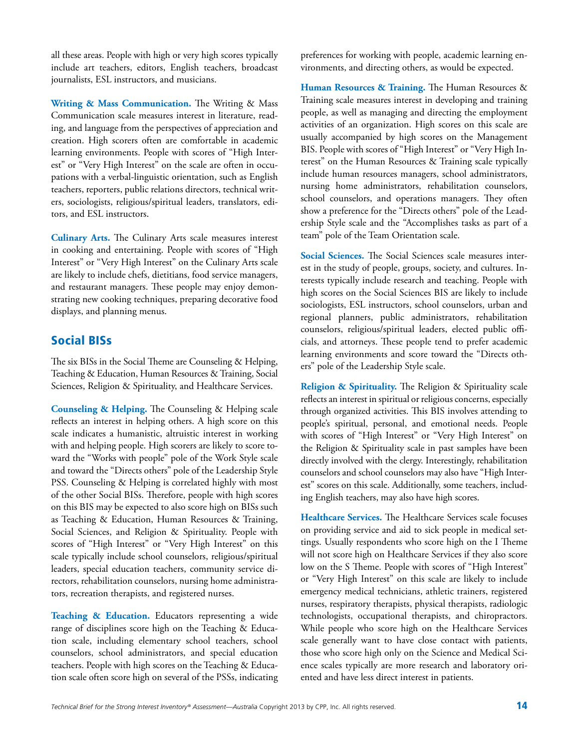all these areas. People with high or very high scores typically include art teachers, editors, English teachers, broadcast journalists, ESL instructors, and musicians.

**Writing & Mass Communication.** The Writing & Mass Communication scale measures interest in literature, reading, and language from the perspectives of appreciation and creation. High scorers often are comfortable in academic learning environments. People with scores of "High Interest" or "Very High Interest" on the scale are often in occupations with a verbal-linguistic orientation, such as English teachers, reporters, public relations directors, technical writers, sociologists, religious/spiritual leaders, translators, editors, and ESL instructors.

**Culinary Arts.** The Culinary Arts scale measures interest in cooking and entertaining. People with scores of "High Interest" or "Very High Interest" on the Culinary Arts scale are likely to include chefs, dietitians, food service managers, and restaurant managers. These people may enjoy demonstrating new cooking techniques, preparing decorative food displays, and planning menus.

### Social BISs

The six BISs in the Social Theme are Counseling & Helping, Teaching & Education, Human Resources & Training, Social Sciences, Religion & Spirituality, and Healthcare Services.

**Counseling & Helping.** The Counseling & Helping scale reflects an interest in helping others. A high score on this scale indicates a humanistic, altruistic interest in working with and helping people. High scorers are likely to score toward the "Works with people" pole of the Work Style scale and toward the "Directs others" pole of the Leadership Style PSS. Counseling & Helping is correlated highly with most of the other Social BISs. Therefore, people with high scores on this BIS may be expected to also score high on BISs such as Teaching & Education, Human Resources & Training, Social Sciences, and Religion & Spirituality. People with scores of "High Interest" or "Very High Interest" on this scale typically include school counselors, religious/spiritual leaders, special education teachers, community service directors, rehabilitation counselors, nursing home administrators, recreation therapists, and registered nurses.

**Teaching & Education.** Educators representing a wide range of disciplines score high on the Teaching & Education scale, including elementary school teachers, school counselors, school administrators, and special education teachers. People with high scores on the Teaching & Education scale often score high on several of the PSSs, indicating preferences for working with people, academic learning environments, and directing others, as would be expected.

**Human Resources & Training.** The Human Resources & Training scale measures interest in developing and training people, as well as managing and directing the employment activities of an organization. High scores on this scale are usually accompanied by high scores on the Management BIS. People with scores of "High Interest" or "Very High Interest" on the Human Resources & Training scale typically include human resources managers, school administrators, nursing home administrators, rehabilitation counselors, school counselors, and operations managers. They often show a preference for the "Directs others" pole of the Leadership Style scale and the "Accomplishes tasks as part of a team" pole of the Team Orientation scale.

**Social Sciences.** The Social Sciences scale measures interest in the study of people, groups, society, and cultures. Interests typically include research and teaching. People with high scores on the Social Sciences BIS are likely to include sociologists, ESL instructors, school counselors, urban and regional planners, public administrators, rehabilitation counselors, religious/spiritual leaders, elected public officials, and attorneys. These people tend to prefer academic learning environments and score toward the "Directs others" pole of the Leadership Style scale.

**Religion & Spirituality.** The Religion & Spirituality scale reflects an interest in spiritual or religious concerns, especially through organized activities. This BIS involves attending to people's spiritual, personal, and emotional needs. People with scores of "High Interest" or "Very High Interest" on the Religion & Spirituality scale in past samples have been directly involved with the clergy. Interestingly, rehabilitation counselors and school counselors may also have "High Interest" scores on this scale. Additionally, some teachers, including English teachers, may also have high scores.

**Healthcare Services.** The Healthcare Services scale focuses on providing service and aid to sick people in medical settings. Usually respondents who score high on the I Theme will not score high on Healthcare Services if they also score low on the S Theme. People with scores of "High Interest" or "Very High Interest" on this scale are likely to include emergency medical technicians, athletic trainers, registered nurses, respiratory therapists, physical therapists, radiologic technologists, occupational therapists, and chiropractors. While people who score high on the Healthcare Services scale generally want to have close contact with patients, those who score high only on the Science and Medical Science scales typically are more research and laboratory oriented and have less direct interest in patients.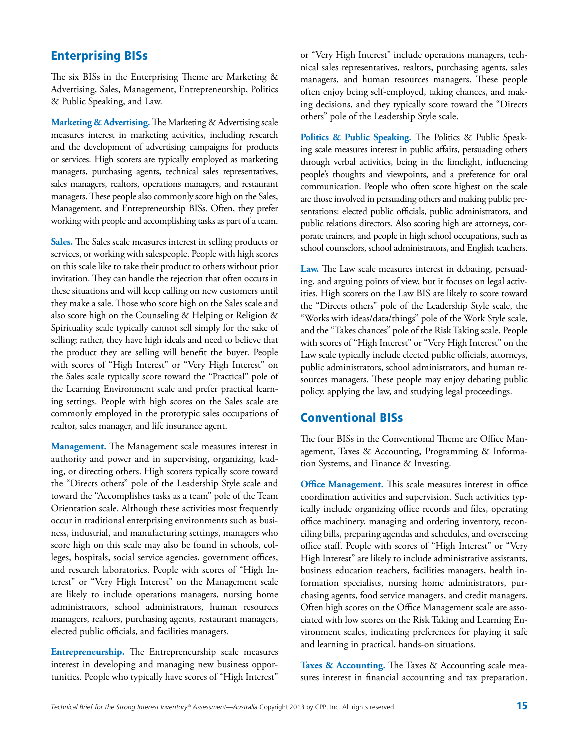### Enterprising BISs

The six BISs in the Enterprising Theme are Marketing & Advertising, Sales, Management, Entrepreneurship, Politics & Public Speaking, and Law.

**Marketing & Advertising.** The Marketing & Advertising scale measures interest in marketing activities, including research and the development of advertising campaigns for products or services. High scorers are typically employed as marketing managers, purchasing agents, technical sales representatives, sales managers, realtors, operations managers, and restaurant managers. These people also commonly score high on the Sales, Management, and Entrepreneurship BISs. Often, they prefer working with people and accomplishing tasks as part of a team.

**Sales.** The Sales scale measures interest in selling products or services, or working with salespeople. People with high scores on this scale like to take their product to others without prior invitation. They can handle the rejection that often occurs in these situations and will keep calling on new customers until they make a sale. Those who score high on the Sales scale and also score high on the Counseling & Helping or Religion & Spirituality scale typically cannot sell simply for the sake of selling; rather, they have high ideals and need to believe that the product they are selling will benefit the buyer. People with scores of "High Interest" or "Very High Interest" on the Sales scale typically score toward the "Practical" pole of the Learning Environment scale and prefer practical learning settings. People with high scores on the Sales scale are commonly employed in the prototypic sales occupations of realtor, sales manager, and life insurance agent.

**Management.** The Management scale measures interest in authority and power and in supervising, organizing, leading, or directing others. High scorers typically score toward the "Directs others" pole of the Leadership Style scale and toward the "Accomplishes tasks as a team" pole of the Team Orientation scale. Although these activities most frequently occur in traditional enterprising environments such as business, industrial, and manufacturing settings, managers who score high on this scale may also be found in schools, colleges, hospitals, social service agencies, government offices, and research laboratories. People with scores of "High Interest" or "Very High Interest" on the Management scale are likely to include operations managers, nursing home administrators, school administrators, human resources managers, realtors, purchasing agents, restaurant managers, elected public officials, and facilities managers.

**Entrepreneurship.** The Entrepreneurship scale measures interest in developing and managing new business opportunities. People who typically have scores of "High Interest" or "Very High Interest" include operations managers, technical sales representatives, realtors, purchasing agents, sales managers, and human resources managers. These people often enjoy being self-employed, taking chances, and making decisions, and they typically score toward the "Directs others" pole of the Leadership Style scale.

**Politics & Public Speaking.** The Politics & Public Speaking scale measures interest in public affairs, persuading others through verbal activities, being in the limelight, influencing people's thoughts and viewpoints, and a preference for oral communication. People who often score highest on the scale are those involved in persuading others and making public presentations: elected public officials, public administrators, and public relations directors. Also scoring high are attorneys, corporate trainers, and people in high school occupations, such as school counselors, school administrators, and English teachers.

**Law.** The Law scale measures interest in debating, persuading, and arguing points of view, but it focuses on legal activities. High scorers on the Law BIS are likely to score toward the "Directs others" pole of the Leadership Style scale, the "Works with ideas/data/things" pole of the Work Style scale, and the "Takes chances" pole of the Risk Taking scale. People with scores of "High Interest" or "Very High Interest" on the Law scale typically include elected public officials, attorneys, public administrators, school administrators, and human resources managers. These people may enjoy debating public policy, applying the law, and studying legal proceedings.

#### Conventional BISs

The four BISs in the Conventional Theme are Office Management, Taxes & Accounting, Programming & Information Systems, and Finance & Investing.

**Office Management.** This scale measures interest in office coordination activities and supervision. Such activities typically include organizing office records and files, operating office machinery, managing and ordering inventory, reconciling bills, preparing agendas and schedules, and overseeing office staff. People with scores of "High Interest" or "Very High Interest" are likely to include administrative assistants, business education teachers, facilities managers, health information specialists, nursing home administrators, purchasing agents, food service managers, and credit managers. Often high scores on the Office Management scale are associated with low scores on the Risk Taking and Learning Environment scales, indicating preferences for playing it safe and learning in practical, hands-on situations.

Taxes & Accounting. The Taxes & Accounting scale measures interest in financial accounting and tax preparation.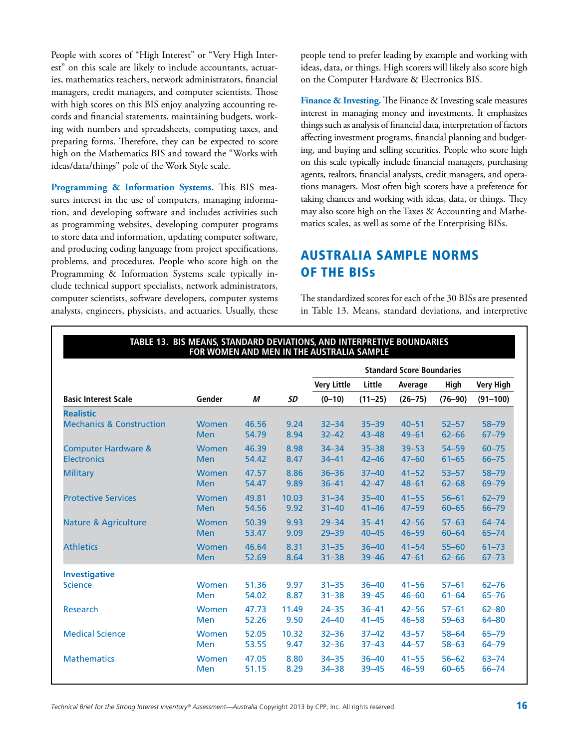People with scores of "High Interest" or "Very High Interest" on this scale are likely to include accountants, actuaries, mathematics teachers, network administrators, financial managers, credit managers, and computer scientists. Those with high scores on this BIS enjoy analyzing accounting records and financial statements, maintaining budgets, working with numbers and spreadsheets, computing taxes, and preparing forms. Therefore, they can be expected to score high on the Mathematics BIS and toward the "Works with ideas/data/things" pole of the Work Style scale.

**Programming & Information Systems.** This BIS measures interest in the use of computers, managing information, and developing software and includes activities such as programming websites, developing computer programs to store data and information, updating computer software, and producing coding language from project specifications, problems, and procedures. People who score high on the Programming & Information Systems scale typically include technical support specialists, network administrators, computer scientists, software developers, computer systems analysts, engineers, physicists, and actuaries. Usually, these people tend to prefer leading by example and working with ideas, data, or things. High scorers will likely also score high on the Computer Hardware & Electronics BIS.

**Finance & Investing.** The Finance & Investing scale measures interest in managing money and investments. It emphasizes things such as analysis of financial data, interpretation of factors affecting investment programs, financial planning and budgeting, and buying and selling securities. People who score high on this scale typically include financial managers, purchasing agents, realtors, financial analysts, credit managers, and operations managers. Most often high scorers have a preference for taking chances and working with ideas, data, or things. They may also score high on the Taxes & Accounting and Mathematics scales, as well as some of the Enterprising BISs.

### Australia Sample Norms of the BISs

The standardized scores for each of the 30 BISs are presented in Table 13. Means, standard deviations, and interpretive

|                                     | FOR WOMEN AND MEN IN THE AUSTRALIA SAMPLE |       |       |                    |             |                                  |             |                  |
|-------------------------------------|-------------------------------------------|-------|-------|--------------------|-------------|----------------------------------|-------------|------------------|
|                                     |                                           |       |       |                    |             | <b>Standard Score Boundaries</b> |             |                  |
|                                     |                                           |       |       | <b>Very Little</b> | Little      | Average                          | High        | <b>Very High</b> |
| <b>Basic Interest Scale</b>         | Gender                                    | М     | SD    | $(0-10)$           | $(11 - 25)$ | $(26 - 75)$                      | $(76 - 90)$ | $(91 - 100)$     |
| <b>Realistic</b>                    |                                           |       |       |                    |             |                                  |             |                  |
| <b>Mechanics &amp; Construction</b> | <b>Women</b>                              | 46.56 | 9.24  | $32 - 34$          | $35 - 39$   | $40 - 51$                        | $52 - 57$   | $58 - 79$        |
|                                     | <b>Men</b>                                | 54.79 | 8.94  | $32 - 42$          | $43 - 48$   | $49 - 61$                        | $62 - 66$   | $67 - 79$        |
| <b>Computer Hardware &amp;</b>      | Women                                     | 46.39 | 8.98  | $34 - 34$          | $35 - 38$   | $39 - 53$                        | $54 - 59$   | $60 - 75$        |
| <b>Electronics</b>                  | <b>Men</b>                                | 54.42 | 8.47  | $34 - 41$          | $42 - 46$   | $47 - 60$                        | $61 - 65$   | $66 - 75$        |
| <b>Military</b>                     | Women                                     | 47.57 | 8.86  | $36 - 36$          | $37 - 40$   | $41 - 52$                        | $53 - 57$   | $58 - 79$        |
|                                     | <b>Men</b>                                | 54.47 | 9.89  | $36 - 41$          | $42 - 47$   | $48 - 61$                        | $62 - 68$   | 69-79            |
| <b>Protective Services</b>          | <b>Women</b>                              | 49.81 | 10.03 | $31 - 34$          | $35 - 40$   | $41 - 55$                        | $56 - 61$   | $62 - 79$        |
|                                     | <b>Men</b>                                | 54.56 | 9.92  | $31 - 40$          | $41 - 46$   | $47 - 59$                        | $60 - 65$   | $66 - 79$        |
| <b>Nature &amp; Agriculture</b>     | Women                                     | 50.39 | 9.93  | $29 - 34$          | $35 - 41$   | $42 - 56$                        | $57 - 63$   | $64 - 74$        |
|                                     | <b>Men</b>                                | 53.47 | 9.09  | $29 - 39$          | $40 - 45$   | $46 - 59$                        | $60 - 64$   | $65 - 74$        |
| <b>Athletics</b>                    | <b>Women</b>                              | 46.64 | 8.31  | $31 - 35$          | $36 - 40$   | $41 - 54$                        | $55 - 60$   | $61 - 73$        |
|                                     | <b>Men</b>                                | 52.69 | 8.64  | $31 - 38$          | $39 - 46$   | $47 - 61$                        | $62 - 66$   | $67 - 73$        |
| <b>Investigative</b>                |                                           |       |       |                    |             |                                  |             |                  |
| <b>Science</b>                      | <b>Women</b>                              | 51.36 | 9.97  | $31 - 35$          | $36 - 40$   | $41 - 56$                        | $57 - 61$   | $62 - 76$        |
|                                     | Men                                       | 54.02 | 8.87  | $31 - 38$          | $39 - 45$   | $46 - 60$                        | $61 - 64$   | $65 - 76$        |
| Research                            | Women                                     | 47.73 | 11.49 | $24 - 35$          | $36 - 41$   | $42 - 56$                        | $57 - 61$   | $62 - 80$        |
|                                     | <b>Men</b>                                | 52.26 | 9.50  | $24 - 40$          | $41 - 45$   | $46 - 58$                        | $59 - 63$   | 64-80            |
| <b>Medical Science</b>              | Women                                     | 52.05 | 10.32 | $32 - 36$          | $37 - 42$   | $43 - 57$                        | $58 - 64$   | $65 - 79$        |
|                                     | <b>Men</b>                                | 53.55 | 9.47  | $32 - 36$          | $37 - 43$   | $44 - 57$                        | $58 - 63$   | $64 - 79$        |
| <b>Mathematics</b>                  | Women                                     | 47.05 | 8.80  | $34 - 35$          | $36 - 40$   | $41 - 55$                        | $56 - 62$   | $63 - 74$        |
|                                     | <b>Men</b>                                | 51.15 | 8.29  | $34 - 38$          | $39 - 45$   | $46 - 59$                        | $60 - 65$   | $66 - 74$        |

### **Table 13. BIS Means, Standard Deviations, and Interpretive boundaries**

*Technical Brief for the Strong Interest Inventory® Assessment—Australia* Copyright 2013 by CPP, Inc. All rights reserved. 16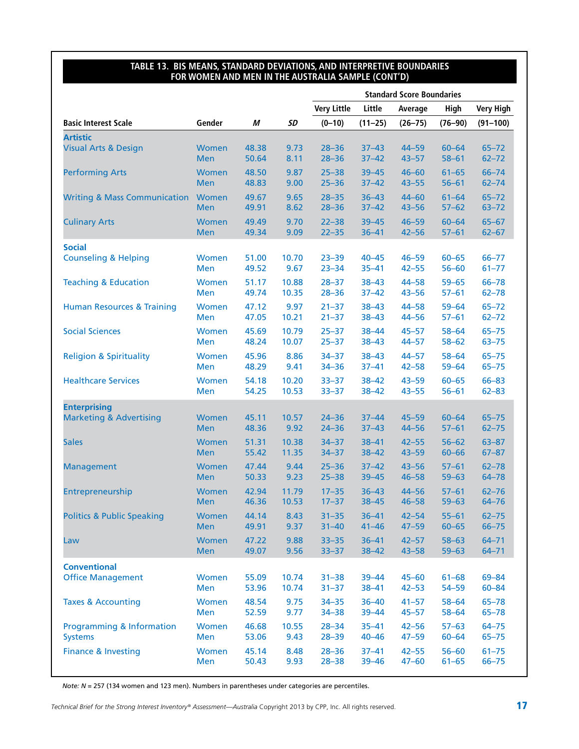#### **Table 13. BIS Means, Standard Deviations, and Interpretive boundaries for Women and Men in the Australia Sample (cont'd)**

|                                         |              |       |       |                    |             | <b>Standard Score Boundaries</b> |             |                  |
|-----------------------------------------|--------------|-------|-------|--------------------|-------------|----------------------------------|-------------|------------------|
|                                         |              |       |       | <b>Very Little</b> | Little      | Average                          | High        | <b>Very High</b> |
| <b>Basic Interest Scale</b>             | Gender       | М     | SD    | $(0-10)$           | $(11 - 25)$ | $(26 - 75)$                      | $(76 - 90)$ | $(91 - 100)$     |
| <b>Artistic</b>                         |              |       |       |                    |             |                                  |             |                  |
| <b>Visual Arts &amp; Design</b>         | Women        | 48.38 | 9.73  | $28 - 36$          | $37 - 43$   | $44 - 59$                        | $60 - 64$   | $65 - 72$        |
|                                         | <b>Men</b>   | 50.64 | 8.11  | $28 - 36$          | $37 - 42$   | $43 - 57$                        | $58 - 61$   | $62 - 72$        |
| <b>Performing Arts</b>                  | Women        | 48.50 | 9.87  | $25 - 38$          | $39 - 45$   | $46 - 60$                        | $61 - 65$   | $66 - 74$        |
|                                         | <b>Men</b>   | 48.83 | 9.00  | $25 - 36$          | $37 - 42$   | $43 - 55$                        | $56 - 61$   | $62 - 74$        |
| <b>Writing &amp; Mass Communication</b> | Women        | 49.67 | 9.65  | $28 - 35$          | $36 - 43$   | $44 - 60$                        | $61 - 64$   | $65 - 72$        |
|                                         | <b>Men</b>   | 49.91 | 8.62  | $28 - 36$          | $37 - 42$   | $43 - 56$                        | $57 - 62$   | $63 - 72$        |
| <b>Culinary Arts</b>                    | <b>Women</b> | 49.49 | 9.70  | $22 - 38$          | $39 - 45$   | $46 - 59$                        | $60 - 64$   | $65 - 67$        |
|                                         | <b>Men</b>   | 49.34 | 9.09  | $22 - 35$          | $36 - 41$   | $42 - 56$                        | $57 - 61$   | $62 - 67$        |
| <b>Social</b>                           |              |       |       |                    |             |                                  |             |                  |
| <b>Counseling &amp; Helping</b>         | Women        | 51.00 | 10.70 | $23 - 39$          | $40 - 45$   | $46 - 59$                        | $60 - 65$   | $66 - 77$        |
|                                         | Men          | 49.52 | 9.67  | $23 - 34$          | $35 - 41$   | $42 - 55$                        | $56 - 60$   | $61 - 77$        |
| <b>Teaching &amp; Education</b>         | Women        | 51.17 | 10.88 | $28 - 37$          | $38 - 43$   | $44 - 58$                        | $59 - 65$   | $66 - 78$        |
|                                         | Men          | 49.74 | 10.35 | $28 - 36$          | $37 - 42$   | $43 - 56$                        | $57 - 61$   | $62 - 78$        |
| <b>Human Resources &amp; Training</b>   | <b>Women</b> | 47.12 | 9.97  | $21 - 37$          | $38 - 43$   | $44 - 58$                        | $59 - 64$   | $65 - 72$        |
|                                         | Men          | 47.05 | 10.21 | $21 - 37$          | $38 - 43$   | $44 - 56$                        | $57 - 61$   | $62 - 72$        |
| <b>Social Sciences</b>                  | Women        | 45.69 | 10.79 | $25 - 37$          | $38 - 44$   | $45 - 57$                        | $58 - 64$   | $65 - 75$        |
|                                         | Men          | 48.24 | 10.07 | $25 - 37$          | $38 - 43$   | $44 - 57$                        | $58 - 62$   | $63 - 75$        |
| <b>Religion &amp; Spirituality</b>      | Women        | 45.96 | 8.86  | $34 - 37$          | $38 - 43$   | $44 - 57$                        | $58 - 64$   | $65 - 75$        |
|                                         | Men          | 48.29 | 9.41  | $34 - 36$          | $37 - 41$   | $42 - 58$                        | $59 - 64$   | $65 - 75$        |
| <b>Healthcare Services</b>              | Women        | 54.18 | 10.20 | $33 - 37$          | $38 - 42$   | $43 - 59$                        | $60 - 65$   | $66 - 83$        |
|                                         | Men          | 54.25 | 10.53 | $33 - 37$          | $38 - 42$   | $43 - 55$                        | $56 - 61$   | $62 - 83$        |
| <b>Enterprising</b>                     |              |       |       |                    |             |                                  |             |                  |
| <b>Marketing &amp; Advertising</b>      | Women        | 45.11 | 10.57 | $24 - 36$          | $37 - 44$   | $45 - 59$                        | $60 - 64$   | $65 - 75$        |
|                                         | <b>Men</b>   | 48.36 | 9.92  | $24 - 36$          | $37 - 43$   | $44 - 56$                        | $57 - 61$   | $62 - 75$        |
| <b>Sales</b>                            | Women        | 51.31 | 10.38 | $34 - 37$          | $38 - 41$   | $42 - 55$                        | $56 - 62$   | $63 - 87$        |
|                                         | <b>Men</b>   | 55.42 | 11.35 | $34 - 37$          | $38 - 42$   | $43 - 59$                        | $60 - 66$   | $67 - 87$        |
| <b>Management</b>                       | Women        | 47.44 | 9.44  | $25 - 36$          | $37 - 42$   | $43 - 56$                        | $57 - 61$   | $62 - 78$        |
|                                         | <b>Men</b>   | 50.33 | 9.23  | $25 - 38$          | $39 - 45$   | $46 - 58$                        | $59 - 63$   | $64 - 78$        |
| Entrepreneurship                        | Women        | 42.94 | 11.79 | $17 - 35$          | $36 - 43$   | $44 - 56$                        | $57 - 61$   | $62 - 76$        |
|                                         | <b>Men</b>   | 46.36 | 10.53 | $17 - 37$          | $38 - 45$   | $46 - 58$                        | $59 - 63$   | $64 - 76$        |
| <b>Politics &amp; Public Speaking</b>   | Women        | 44.14 | 8.43  | $31 - 35$          | $36 - 41$   | $42 - 54$                        | $55 - 61$   | $62 - 75$        |
|                                         | <b>Men</b>   | 49.91 | 9.37  | $31 - 40$          | $41 - 46$   | $47 - 59$                        | $60 - 65$   | $66 - 75$        |
| Law                                     | Women        | 47.22 | 9.88  | $33 - 35$          | $36 - 41$   | $42 - 57$                        | $58 - 63$   | $64 - 71$        |
|                                         | <b>Men</b>   | 49.07 | 9.56  | $33 - 37$          | $38 - 42$   | $43 - 58$                        | $59 - 63$   | $64 - 71$        |
| <b>Conventional</b>                     |              |       |       |                    |             |                                  |             |                  |
| <b>Office Management</b>                | Women        | 55.09 | 10.74 | $31 - 38$          | $39 - 44$   | $45 - 60$                        | $61 - 68$   | 69-84            |
|                                         | Men          | 53.96 | 10.74 | $31 - 37$          | $38 - 41$   | $42 - 53$                        | $54 - 59$   | $60 - 84$        |
| <b>Taxes &amp; Accounting</b>           | Women        | 48.54 | 9.75  | $34 - 35$          | $36 - 40$   | $41 - 57$                        | $58 - 64$   | $65 - 78$        |
|                                         | Men          | 52.59 | 9.77  | $34 - 38$          | 39-44       | $45 - 57$                        | $58 - 64$   | $65 - 78$        |
| <b>Programming &amp; Information</b>    | Women        | 46.68 | 10.55 | $28 - 34$          | $35 - 41$   | $42 - 56$                        | $57 - 63$   | $64 - 75$        |
| <b>Systems</b>                          | Men          | 53.06 | 9.43  | $28 - 39$          | $40 - 46$   | $47 - 59$                        | $60 - 64$   | $65 - 75$        |
| <b>Finance &amp; Investing</b>          | Women        | 45.14 | 8.48  | $28 - 36$          | $37 - 41$   | $42 - 55$                        | $56 - 60$   | $61 - 75$        |
|                                         | Men          | 50.43 | 9.93  | $28 - 38$          | $39 - 46$   | $47 - 60$                        | $61 - 65$   | $66 - 75$        |

*Note: N* = 257 (134 women and 123 men). Numbers in parentheses under categories are percentiles.

*Technical Brief for the Strong Interest Inventory® Assessment—Australia* Copyright 2013 by CPP, Inc. All rights reserved. 17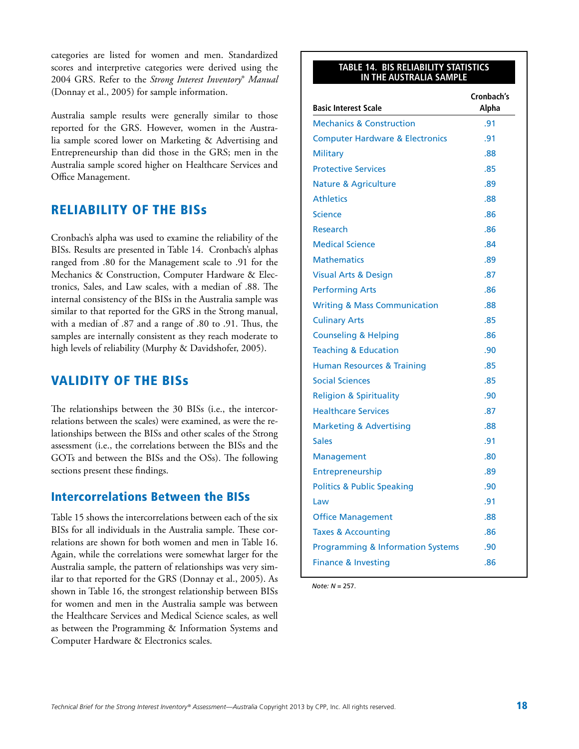categories are listed for women and men. Standardized scores and interpretive categories were derived using the 2004 GRS. Refer to the *Strong Interest Inventory*® *Manual*  (Donnay et al., 2005) for sample information.

Australia sample results were generally similar to those reported for the GRS. However, women in the Australia sample scored lower on Marketing & Advertising and Entrepreneurship than did those in the GRS; men in the Australia sample scored higher on Healthcare Services and Office Management.

### Reliability of the BISs

Cronbach's alpha was used to examine the reliability of the BISs. Results are presented in Table 14. Cronbach's alphas ranged from .80 for the Management scale to .91 for the Mechanics & Construction, Computer Hardware & Electronics, Sales, and Law scales, with a median of .88. The internal consistency of the BISs in the Australia sample was similar to that reported for the GRS in the Strong manual, with a median of .87 and a range of .80 to .91. Thus, the samples are internally consistent as they reach moderate to high levels of reliability (Murphy & Davidshofer, 2005).

### Validity of the BISs

The relationships between the 30 BISs (i.e., the intercorrelations between the scales) were examined, as were the relationships between the BISs and other scales of the Strong assessment (i.e., the correlations between the BISs and the GOTs and between the BISs and the OSs). The following sections present these findings.

#### Intercorrelations Between the BISs

Table 15 shows the intercorrelations between each of the six BISs for all individuals in the Australia sample. These correlations are shown for both women and men in Table 16. Again, while the correlations were somewhat larger for the Australia sample, the pattern of relationships was very similar to that reported for the GRS (Donnay et al., 2005). As shown in Table 16, the strongest relationship between BISs for women and men in the Australia sample was between the Healthcare Services and Medical Science scales, as well as between the Programming & Information Systems and Computer Hardware & Electronics scales.

#### **Table 14. BIS Reliability Statistics in the Australia Sample**

| <b>Basic Interest Scale</b>                  | Cronbach's<br>Alpha |
|----------------------------------------------|---------------------|
| <b>Mechanics &amp; Construction</b>          | .91                 |
| <b>Computer Hardware &amp; Electronics</b>   | .91                 |
| <b>Military</b>                              | .88                 |
| <b>Protective Services</b>                   | .85                 |
| <b>Nature &amp; Agriculture</b>              | .89                 |
| <b>Athletics</b>                             | .88                 |
| <b>Science</b>                               | .86                 |
| Research                                     | .86                 |
| <b>Medical Science</b>                       | .84                 |
| <b>Mathematics</b>                           | .89                 |
| <b>Visual Arts &amp; Design</b>              | .87                 |
| <b>Performing Arts</b>                       | .86                 |
| <b>Writing &amp; Mass Communication</b>      | .88                 |
| <b>Culinary Arts</b>                         | .85                 |
| <b>Counseling &amp; Helping</b>              | .86                 |
| <b>Teaching &amp; Education</b>              | .90                 |
| <b>Human Resources &amp; Training</b>        | .85                 |
| <b>Social Sciences</b>                       | .85                 |
| <b>Religion &amp; Spirituality</b>           | .90                 |
| <b>Healthcare Services</b>                   | .87                 |
| <b>Marketing &amp; Advertising</b>           | .88                 |
| <b>Sales</b>                                 | .91                 |
| Management                                   | .80                 |
| Entrepreneurship                             | .89                 |
| <b>Politics &amp; Public Speaking</b>        | .90                 |
| Law                                          | .91                 |
| <b>Office Management</b>                     | .88                 |
| <b>Taxes &amp; Accounting</b>                | .86                 |
| <b>Programming &amp; Information Systems</b> | .90                 |
| <b>Finance &amp; Investing</b>               | .86                 |

*Note: N* = 257.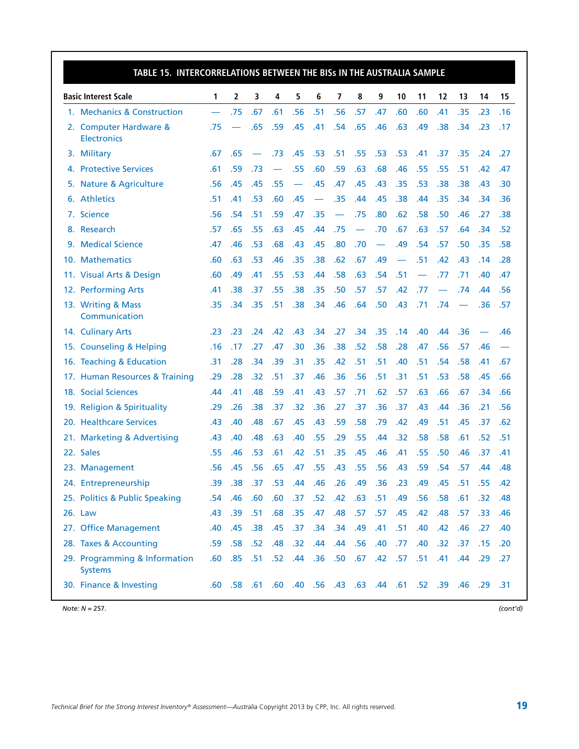| TABLE 15. INTERCORRELATIONS BETWEEN THE BISS IN THE AUSTRALIA SAMPLE |     |                   |                  |                          |             |     |                          |                          |     |             |     |                                                 |     |         |     |
|----------------------------------------------------------------------|-----|-------------------|------------------|--------------------------|-------------|-----|--------------------------|--------------------------|-----|-------------|-----|-------------------------------------------------|-----|---------|-----|
| <b>Basic Interest Scale</b>                                          | 1   | 2                 | 3                | 4                        | 5           | 6   | 7                        | 8                        | 9   | 10          | 11  | 12                                              | 13  | 14      | 15  |
| 1. Mechanics & Construction                                          |     | .75               | .67              | .61                      | .56         | .51 | .56                      | .57                      | .47 | .60         | .60 | .41                                             | .35 | .23     | .16 |
| 2. Computer Hardware &<br><b>Electronics</b>                         | .75 |                   | .65              | .59                      | .45         | .41 | .54                      | .65                      | .46 | .63         | .49 | .38                                             | .34 | .23     | .17 |
| 3. Military                                                          | .67 | .65               |                  | .73                      | .45         | .53 | .51                      | .55                      | .53 | .53         | .41 | .37                                             | .35 | .24     | .27 |
| 4. Protective Services                                               | .61 | .59               | .73              | $\overline{\phantom{0}}$ | .55         | .60 | .59                      | .63                      | .68 | .46         | .55 | .55                                             | .51 | .42     | .47 |
| 5. Nature & Agriculture                                              | .56 | .45               | .45              | .55                      |             | .45 | .47                      | .45                      | .43 | .35         | .53 | .38                                             | .38 | .43     | .30 |
| 6. Athletics                                                         | .51 | .41               | .53              | .60                      | .45         |     | .35                      | .44                      | .45 | .38         | .44 | .35                                             | .34 | .34     | .36 |
| 7. Science                                                           | .56 | .54               | .51              | .59                      | .47         | .35 | $\overline{\phantom{0}}$ | .75                      | .80 | .62         | .58 | .50                                             | .46 | .27     | .38 |
| 8. Research                                                          | .57 | .65               | .55              | .63                      | .45         | .44 | .75                      | $\overline{\phantom{0}}$ | .70 | .67         | .63 | .57                                             | .64 | .34     | .52 |
| 9. Medical Science                                                   | .47 | .46               | .53              | .68                      | .43         | .45 | .80                      | .70                      |     | .49         | .54 | .57                                             | .50 | .35     | .58 |
| 10. Mathematics                                                      | .60 | .63               | .53              | .46                      | .35         | .38 | .62                      | .67                      | .49 |             | .51 | .42                                             | .43 | .14     | .28 |
| 11. Visual Arts & Design                                             | .60 | .49               | .41              | .55                      | .53         | .44 | .58                      | .63                      | .54 | .51         |     | .77                                             | .71 | .40     | .47 |
| 12. Performing Arts                                                  | .41 | .38               | .37              | .55                      | .38         | .35 | .50                      | .57                      | .57 | .42         | .77 |                                                 | .74 | .44     | .56 |
| 13. Writing & Mass<br>Communication                                  | .35 | .34               | .35              | .51                      | .38         | .34 | .46                      | .64                      | .50 | .43         | .71 | .74                                             |     | .36     | .57 |
| 14. Culinary Arts                                                    | .23 | .23               | .24              | .42                      | .43         | .34 | .27                      | .34                      | .35 | .14         | .40 | .44                                             | .36 |         | .46 |
| 15. Counseling & Helping                                             | .16 | .17               | .27              | .47                      | .30         | .36 | .38                      | .52                      | .58 | .28         | .47 | .56                                             | .57 | .46     |     |
| 16. Teaching & Education                                             | .31 | .28               | .34              | .39                      | .31         | .35 | .42                      | .51                      | .51 | .40         | .51 | .54                                             | .58 | .41     | .67 |
| 17. Human Resources & Training                                       | .29 | .28               | .32              | .51                      | .37         | .46 | .36                      | .56                      | .51 | .31         | .51 | .53                                             | .58 | .45     | .66 |
| 18. Social Sciences                                                  | .44 | .41               | .48              | .59                      | .41         | .43 | .57                      | .71                      | .62 | .57         | .63 | .66                                             | .67 | .34     | .66 |
| 19. Religion & Spirituality                                          | .29 | .26               | .38              | .37                      | .32         | .36 | .27                      | .37                      | .36 | .37         | .43 | .44                                             | .36 | .21     | .56 |
| 20. Healthcare Services                                              | .43 | .40               | .48              | .67                      | .45         | .43 | .59                      | .58                      | .79 | .42         | .49 | .51                                             | .45 | .37     | .62 |
| 21. Marketing & Advertising                                          | .43 | .40               | .48              | .63                      | .40         | .55 | .29                      | .55                      | .44 | .32         | .58 | .58                                             | .61 | .52     | .51 |
| 22. Sales                                                            | .55 | .46               | .53              | .61                      | .42         | .51 | .35                      | .45                      | .46 | .41         | .55 | .50                                             | .46 | .37     | .41 |
| 23. Management                                                       | .56 | .45               | .56              | .65                      | .47         | .55 | .43                      | .55                      | .56 | .43         | .59 | .54                                             | .57 | .44     | .48 |
| 24. Entrepreneurship                                                 | .39 | .38               | .37 <sub>2</sub> |                          | $.53-.44$   |     | .46 .26 .49              |                          |     | .36 .23 .49 |     | .45                                             | .51 | .55     | .42 |
| 25. Politics & Public Speaking                                       | .54 | .46               | .60              | .60                      | .37         | .52 | .42                      | .63                      | .51 | .49         | .56 | .58                                             | .61 | .32     | .48 |
| 26. Law                                                              | .43 | .39               | .51              | .68                      | .35         | .47 | .48                      | .57                      | .57 | .45         | .42 | .48                                             | .57 | .33     | .46 |
| 27. Office Management                                                | .40 | .45               | .38              | .45                      | .37         | .34 | .34                      | .49                      | .41 | .51         | .40 | .42                                             | .46 | .27     | .40 |
| 28. Taxes & Accounting                                               | .59 | .58               | .52              | .48                      | .32         | .44 | .44                      | .56                      | .40 | .77         | .40 | .32                                             | .37 | .15     | .20 |
| 29. Programming & Information<br><b>Systems</b>                      | .60 | $.85$ $.51$       |                  | .52                      | .44 .36 .50 |     |                          | .67                      |     | .42 .57     | .51 | .41                                             |     | .44 .29 | .27 |
| 30. Finance & Investing                                              |     | $.60$ $.58$ $.61$ |                  |                          |             |     |                          |                          |     |             |     | .29 .46 .29 .58 .52 .63 .44 .61 .52 .39 .40 .60 |     |         | .31 |

*Note: N* = 257. *(cont'd)*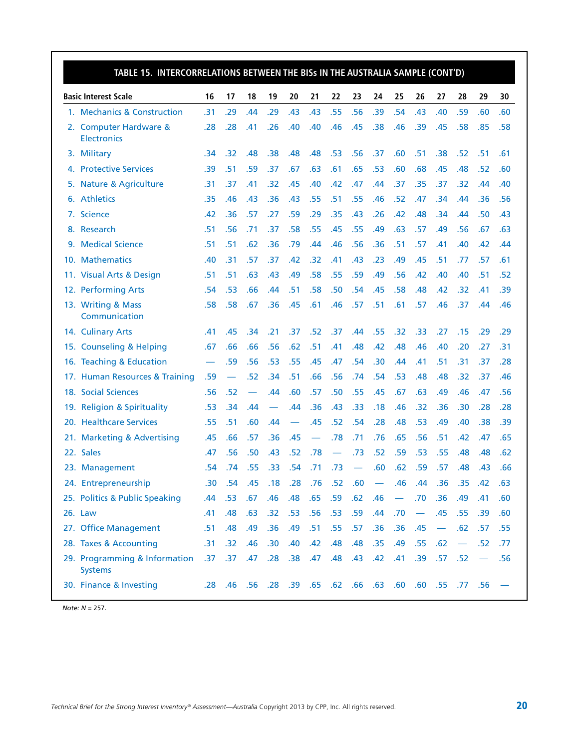| TABLE 15. INTERCORRELATIONS BETWEEN THE BISS IN THE AUSTRALIA SAMPLE (CONT'D) |     |                          |     |                                                               |     |                          |                          |                          |                  |                          |                          |                          |                          |     |     |
|-------------------------------------------------------------------------------|-----|--------------------------|-----|---------------------------------------------------------------|-----|--------------------------|--------------------------|--------------------------|------------------|--------------------------|--------------------------|--------------------------|--------------------------|-----|-----|
| <b>Basic Interest Scale</b>                                                   | 16  | 17                       | 18  | 19                                                            | 20  | 21                       | 22                       | 23                       | 24               | 25                       | 26                       | 27                       | 28                       | 29  | 30  |
| 1. Mechanics & Construction                                                   | .31 | .29                      | .44 | .29                                                           | .43 | .43                      | .55                      | .56                      | .39              | .54                      | .43                      | .40                      | .59                      | .60 | .60 |
| 2. Computer Hardware &<br><b>Electronics</b>                                  | .28 | .28                      | .41 | .26                                                           | .40 | .40                      | .46                      | .45                      | .38              | .46                      | .39                      | .45                      | .58                      | .85 | .58 |
| 3. Military                                                                   | .34 | .32                      | .48 | .38                                                           | .48 | .48                      | .53                      | .56                      | .37              | .60                      | .51                      | .38                      | .52                      | .51 | .61 |
| 4. Protective Services                                                        | .39 | .51                      | .59 | .37                                                           | .67 | .63                      | .61                      | .65                      | .53              | .60                      | .68                      | .45                      | .48                      | .52 | .60 |
| 5. Nature & Agriculture                                                       | .31 | .37                      | .41 | .32                                                           | .45 | .40                      | .42                      | .47                      | .44              | .37                      | .35                      | .37                      | .32                      | .44 | .40 |
| 6. Athletics                                                                  | .35 | .46                      | .43 | .36                                                           | .43 | .55                      | .51                      | .55                      | .46              | .52                      | .47                      | .34                      | .44                      | .36 | .56 |
| 7. Science                                                                    | .42 | .36                      | .57 | .27                                                           | .59 | .29                      | .35                      | .43                      | .26              | .42                      | .48                      | .34                      | .44                      | .50 | .43 |
| 8. Research                                                                   | .51 | .56                      | .71 | .37                                                           | .58 | .55                      | .45                      | .55                      | .49              | .63                      | .57                      | .49                      | .56                      | .67 | .63 |
| 9. Medical Science                                                            | .51 | .51                      | .62 | .36                                                           | .79 | .44                      | .46                      | .56                      | .36              | .51                      | .57                      | .41                      | .40                      | .42 | .44 |
| 10. Mathematics                                                               | .40 | .31                      | .57 | .37                                                           | .42 | .32                      | .41                      | .43                      | .23              | .49                      | .45                      | .51                      | .77                      | .57 | .61 |
| 11. Visual Arts & Design                                                      | .51 | .51                      | .63 | .43                                                           | .49 | .58                      | .55                      | .59                      | .49              | .56                      | .42                      | .40                      | .40                      | .51 | .52 |
| 12. Performing Arts                                                           | .54 | .53                      | .66 | .44                                                           | .51 | .58                      | .50                      | .54                      | .45              | .58                      | .48                      | .42                      | .32                      | .41 | .39 |
| 13. Writing & Mass<br>Communication                                           | .58 | .58                      | .67 | .36                                                           | .45 | .61                      | .46                      | .57                      | .51              | .61                      | .57                      | .46                      | .37                      | .44 | .46 |
| 14. Culinary Arts                                                             | .41 | .45                      | .34 | .21                                                           | .37 | .52                      | .37                      | .44                      | .55              | .32                      | .33                      | .27                      | .15                      | .29 | .29 |
| 15. Counseling & Helping                                                      | .67 | .66                      | .66 | .56                                                           | .62 | .51                      | .41                      | .48                      | .42              | .48                      | .46                      | .40                      | .20                      | .27 | .31 |
| 16. Teaching & Education                                                      |     | .59                      | .56 | .53                                                           | .55 | .45                      | .47                      | .54                      | .30              | .44                      | .41                      | .51                      | .31                      | .37 | .28 |
| 17. Human Resources & Training                                                | .59 | $\overline{\phantom{0}}$ | .52 | .34                                                           | .51 | .66                      | .56                      | .74                      | .54              | .53                      | .48                      | .48                      | .32                      | .37 | .46 |
| 18. Social Sciences                                                           | .56 | .52                      |     | .44                                                           | .60 | .57                      | .50                      | .55                      | .45              | .67                      | .63                      | .49                      | .46                      | .47 | .56 |
| 19. Religion & Spirituality                                                   | .53 | .34                      | .44 |                                                               | .44 | .36                      | .43                      | .33                      | .18              | .46                      | .32                      | .36                      | .30                      | .28 | .28 |
| 20. Healthcare Services                                                       | .55 | .51                      | .60 | .44                                                           |     | .45                      | .52                      | .54                      | .28              | .48                      | .53                      | .49                      | .40                      | .38 | .39 |
| 21. Marketing & Advertising                                                   | .45 | .66                      | .57 | .36                                                           | .45 | $\overline{\phantom{0}}$ | .78                      | .71                      | .76              | .65                      | .56                      | .51                      | .42                      | .47 | .65 |
| 22. Sales                                                                     | .47 | .56                      | .50 | .43                                                           | .52 | .78                      | $\overline{\phantom{0}}$ | .73                      | .52              | .59                      | .53                      | .55                      | .48                      | .48 | .62 |
| 23. Management                                                                | .54 | .74                      | .55 | .33                                                           | .54 | .71                      | .73                      | $\overline{\phantom{0}}$ | .60              | .62                      | .59                      | .57                      | .48                      | .43 | .66 |
| 24. Entrepreneurship                                                          | .30 | .54                      | .45 | .18                                                           | .28 | .76                      | .52                      | .60                      | $\hspace{0.1mm}$ | .46                      | .44                      | .36                      | .35                      | .42 | .63 |
| 25. Politics & Public Speaking                                                | .44 | .53                      | .67 | .46                                                           | .48 | .65                      | .59                      | .62                      | .46              | $\overline{\phantom{m}}$ | .70                      | .36                      | .49                      | .41 | .60 |
| 26. Law                                                                       | .41 | .48                      | .63 | .32                                                           | .53 | .56                      | .53                      | .59                      | .44              | .70                      | $\overline{\phantom{m}}$ | .45                      | .55                      | .39 | .60 |
| 27. Office Management                                                         | .51 | .48                      | .49 | .36                                                           | .49 | .51                      | .55                      | .57                      | .36              | .36                      | .45                      | $\overline{\phantom{0}}$ | .62                      | .57 | .55 |
| 28. Taxes & Accounting                                                        | .31 | .32                      | .46 | .30                                                           | .40 | .42                      | .48                      | .48                      | .35              | .49                      | .55                      | .62                      | $\overline{\phantom{0}}$ | .52 | .77 |
| 29. Programming & Information<br><b>Systems</b>                               | .37 | .37 <sub>0</sub>         | .47 | .28                                                           | .38 | .47                      | .48 <sub>1</sub>         | .43                      | .42              | .41                      | .39                      | .57                      | .52                      |     | .56 |
| 30. Finance & Investing                                                       |     |                          |     | - 56. 77. 55. 60. 60. 60. 63. 66. 52. 65. 59. 89. 89. 10. 82. |     |                          |                          |                          |                  |                          |                          |                          |                          |     |     |

*Note: N* = 257.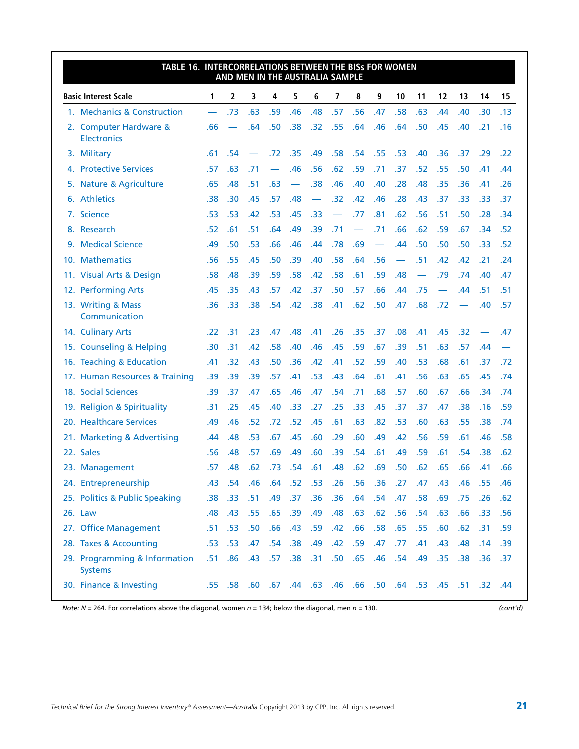| TABLE 16. INTERCORRELATIONS BETWEEN THE BISs FOR WOMEN |                  |                          |     | AND MEN IN THE AUSTRALIA SAMPLE |                  |             |     |                          |     |     |                          |     |     |                                                                     |     |
|--------------------------------------------------------|------------------|--------------------------|-----|---------------------------------|------------------|-------------|-----|--------------------------|-----|-----|--------------------------|-----|-----|---------------------------------------------------------------------|-----|
| <b>Basic Interest Scale</b>                            | 1                | 2                        | 3   | 4                               | 5                | 6           | 7   | 8                        | 9   | 10  | 11                       | 12  | 13  | 14                                                                  | 15  |
| 1. Mechanics & Construction                            |                  | .73                      | .63 | .59                             | .46              | .48         | .57 | .56                      | .47 | .58 | .63                      | .44 | .40 | .30                                                                 | .13 |
| 2. Computer Hardware &<br><b>Electronics</b>           | .66              | $\overline{\phantom{0}}$ | .64 | .50                             | .38              | .32         | .55 | .64                      | .46 | .64 | .50                      | .45 | .40 | .21                                                                 | .16 |
| 3. Military                                            | .61              | .54                      |     | .72                             | .35              | .49         | .58 | .54                      | .55 | .53 | .40                      | .36 | .37 | .29                                                                 | .22 |
| 4. Protective Services                                 | .57              | .63                      | .71 |                                 | .46              | .56         | .62 | .59                      | .71 | .37 | .52                      | .55 | .50 | .41                                                                 | .44 |
| 5. Nature & Agriculture                                | .65              | .48                      | .51 | .63                             |                  | .38         | .46 | .40                      | .40 | .28 | .48                      | .35 | .36 | .41                                                                 | .26 |
| 6. Athletics                                           | .38              | .30                      | .45 | .57                             | .48              |             | .32 | .42                      | .46 | .28 | .43                      | .37 | .33 | .33                                                                 | .37 |
| 7. Science                                             | .53              | .53                      | .42 | .53                             | .45              | .33         |     | .77                      | .81 | .62 | .56                      | .51 | .50 | .28                                                                 | .34 |
| 8. Research                                            | .52              | .61                      | .51 | .64                             | .49              | .39         | .71 | $\overline{\phantom{0}}$ | .71 | .66 | .62                      | .59 | .67 | .34                                                                 | .52 |
| 9. Medical Science                                     | .49              | .50                      | .53 | .66                             | .46              | .44         | .78 | .69                      |     | .44 | .50                      | .50 | .50 | .33                                                                 | .52 |
| 10. Mathematics                                        | .56              | .55                      | .45 | .50                             | .39              | .40         | .58 | .64                      | .56 |     | .51                      | .42 | .42 | .21                                                                 | .24 |
| 11. Visual Arts & Design                               | .58              | .48                      | .39 | .59                             | .58              | .42         | .58 | .61                      | .59 | .48 | $\overline{\phantom{0}}$ | .79 | .74 | .40                                                                 | .47 |
| 12. Performing Arts                                    | .45              | .35                      | .43 | .57                             | .42              | .37         | .50 | .57                      | .66 | .44 | .75                      |     | .44 | .51                                                                 | .51 |
| 13. Writing & Mass<br>Communication                    | .36              | .33                      | .38 | .54                             | .42              | .38         | .41 | .62                      | .50 | .47 | .68                      | .72 |     | .40                                                                 | .57 |
| 14. Culinary Arts                                      | .22              | .31                      | .23 | .47                             | .48              | .41         | .26 | .35                      | .37 | .08 | .41                      | .45 | .32 |                                                                     | .47 |
| 15. Counseling & Helping                               | .30              | .31                      | .42 | .58                             | .40              | .46         | .45 | .59                      | .67 | .39 | .51                      | .63 | .57 | .44                                                                 |     |
| 16. Teaching & Education                               | .41              | .32                      | .43 | .50                             | .36              | .42         | .41 | .52                      | .59 | .40 | .53                      | .68 | .61 | .37                                                                 | .72 |
| 17. Human Resources & Training                         | .39              | .39                      | .39 | .57                             | .41              | .53         | .43 | .64                      | .61 | .41 | .56                      | .63 | .65 | .45                                                                 | .74 |
| 18. Social Sciences                                    | .39              | .37                      | .47 | .65                             | .46              | .47         | .54 | .71                      | .68 | .57 | .60                      | .67 | .66 | .34                                                                 | .74 |
| 19. Religion & Spirituality                            | .31              | .25                      | .45 | .40                             | .33              | .27         | .25 | .33                      | .45 | .37 | .37                      | .47 | .38 | .16                                                                 | .59 |
| 20. Healthcare Services                                | .49              | .46                      | .52 | .72                             | .52              | .45         | .61 | .63                      | .82 | .53 | .60                      | .63 | .55 | .38                                                                 | .74 |
| 21. Marketing & Advertising                            | .44              | .48                      | .53 | .67                             | .45              | .60         | .29 | .60                      | .49 | .42 | .56                      | .59 | .61 | .46                                                                 | .58 |
| 22. Sales                                              | .56              | .48                      | .57 | .69                             | .49              | .60         | .39 | .54                      | .61 | .49 | .59                      | .61 | .54 | .38                                                                 | .62 |
| 23. Management                                         | .57              | .48                      | .62 | .73                             | .54              | .61         | .48 | .62                      | .69 | .50 | .62                      | .65 | .66 | .41                                                                 | .66 |
| 24. Entrepreneurship                                   | .43              | .54                      | .46 | .64                             |                  | $.52$ $.53$ | .26 | $.56$ .36                |     |     | $.27-.47$                | .43 | .46 | .55                                                                 | .46 |
| 25. Politics & Public Speaking                         | .38 <sub>0</sub> | .33                      | .51 | .49                             | .37              | .36         | .36 | .64                      | .54 | .47 | .58                      | .69 | .75 | .26                                                                 | .62 |
| 26. Law                                                | .48              | .43                      | .55 | .65                             | .39              | .49         | .48 | .63                      | .62 | .56 | .54                      | .63 | .66 | .33                                                                 | .56 |
| 27. Office Management                                  |                  | $.51$ .53                | .50 | .66                             | .43              | .59         | .42 | .66                      | .58 | .65 | .55                      | .60 | .62 | .31                                                                 | .59 |
| 28. Taxes & Accounting                                 | .53              | .53                      | .47 | .54                             | .38              | .49         | .42 | .59                      | .47 | .77 | .41                      | .43 | .48 | .14                                                                 | .39 |
| 29. Programming & Information<br><b>Systems</b>        | .51              | .86                      | .43 | .57                             | .38 <sub>0</sub> | .31         | .50 | .65                      | .46 | .54 | .49                      | .35 | .38 | .36                                                                 | .37 |
| 30. Finance & Investing                                |                  |                          |     |                                 |                  |             |     |                          |     |     |                          |     |     | 44. 32. 51. 55. 45. 53. 64. 50. 66. 46. 66. 64. 44. 67. 68. 58. 55. |     |

*Note: N* = 264. For correlations above the diagonal, women *n* = 134; below the diagonal, men *n* = 130. *(cont'd)*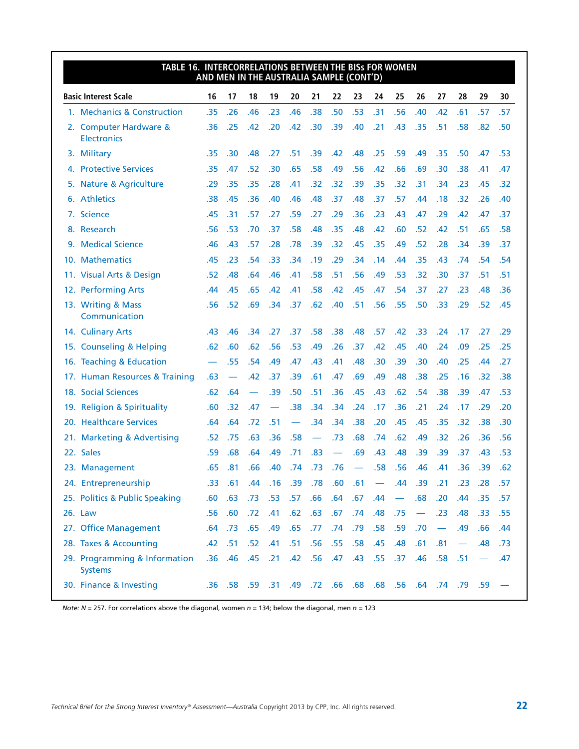| TABLE 16. INTERCORRELATIONS BETWEEN THE BISs FOR WOMEN | AND MEN IN THE AUSTRALIA SAMPLE (CONT'D) |                          |     |     |                          |     |     |     |                                                               |     |                          |                          |     |                          |     |
|--------------------------------------------------------|------------------------------------------|--------------------------|-----|-----|--------------------------|-----|-----|-----|---------------------------------------------------------------|-----|--------------------------|--------------------------|-----|--------------------------|-----|
| <b>Basic Interest Scale</b>                            | 16                                       | 17                       | 18  | 19  | 20                       | 21  | 22  | 23  | 24                                                            | 25  | 26                       | 27                       | 28  | 29                       | 30  |
| 1. Mechanics & Construction                            | .35                                      | .26                      | .46 | .23 | .46                      | .38 | .50 | .53 | .31                                                           | .56 | .40                      | .42                      | .61 | .57                      | .57 |
| 2. Computer Hardware &<br><b>Electronics</b>           | .36                                      | .25                      | .42 | .20 | .42                      | .30 | .39 | .40 | .21                                                           | .43 | .35                      | .51                      | .58 | .82                      | .50 |
| 3. Military                                            | .35                                      | .30                      | .48 | .27 | .51                      | .39 | .42 | .48 | .25                                                           | .59 | .49                      | .35                      | .50 | .47                      | .53 |
| 4. Protective Services                                 | .35                                      | .47                      | .52 | .30 | .65                      | .58 | .49 | .56 | .42                                                           | .66 | .69                      | .30                      | .38 | .41                      | .47 |
| 5. Nature & Agriculture                                | .29                                      | .35                      | .35 | .28 | .41                      | .32 | .32 | .39 | .35                                                           | .32 | .31                      | .34                      | .23 | .45                      | .32 |
| 6. Athletics                                           | .38                                      | .45                      | .36 | .40 | .46                      | .48 | .37 | .48 | .37                                                           | .57 | .44                      | .18                      | .32 | .26                      | .40 |
| 7. Science                                             | .45                                      | .31                      | .57 | .27 | .59                      | .27 | .29 | .36 | .23                                                           | .43 | .47                      | .29                      | .42 | .47                      | .37 |
| 8. Research                                            | .56                                      | .53                      | .70 | .37 | .58                      | .48 | .35 | .48 | .42                                                           | .60 | .52                      | .42                      | .51 | .65                      | .58 |
| 9. Medical Science                                     | .46                                      | .43                      | .57 | .28 | .78                      | .39 | .32 | .45 | .35                                                           | .49 | .52                      | .28                      | .34 | .39                      | .37 |
| 10. Mathematics                                        | .45                                      | .23                      | .54 | .33 | .34                      | .19 | .29 | .34 | .14                                                           | .44 | .35                      | .43                      | .74 | .54                      | .54 |
| 11. Visual Arts & Design                               | .52                                      | .48                      | .64 | .46 | .41                      | .58 | .51 | .56 | .49                                                           | .53 | .32                      | .30                      | .37 | .51                      | .51 |
| 12. Performing Arts                                    | .44                                      | .45                      | .65 | .42 | .41                      | .58 | .42 | .45 | .47                                                           | .54 | .37                      | .27                      | .23 | .48                      | .36 |
| 13. Writing & Mass<br>Communication                    | .56                                      | .52                      | .69 | .34 | .37                      | .62 | .40 | .51 | .56                                                           | .55 | .50                      | .33                      | .29 | .52                      | .45 |
| 14. Culinary Arts                                      | .43                                      | .46                      | .34 | .27 | .37                      | .58 | .38 | .48 | .57                                                           | .42 | .33                      | .24                      | .17 | .27                      | .29 |
| 15. Counseling & Helping                               | .62                                      | .60                      | .62 | .56 | .53                      | .49 | .26 | .37 | .42                                                           | .45 | .40                      | .24                      | .09 | .25                      | .25 |
| 16. Teaching & Education                               |                                          | .55                      | .54 | .49 | .47                      | .43 | .41 | .48 | .30                                                           | .39 | .30                      | .40                      | .25 | .44                      | .27 |
| 17. Human Resources & Training                         | .63                                      | $\overline{\phantom{0}}$ | .42 | .37 | .39                      | .61 | .47 | .69 | .49                                                           | .48 | .38                      | .25                      | .16 | .32                      | .38 |
| 18. Social Sciences                                    | .62                                      | .64                      |     | .39 | .50                      | .51 | .36 | .45 | .43                                                           | .62 | .54                      | .38                      | .39 | .47                      | .53 |
| 19. Religion & Spirituality                            | .60                                      | .32                      | .47 |     | .38                      | .34 | .34 | .24 | .17                                                           | .36 | .21                      | .24                      | .17 | .29                      | .20 |
| 20. Healthcare Services                                | .64                                      | .64                      | .72 | .51 | $\overline{\phantom{0}}$ | .34 | .34 | .38 | .20                                                           | .45 | .45                      | .35                      | .32 | .38                      | .30 |
| 21. Marketing & Advertising                            | .52                                      | .75                      | .63 | .36 | .58                      |     | .73 | .68 | .74                                                           | .62 | .49                      | .32                      | .26 | .36                      | .56 |
| 22. Sales                                              | .59                                      | .68                      | .64 | .49 | .71                      | .83 |     | .69 | .43                                                           | .48 | .39                      | .39                      | .37 | .43                      | .53 |
| 23. Management                                         | .65                                      | .81                      | .66 | .40 | .74                      | .73 | .76 |     | .58                                                           | .56 | .46                      | .41                      | .36 | .39                      | .62 |
| 24. Entrepreneurship                                   | .33                                      | .61                      | .44 | .16 | .39                      | .78 | .60 | .61 | $\overline{\phantom{m}}$                                      | .44 | .39                      | .21                      | .23 | .28                      | .57 |
| 25. Politics & Public Speaking                         | .60                                      | .63                      | .73 | .53 | .57                      | .66 | .64 | .67 | .44                                                           |     | .68                      | .20                      | .44 | .35                      | .57 |
| 26. Law                                                | .56                                      | .60                      | .72 | .41 | .62                      | .63 | .67 | .74 | .48                                                           | .75 | $\overline{\phantom{m}}$ | .23                      | .48 | .33                      | .55 |
| 27. Office Management                                  | .64                                      | .73                      | .65 | .49 | .65                      | .77 | .74 | .79 | .58                                                           | .59 | .70                      | $\overline{\phantom{0}}$ | .49 | .66                      | .44 |
| 28. Taxes & Accounting                                 | .42                                      | .51                      | .52 | .41 | .51                      | .56 | .55 | .58 | .45                                                           | .48 | .61                      | .81                      |     | .48                      | .73 |
| 29. Programming & Information<br><b>Systems</b>        | .36                                      | .46                      | .45 | .21 | .42                      | .56 | .47 | .43 | .55                                                           | .37 | .46                      | .58                      | .51 | $\overline{\phantom{0}}$ | .47 |
| 30. Finance & Investing                                |                                          |                          |     |     |                          |     |     |     | - 59. 79. 79. 74. 66. 68. 68. 68. 66. 72. 49. 12. 79. 59. 66. |     |                          |                          |     |                          |     |

*Note: N* = 257. For correlations above the diagonal, women *n* = 134; below the diagonal, men *n* = 123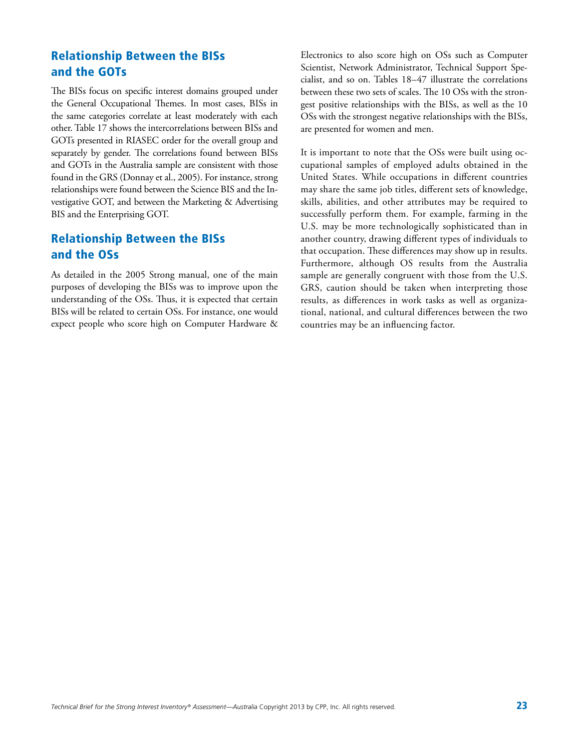### Relationship Between the BISs and the GOTs

The BISs focus on specific interest domains grouped under the General Occupational Themes. In most cases, BISs in the same categories correlate at least moderately with each other. Table 17 shows the intercorrelations between BISs and GOTs presented in RIASEC order for the overall group and separately by gender. The correlations found between BISs and GOTs in the Australia sample are consistent with those found in the GRS (Donnay et al., 2005). For instance, strong relationships were found between the Science BIS and the Investigative GOT, and between the Marketing & Advertising BIS and the Enterprising GOT.

### Relationship Between the BISs and the OSs

As detailed in the 2005 Strong manual, one of the main purposes of developing the BISs was to improve upon the understanding of the OSs. Thus, it is expected that certain BISs will be related to certain OSs. For instance, one would expect people who score high on Computer Hardware & Electronics to also score high on OSs such as Computer Scientist, Network Administrator, Technical Support Specialist, and so on. Tables 18–47 illustrate the correlations between these two sets of scales. The 10 OSs with the strongest positive relationships with the BISs, as well as the 10 OSs with the strongest negative relationships with the BISs, are presented for women and men.

It is important to note that the OSs were built using occupational samples of employed adults obtained in the United States. While occupations in different countries may share the same job titles, different sets of knowledge, skills, abilities, and other attributes may be required to successfully perform them. For example, farming in the U.S. may be more technologically sophisticated than in another country, drawing different types of individuals to that occupation. These differences may show up in results. Furthermore, although OS results from the Australia sample are generally congruent with those from the U.S. GRS, caution should be taken when interpreting those results, as differences in work tasks as well as organizational, national, and cultural differences between the two countries may be an influencing factor.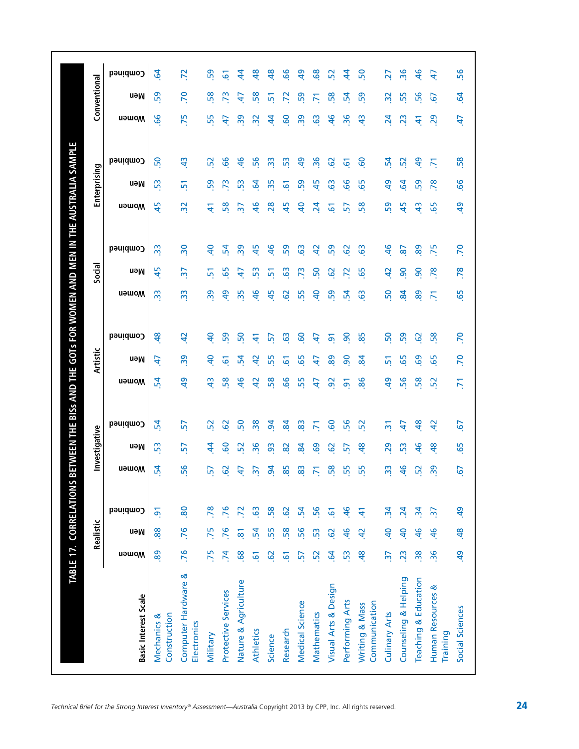|                                    |                 | Realistic      |                 |               | Investigative |                 |                | Artistic       |                |                | Social                   |                         |                 | Enterprising   |                |                 | Conventional   |  |
|------------------------------------|-----------------|----------------|-----------------|---------------|---------------|-----------------|----------------|----------------|----------------|----------------|--------------------------|-------------------------|-----------------|----------------|----------------|-----------------|----------------|--|
| <b>Basic Interest Scale</b>        | <b>u</b> əwom   | neM            | Combined        | <b>Nomen</b>  | neM           | Combined        | <b>Momen</b>   | neM            | Combined       | <b>Nomen</b>   | neM                      | Combined                | <b>Nomen</b>    | neM            | Combined       | <b>U</b> amoW   | neM            |  |
| Construction<br>Mechanics &        | 89              | 88.            | $\overline{5}$  | 24            | 53            | 24              | 54             | £              | $\frac{8}{2}$  | 33             | 45                       | $\frac{3}{2}$           | 45              | 53             | 50             | 99              | 59             |  |
| Computer Hardware &<br>Electronics | .76             | .76            | 80              | 56            | 57            | 57              | අ              | 39             | $\overline{a}$ | $\frac{2}{3}$  | $\overline{\mathcal{S}}$ | $\overline{\mathbf{S}}$ | $\overline{32}$ | 51             | $\frac{3}{4}$  | .75             | P.             |  |
| Military                           | .75             | .75            | 78              | 57            | \$            | 52              | $\frac{4}{3}$  | $\overline{a}$ | $\overline{a}$ | 39             | 5                        | $\overline{a}$          | $\ddot{t}$      | 59             | 52             | 55              | 58             |  |
| Protective Services                | $\overline{7}$  | 76             | .76             | င္မွ          | င္စ           | 29              | 58             | 61             | 59             | $\overline{5}$ | 65                       | 54                      | 58              | 73             | 99             | 47              | 73             |  |
| Nature & Agriculture               | 68              | $\overline{8}$ | $\overline{z}$  | 47            | 52            | 50              | $\frac{1}{6}$  | 54             | <sub>50</sub>  | 35             | 4                        | 39                      | $\overline{5}$  | 53             | $\frac{6}{5}$  | 39              | 47             |  |
| Athletics                          | $\overline{6}$  | 54             | $\overline{6}$  | m             | 96            | 38              | $\overline{a}$ | Ğ              | $\Delta$       | $\frac{6}{5}$  | 53                       | 45                      | $\frac{6}{5}$   | 54             | 56             | $\approx$       | 58             |  |
| Science                            | $\overline{6}$  | 55             | 58              | द्र           | 93            | 54              | 58             | 55             | <u>m</u>       | 45             | û۹                       | $\frac{6}{5}$           | 28              | 35             | $\frac{3}{2}$  | \$              | 51             |  |
| Research                           | $\overline{6}$  | 58             | $\overline{6}$  | 85            | 82            | $\mathbf{g}$    | 99             | 6              | <b>G3</b>      | 29             | $\frac{6}{3}$            | 59                      | 45              | 61             | 53             | <b>GO</b>       | 2              |  |
| Medical Science                    | 57              | 56             | 54              | 83            | 84            | 83              | 55             | 65             | <u>င</u>       | 55             | $\overline{7}$           | 63                      | $\overline{a}$  | 59             | $\overline{a}$ | 39              | 59             |  |
| Mathematics                        | 52              | 53             | 56              |               | 69            | π               | 47             | 47             | £,             | $\overline{a}$ | 50                       | $\overline{a}$          | $\overline{a}$  | 45             | 36             | 63              |                |  |
| Visual Arts & Design               | $\overline{a}$  | 62             | $\overline{6}$  | 58            | 29            | င္စ             | $\overline{5}$ | 89             | వ్             | 59             | 29                       | 59                      | 5               | <b>G3</b>      | 29             | $\frac{6}{5}$   | 58             |  |
| Performing Arts                    | 53              | $\frac{4}{6}$  | 46              | 55            | 5             | 56              | $\overline{9}$ | ႙              | ႙              | 24             | $\overline{z}$           | 29                      | 57              | 99             | 61             | 36              | 54             |  |
| Communication<br>Writing & Mass    | $\frac{8}{2}$   | $\overline{4}$ | 41              | 55            | \$            | 52              | 86             | 8ğ             | 85             | <b>G</b>       | 65                       | 63                      | 58              | 65             | <b>GO</b>      | $\frac{1}{2}$   | 59             |  |
| Culinary Arts                      | $\frac{1}{2}$   | $\overline{a}$ | $\mathbf{z}$    | 33            | 29            | $\overline{5}$  | $\overline{a}$ | 문              | SO             | SO             | $\overline{a}$           | $\frac{1}{6}$           | 59              | $\overline{a}$ | 54             | $\overline{24}$ | $\overline{3}$ |  |
| Counseling & Helping               | $\overline{23}$ | $\overline{a}$ | 24              | $\frac{6}{5}$ | 53            | 47              | 56             | 65             | 59             | 84             | 8                        | 2                       | 45              | $\mathbf{c}$   | 52             | 23              | 55             |  |
| Teaching & Education               | 38              | 46             | $\mathbf{r}$    | 52            | 9             | $\frac{8}{3}$   | 58             | 69             | 62             | 89             | 90                       | 89                      | $\frac{1}{2}$   | 59             | $\overline{a}$ | 4               | 56             |  |
| Human Resources &<br>Training      | $\overline{36}$ | $\frac{46}{5}$ | $\overline{37}$ | 39            | $\frac{8}{3}$ | $\overline{a}$  | 52             | 65             | 58             | $\overline{5}$ | 78                       | 75                      | 65              | 78             | $\overline{5}$ | 29              | 57             |  |
| Social Sciences                    | $\overline{a}$  | 48             | $\overline{a}$  | 57            | 65            | $\overline{67}$ | $\overline{7}$ | 70             | <b>PC</b>      | 65             | 78                       | P.                      | $\overline{a}$  | 99             | 58             | $\overline{4}$  | $\overline{5}$ |  |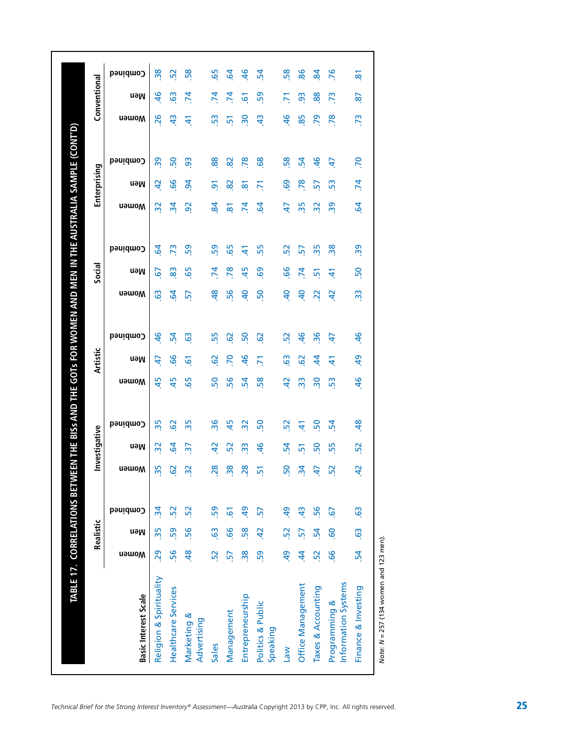|                                                         | Realistic      |                 | Investigative  |                 |                 | Artistic       |                 |                | Social         |                 |                     | Enterprising   |                |                 | Conventional   |  |
|---------------------------------------------------------|----------------|-----------------|----------------|-----------------|-----------------|----------------|-----------------|----------------|----------------|-----------------|---------------------|----------------|----------------|-----------------|----------------|--|
| neM<br><b>u</b> əwom<br><b>Basic Interest Scale</b>     | Combined       | <b>Nomen</b>    | neM            | Combined        | <b>u</b> əwom   | neM            | Combined        | <b>u</b> əwom  | neM            | Combined        | <b>u</b> əwom       | neM            | Combined       | <b>u</b> əwom   | neM            |  |
| $\frac{5}{25}$<br>29<br>Religion & Spirituality         | $\mathbf{z}$   | 35              | $\frac{2}{3}$  | 35              | 45              | 47             | $\frac{6}{5}$   | <b>G3</b>      | 57             | $\overline{6}$  | 32                  | $\overline{a}$ | $\overline{3}$ | 26              | $\frac{4}{6}$  |  |
| 59<br>56<br><b>Healthcare Services</b>                  | 52             | <b>S</b>        | 54             | 29              | 45              | 99             | 54              | 5              | 83             | $\overline{73}$ | $\mathbf{z}$        | 99             | 50             | $\frac{4}{3}$   | 63             |  |
| 56<br>$\frac{48}{5}$<br>Marketing &<br>Advertising      | 52             | $\overline{32}$ | $\overline{5}$ | 35              | 65              | $\overline{6}$ | <b>G</b>        | 57             | 65             | 59              | $\overline{9}$      | 3              | $\overline{9}$ | £               | $\overline{7}$ |  |
| $\overline{63}$<br>52<br>Sales                          | 59             | 28              | $\overline{a}$ | 36              | 50              | 62             | 55              | 48             | $\overline{7}$ | 59              | $\boldsymbol{g}$    | $\overline{5}$ | 88             | 53              | $\overline{7}$ |  |
| 99<br>57<br>Management                                  | $\overline{6}$ | $\overline{38}$ | 52             | 45              | 56              | 70             | 62              | 56             | 78             | 65              | $\overline{\infty}$ | 82             | 82             | $\overline{5}$  | $\mathbf{z}$   |  |
| 58<br>38<br>Entrepreneurship                            | $\overline{5}$ | 28              | 33             | $\overline{32}$ | 54              | 46             | 50              | $\overline{a}$ | 45             | 41              | $\mathbf{z}$        | $\overline{8}$ | 78             | 30              | 61             |  |
| $\overline{4}$<br>59<br>Politics & Public<br>Speaking   | $\overline{5}$ | $\overline{5}$  | $\frac{4}{5}$  | <sub>50</sub>   | 58              | 5              | $\overline{6}$  | 50             | 69             | 55              | $\overline{5}$      | 71             | 68             | $\ddot{a}$      | 59             |  |
| 52<br>$\overline{a}$<br><b>Law</b>                      | $\overline{a}$ | 50              | 54             | 52              | $\overline{a}$  | <b>G3</b>      | 52              | $\overline{a}$ | 99             | 52              | 47                  | <b>GO</b>      | 58             | $\overline{46}$ | 71             |  |
| 57<br>$\dot{a}$<br>Office Management                    | $\ddot{a}$     | $\frac{34}{3}$  | 51             | $\pm$           | $\frac{3}{2}$   | 62             | $\frac{1}{6}$   | $\overline{a}$ | $\overline{7}$ | 57              | 35                  | 78             | 54             | 85              | $\overline{9}$ |  |
| 54<br>52<br>Taxes & Accounting                          | 56             | 47              | S <sub>O</sub> | 50              | $\overline{30}$ | $\dot{a}$      | $\overline{36}$ | $\overline{2}$ | $\overline{5}$ | 35              | 32                  | 57             | $\frac{6}{5}$  | $\overline{2}$  | 88             |  |
| <b>GO</b><br>99<br>Information Systems<br>Programming & | 67             | 52              | 55             | 54              | 53              | 41             | 47              | $\overline{a}$ | स्             | 38              | $\overline{39}$     | 53             | 47             | 78              | 73             |  |
| $\ddot{6}$<br>54<br>Finance & Investing                 | $\mathbf{c}_2$ | 42              | 52             | $\frac{48}{5}$  | $\frac{6}{7}$   | 49             | $\overline{4}$  | 33             | 50             | 39              | $\overline{6}$      | .74            | .70            | .73             | <b>S7</b>      |  |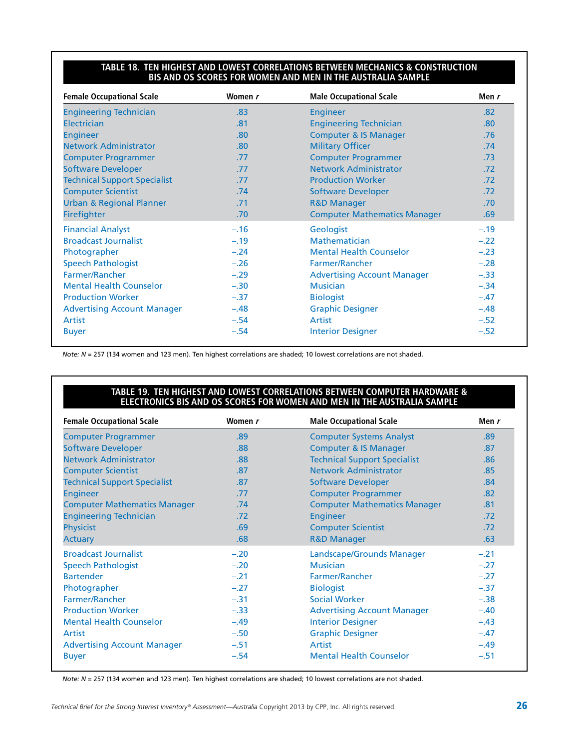#### **Table 18. Ten Highest and Lowest Correlations Between Mechanics & Construction BIS and OS Scores for Women and Men in the Australia Sample**

| <b>Female Occupational Scale</b>    | Women r | <b>Male Occupational Scale</b>      | Men r  |
|-------------------------------------|---------|-------------------------------------|--------|
| <b>Engineering Technician</b>       | .83     | <b>Engineer</b>                     | .82    |
| <b>Electrician</b>                  | .81     | <b>Engineering Technician</b>       | .80    |
| <b>Engineer</b>                     | .80     | <b>Computer &amp; IS Manager</b>    | .76    |
| <b>Network Administrator</b>        | .80     | <b>Military Officer</b>             | .74    |
| <b>Computer Programmer</b>          | .77     | <b>Computer Programmer</b>          | .73    |
| <b>Software Developer</b>           | .77     | <b>Network Administrator</b>        | .72    |
| <b>Technical Support Specialist</b> | .77     | <b>Production Worker</b>            | .72    |
| <b>Computer Scientist</b>           | .74     | <b>Software Developer</b>           | .72    |
| <b>Urban &amp; Regional Planner</b> | .71     | <b>R&amp;D Manager</b>              | .70    |
| Firefighter                         | .70     | <b>Computer Mathematics Manager</b> | .69    |
| <b>Financial Analyst</b>            | $-.16$  | Geologist                           | $-.19$ |
| <b>Broadcast Journalist</b>         | $-.19$  | Mathematician                       | $-.22$ |
| Photographer                        | $-.24$  | <b>Mental Health Counselor</b>      | $-.23$ |
| <b>Speech Pathologist</b>           | $-.26$  | <b>Farmer/Rancher</b>               | $-.28$ |
| Farmer/Rancher                      | $-.29$  | <b>Advertising Account Manager</b>  | $-.33$ |
| <b>Mental Health Counselor</b>      | $-.30$  | <b>Musician</b>                     | $-.34$ |
| <b>Production Worker</b>            | $-.37$  | <b>Biologist</b>                    | $-.47$ |
| <b>Advertising Account Manager</b>  | $-.48$  | <b>Graphic Designer</b>             | $-.48$ |
| Artist                              | $-.54$  | Artist                              | $-.52$ |
| <b>Buyer</b>                        | $-.54$  | <b>Interior Designer</b>            | $-.52$ |

*Note: N* = 257 (134 women and 123 men). Ten highest correlations are shaded; 10 lowest correlations are not shaded.

#### **Table 19. Ten Highest and Lowest Correlations Between Computer Hardware & Electronics BIS and OS Scores for Women and Men in the Australia Sample**

| <b>Female Occupational Scale</b>    | Women r | <b>Male Occupational Scale</b>      | Men r  |
|-------------------------------------|---------|-------------------------------------|--------|
| <b>Computer Programmer</b>          | .89     | <b>Computer Systems Analyst</b>     | .89    |
| <b>Software Developer</b>           | .88     | <b>Computer &amp; IS Manager</b>    | .87    |
| <b>Network Administrator</b>        | .88     | <b>Technical Support Specialist</b> | .86    |
| <b>Computer Scientist</b>           | .87     | <b>Network Administrator</b>        | .85    |
| <b>Technical Support Specialist</b> | .87     | <b>Software Developer</b>           | .84    |
| <b>Engineer</b>                     | .77     | <b>Computer Programmer</b>          | .82    |
| <b>Computer Mathematics Manager</b> | .74     | <b>Computer Mathematics Manager</b> | .81    |
| <b>Engineering Technician</b>       | .72     | <b>Engineer</b>                     | .72    |
| <b>Physicist</b>                    | .69     | <b>Computer Scientist</b>           | .72    |
| <b>Actuary</b>                      | .68     | <b>R&amp;D Manager</b>              | .63    |
| <b>Broadcast Journalist</b>         | $-.20$  | Landscape/Grounds Manager           | $-.21$ |
| <b>Speech Pathologist</b>           | $-.20$  | <b>Musician</b>                     | $-.27$ |
| <b>Bartender</b>                    | $-.21$  | <b>Farmer/Rancher</b>               | $-.27$ |
| Photographer                        | $-.27$  | <b>Biologist</b>                    | $-.37$ |
| Farmer/Rancher                      | $-.31$  | <b>Social Worker</b>                | $-.38$ |
| <b>Production Worker</b>            | $-.33$  | <b>Advertising Account Manager</b>  | $-.40$ |
| <b>Mental Health Counselor</b>      | $-.49$  | <b>Interior Designer</b>            | $-.43$ |
| Artist                              | $-.50$  | <b>Graphic Designer</b>             | $-.47$ |
| <b>Advertising Account Manager</b>  | $-.51$  | Artist                              | $-.49$ |
| <b>Buyer</b>                        | $-.54$  | <b>Mental Health Counselor</b>      | $-.51$ |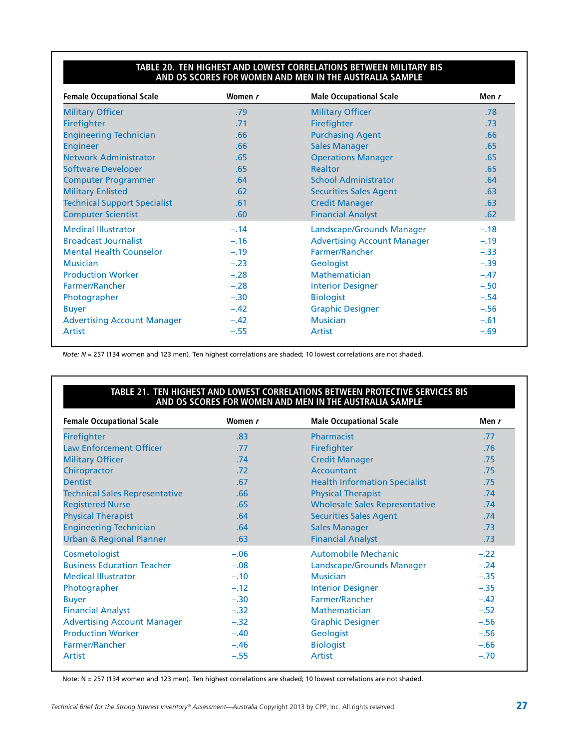#### **Table 20. Ten Highest and Lowest Correlations Between Military BIS and OS Scores for Women and Men in the Australia Sample**

| <b>Female Occupational Scale</b>    | Women r | <b>Male Occupational Scale</b>     | Men r  |
|-------------------------------------|---------|------------------------------------|--------|
| <b>Military Officer</b>             | .79     | <b>Military Officer</b>            | .78    |
| Firefighter                         | .71     | Firefighter                        | .73    |
| <b>Engineering Technician</b>       | .66     | <b>Purchasing Agent</b>            | .66    |
| <b>Engineer</b>                     | .66     | <b>Sales Manager</b>               | .65    |
| <b>Network Administrator</b>        | .65     | <b>Operations Manager</b>          | .65    |
| <b>Software Developer</b>           | .65     | <b>Realtor</b>                     | .65    |
| <b>Computer Programmer</b>          | .64     | <b>School Administrator</b>        | .64    |
| <b>Military Enlisted</b>            | .62     | <b>Securities Sales Agent</b>      | .63    |
| <b>Technical Support Specialist</b> | .61     | <b>Credit Manager</b>              | .63    |
| <b>Computer Scientist</b>           | .60     | <b>Financial Analyst</b>           | .62    |
| <b>Medical Illustrator</b>          | $-.14$  | Landscape/Grounds Manager          | $-.18$ |
| <b>Broadcast Journalist</b>         | $-.16$  | <b>Advertising Account Manager</b> | $-.19$ |
| <b>Mental Health Counselor</b>      | $-.19$  | Farmer/Rancher                     | $-.33$ |
| <b>Musician</b>                     | $-.23$  | Geologist                          | $-.39$ |
| <b>Production Worker</b>            | $-.28$  | <b>Mathematician</b>               | $-.47$ |
| Farmer/Rancher                      | $-.28$  | <b>Interior Designer</b>           | $-.50$ |
| Photographer                        | $-.30$  | <b>Biologist</b>                   | $-.54$ |
| <b>Buyer</b>                        | $-.42$  | <b>Graphic Designer</b>            | $-.56$ |
| <b>Advertising Account Manager</b>  | $-.42$  | <b>Musician</b>                    | $-.61$ |
| Artist                              | $-.55$  | Artist                             | $-.69$ |

*Note: N* = 257 (134 women and 123 men). Ten highest correlations are shaded; 10 lowest correlations are not shaded.

#### **Table 21. Ten Highest and Lowest Correlations Between Protective Services BIS and OS Scores for Women and Men in the Australia Sample**

| <b>Female Occupational Scale</b>      | Women r          | <b>Male Occupational Scale</b>        | Men r  |
|---------------------------------------|------------------|---------------------------------------|--------|
| <b>Firefighter</b>                    | .83              | <b>Pharmacist</b>                     | .77    |
| <b>Law Enforcement Officer</b>        | .77              | Firefighter                           | .76    |
| <b>Military Officer</b>               | .74              | <b>Credit Manager</b>                 | .75    |
| Chiropractor                          | .72 <sub>2</sub> | Accountant                            | .75    |
| <b>Dentist</b>                        | .67              | <b>Health Information Specialist</b>  | .75    |
| <b>Technical Sales Representative</b> | .66              | <b>Physical Therapist</b>             | .74    |
| <b>Registered Nurse</b>               | .65              | <b>Wholesale Sales Representative</b> | .74    |
| <b>Physical Therapist</b>             | .64              | <b>Securities Sales Agent</b>         | .74    |
| <b>Engineering Technician</b>         | .64              | <b>Sales Manager</b>                  | .73    |
| <b>Urban &amp; Regional Planner</b>   | .63              | <b>Financial Analyst</b>              | .73    |
| Cosmetologist                         | $-.06$           | <b>Automobile Mechanic</b>            | $-.22$ |
| <b>Business Education Teacher</b>     | $-.08$           | Landscape/Grounds Manager             | $-.24$ |
| <b>Medical Illustrator</b>            | $-.10$           | <b>Musician</b>                       | $-.35$ |
| Photographer                          | $-.12$           | <b>Interior Designer</b>              | $-.35$ |
| <b>Buyer</b>                          | $-.30$           | <b>Farmer/Rancher</b>                 | $-.42$ |
| <b>Financial Analyst</b>              | $-.32$           | <b>Mathematician</b>                  | $-.52$ |
| <b>Advertising Account Manager</b>    | $-.32$           | <b>Graphic Designer</b>               | $-.56$ |
| <b>Production Worker</b>              | $-.40$           | Geologist                             | $-.56$ |
| Farmer/Rancher                        | $-.46$           | <b>Biologist</b>                      | $-.66$ |
| Artist                                | $-.55$           | Artist                                | $-.70$ |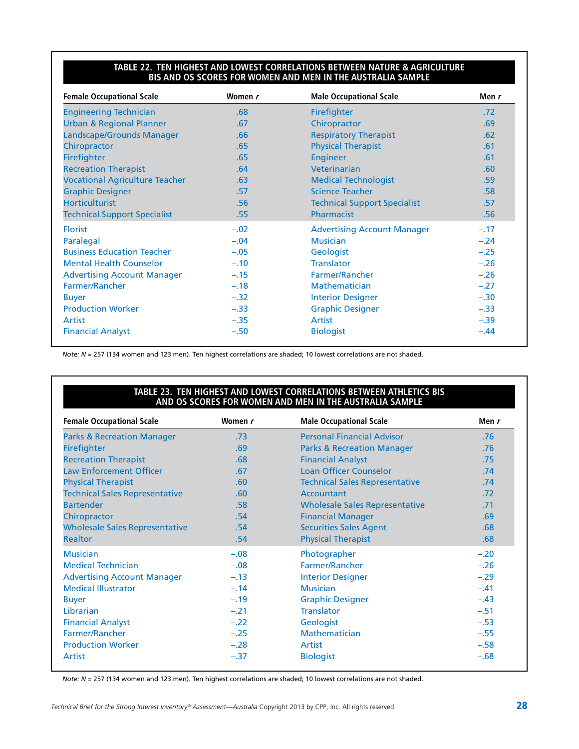#### **Table 22. Ten Highest and Lowest Correlations Between Nature & Agriculture BIS and OS Scores for Women and Men in the Australia Sample**

| <b>Female Occupational Scale</b>      | Women r | <b>Male Occupational Scale</b>      | Men r  |
|---------------------------------------|---------|-------------------------------------|--------|
| <b>Engineering Technician</b>         | .68     | Firefighter                         | .72    |
| <b>Urban &amp; Regional Planner</b>   | .67     | Chiropractor                        | .69    |
| Landscape/Grounds Manager             | .66     | <b>Respiratory Therapist</b>        | .62    |
| Chiropractor                          | .65     | <b>Physical Therapist</b>           | .61    |
| Firefighter                           | .65     | <b>Engineer</b>                     | .61    |
| <b>Recreation Therapist</b>           | .64     | Veterinarian                        | .60    |
| <b>Vocational Agriculture Teacher</b> | .63     | <b>Medical Technologist</b>         | .59    |
| <b>Graphic Designer</b>               | .57     | <b>Science Teacher</b>              | .58    |
| <b>Horticulturist</b>                 | .56     | <b>Technical Support Specialist</b> | .57    |
| <b>Technical Support Specialist</b>   | .55     | Pharmacist                          | .56    |
| <b>Florist</b>                        | $-.02$  | <b>Advertising Account Manager</b>  | $-.17$ |
| Paralegal                             | $-.04$  | <b>Musician</b>                     | $-.24$ |
| <b>Business Education Teacher</b>     | $-.05$  | Geologist                           | $-.25$ |
| <b>Mental Health Counselor</b>        | $-.10$  | <b>Translator</b>                   | $-.26$ |
| <b>Advertising Account Manager</b>    | $-.15$  | Farmer/Rancher                      | $-.26$ |
| Farmer/Rancher                        | $-.18$  | <b>Mathematician</b>                | $-.27$ |
| <b>Buyer</b>                          | $-.32$  | <b>Interior Designer</b>            | $-.30$ |
| <b>Production Worker</b>              | $-.33$  | <b>Graphic Designer</b>             | $-.33$ |
| Artist                                | $-.35$  | Artist                              | $-.39$ |
| <b>Financial Analyst</b>              | $-.50$  | <b>Biologist</b>                    | $-.44$ |

*Note: N* = 257 (134 women and 123 men). Ten highest correlations are shaded; 10 lowest correlations are not shaded.

#### **Table 23. Ten Highest and Lowest Correlations Between Athletics BIS and OS Scores for Women and Men in the Australia Sample**

| <b>Female Occupational Scale</b>      | Women r | <b>Male Occupational Scale</b>        | Men $r$ |
|---------------------------------------|---------|---------------------------------------|---------|
| <b>Parks &amp; Recreation Manager</b> | .73     | <b>Personal Financial Advisor</b>     | .76     |
| <b>Firefighter</b>                    | .69     | <b>Parks &amp; Recreation Manager</b> | .76     |
| <b>Recreation Therapist</b>           | .68     | <b>Financial Analyst</b>              | .75     |
| <b>Law Enforcement Officer</b>        | .67     | <b>Loan Officer Counselor</b>         | .74     |
| <b>Physical Therapist</b>             | .60     | <b>Technical Sales Representative</b> | .74     |
| <b>Technical Sales Representative</b> | .60     | Accountant                            | .72     |
| <b>Bartender</b>                      | .58     | Wholesale Sales Representative        | .71     |
| Chiropractor                          | .54     | <b>Financial Manager</b>              | .69     |
| <b>Wholesale Sales Representative</b> | .54     | <b>Securities Sales Agent</b>         | .68     |
| <b>Realtor</b>                        | .54     | <b>Physical Therapist</b>             | .68     |
| <b>Musician</b>                       | $-.08$  | Photographer                          | $-.20$  |
| <b>Medical Technician</b>             | $-.08$  | Farmer/Rancher                        | $-.26$  |
| <b>Advertising Account Manager</b>    | $-.13$  | <b>Interior Designer</b>              | $-.29$  |
| <b>Medical Illustrator</b>            | $-.14$  | <b>Musician</b>                       | $-.41$  |
| <b>Buyer</b>                          | $-.19$  | <b>Graphic Designer</b>               | $-.43$  |
| Librarian                             | $-.21$  | <b>Translator</b>                     | $-.51$  |
| <b>Financial Analyst</b>              | $-.22$  | Geologist                             | $-.53$  |
| <b>Farmer/Rancher</b>                 | $-.25$  | <b>Mathematician</b>                  | $-.55$  |
| <b>Production Worker</b>              | $-.28$  | Artist                                | $-.58$  |
| Artist                                | $-.37$  | <b>Biologist</b>                      | $-.68$  |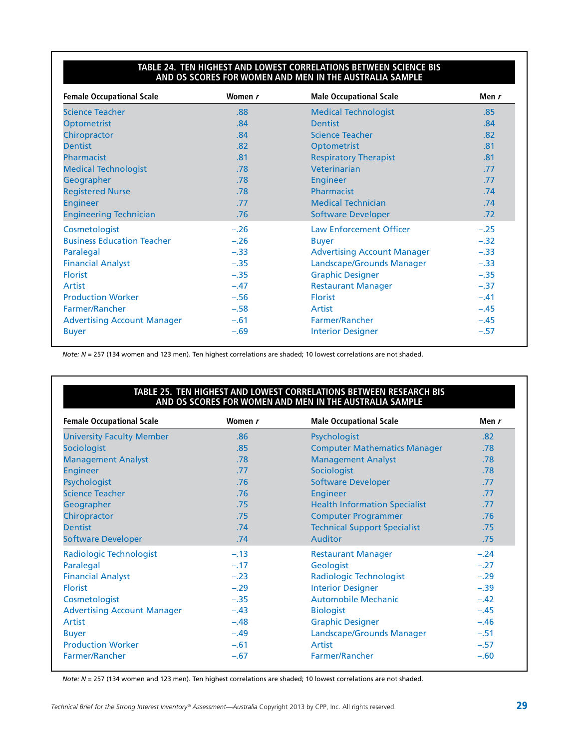#### **Table 24. Ten Highest and Lowest Correlations Between Science BIS and OS Scores for Women and Men in the Australia Sample**

| <b>Female Occupational Scale</b>   | Women r | <b>Male Occupational Scale</b>     | Men r  |
|------------------------------------|---------|------------------------------------|--------|
| <b>Science Teacher</b>             | .88     | <b>Medical Technologist</b>        | .85    |
| <b>Optometrist</b>                 | .84     | <b>Dentist</b>                     | .84    |
| Chiropractor                       | .84     | <b>Science Teacher</b>             | .82    |
| <b>Dentist</b>                     | .82     | Optometrist                        | .81    |
| Pharmacist                         | .81     | <b>Respiratory Therapist</b>       | .81    |
| <b>Medical Technologist</b>        | .78     | Veterinarian                       | .77    |
| Geographer                         | .78     | Engineer                           | .77    |
| <b>Registered Nurse</b>            | .78     | Pharmacist                         | .74    |
| <b>Engineer</b>                    | .77     | <b>Medical Technician</b>          | .74    |
| <b>Engineering Technician</b>      | .76     | <b>Software Developer</b>          | .72    |
| Cosmetologist                      | $-.26$  | <b>Law Enforcement Officer</b>     | $-.25$ |
| <b>Business Education Teacher</b>  | $-.26$  | <b>Buyer</b>                       | $-.32$ |
| Paralegal                          | $-.33$  | <b>Advertising Account Manager</b> | $-.33$ |
| <b>Financial Analyst</b>           | $-.35$  | Landscape/Grounds Manager          | $-.33$ |
| <b>Florist</b>                     | $-.35$  | <b>Graphic Designer</b>            | $-.35$ |
| Artist                             | $-.47$  | <b>Restaurant Manager</b>          | $-.37$ |
| <b>Production Worker</b>           | $-.56$  | <b>Florist</b>                     | $-.41$ |
| Farmer/Rancher                     | $-.58$  | Artist                             | $-.45$ |
| <b>Advertising Account Manager</b> | $-.61$  | <b>Farmer/Rancher</b>              | $-.45$ |
| <b>Buyer</b>                       | $-.69$  | <b>Interior Designer</b>           | $-.57$ |

*Note: N* = 257 (134 women and 123 men). Ten highest correlations are shaded; 10 lowest correlations are not shaded.

#### **Table 25. Ten Highest and Lowest Correlations Between Research BIS and OS Scores for Women and Men in the Australia Sample**

| <b>Female Occupational Scale</b>   | Women r | <b>Male Occupational Scale</b>       | Men r            |
|------------------------------------|---------|--------------------------------------|------------------|
| <b>University Faculty Member</b>   | .86     | Psychologist                         | .82              |
| <b>Sociologist</b>                 | .85     | <b>Computer Mathematics Manager</b>  | .78              |
| <b>Management Analyst</b>          | .78     | <b>Management Analyst</b>            | .78 <sub>1</sub> |
| <b>Engineer</b>                    | .77     | Sociologist                          | .78              |
| Psychologist                       | .76     | <b>Software Developer</b>            | .77              |
| <b>Science Teacher</b>             | .76     | <b>Engineer</b>                      | .77              |
| Geographer                         | .75     | <b>Health Information Specialist</b> | .77              |
| Chiropractor                       | .75     | <b>Computer Programmer</b>           | .76              |
| <b>Dentist</b>                     | .74     | <b>Technical Support Specialist</b>  | .75              |
| <b>Software Developer</b>          | .74     | <b>Auditor</b>                       | .75              |
| <b>Radiologic Technologist</b>     | $-.13$  | <b>Restaurant Manager</b>            | $-.24$           |
| Paralegal                          | $-.17$  | Geologist                            | $-.27$           |
| <b>Financial Analyst</b>           | $-.23$  | <b>Radiologic Technologist</b>       | $-.29$           |
| <b>Florist</b>                     | $-.29$  | <b>Interior Designer</b>             | $-.39$           |
| Cosmetologist                      | $-.35$  | <b>Automobile Mechanic</b>           | $-.42$           |
| <b>Advertising Account Manager</b> | $-.43$  | <b>Biologist</b>                     | $-.45$           |
| Artist                             | $-.48$  | <b>Graphic Designer</b>              | $-.46$           |
| <b>Buyer</b>                       | $-.49$  | Landscape/Grounds Manager            | $-.51$           |
| <b>Production Worker</b>           | $-.61$  | Artist                               | $-.57$           |
| Farmer/Rancher                     | $-.67$  | Farmer/Rancher                       | $-.60$           |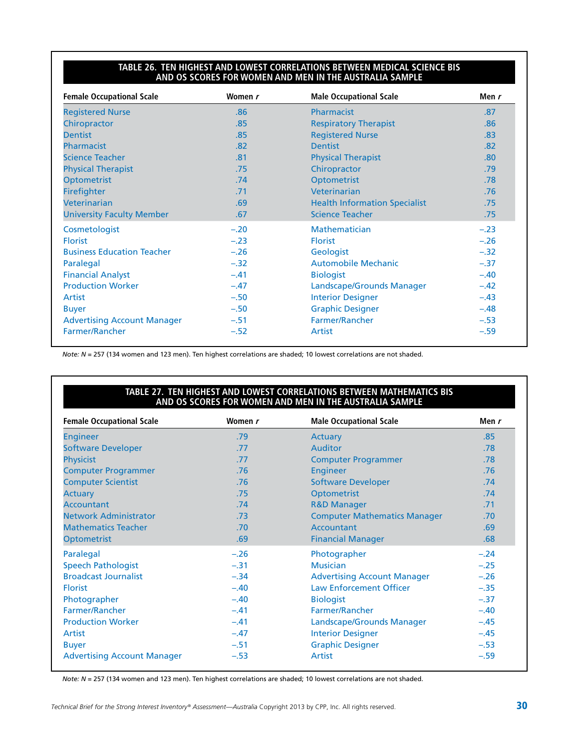#### **Table 26. Ten Highest and Lowest Correlations Between Medical Science BIS and OS Scores for Women and Men in the Australia Sample**

| <b>Female Occupational Scale</b>   | Women r | <b>Male Occupational Scale</b>       | Men r  |
|------------------------------------|---------|--------------------------------------|--------|
| <b>Registered Nurse</b>            | .86     | Pharmacist                           | .87    |
| Chiropractor                       | .85     | <b>Respiratory Therapist</b>         | .86    |
| <b>Dentist</b>                     | .85     | <b>Registered Nurse</b>              | .83    |
| Pharmacist                         | .82     | <b>Dentist</b>                       | .82    |
| <b>Science Teacher</b>             | .81     | <b>Physical Therapist</b>            | .80    |
| <b>Physical Therapist</b>          | .75     | Chiropractor                         | .79    |
| <b>Optometrist</b>                 | .74     | <b>Optometrist</b>                   | .78    |
| Firefighter                        | .71     | Veterinarian                         | .76    |
| Veterinarian                       | .69     | <b>Health Information Specialist</b> | .75    |
| <b>University Faculty Member</b>   | .67     | <b>Science Teacher</b>               | .75    |
| Cosmetologist                      | $-.20$  | <b>Mathematician</b>                 | $-.23$ |
| <b>Florist</b>                     | $-.23$  | <b>Florist</b>                       | $-.26$ |
| <b>Business Education Teacher</b>  | $-.26$  | Geologist                            | $-.32$ |
| Paralegal                          | $-.32$  | <b>Automobile Mechanic</b>           | $-.37$ |
| <b>Financial Analyst</b>           | $-.41$  | <b>Biologist</b>                     | $-.40$ |
| <b>Production Worker</b>           | $-.47$  | Landscape/Grounds Manager            | $-.42$ |
| Artist                             | $-.50$  | <b>Interior Designer</b>             | $-.43$ |
| <b>Buyer</b>                       | $-.50$  | <b>Graphic Designer</b>              | $-.48$ |
| <b>Advertising Account Manager</b> | $-.51$  | Farmer/Rancher                       | $-.53$ |
| Farmer/Rancher                     | $-.52$  | Artist                               | $-.59$ |

*Note: N* = 257 (134 women and 123 men). Ten highest correlations are shaded; 10 lowest correlations are not shaded.

#### **Table 27. Ten Highest and Lowest Correlations Between Mathematics BIS and OS Scores for Women and Men in the Australia Sample**

| <b>Female Occupational Scale</b>   | Women r | <b>Male Occupational Scale</b>      | Men $r$ |
|------------------------------------|---------|-------------------------------------|---------|
| <b>Engineer</b>                    | .79     | Actuary                             | .85     |
| <b>Software Developer</b>          | .77     | Auditor                             | .78     |
| Physicist                          | .77     | <b>Computer Programmer</b>          | .78     |
| <b>Computer Programmer</b>         | .76     | <b>Engineer</b>                     | .76     |
| <b>Computer Scientist</b>          | .76     | <b>Software Developer</b>           | .74     |
| <b>Actuary</b>                     | .75     | <b>Optometrist</b>                  | .74     |
| <b>Accountant</b>                  | .74     | <b>R&amp;D Manager</b>              | .71     |
| <b>Network Administrator</b>       | .73     | <b>Computer Mathematics Manager</b> | .70     |
| <b>Mathematics Teacher</b>         | .70     | Accountant                          | .69     |
| Optometrist                        | .69     | <b>Financial Manager</b>            | .68     |
| Paralegal                          | $-.26$  | Photographer                        | $-.24$  |
| <b>Speech Pathologist</b>          | $-.31$  | <b>Musician</b>                     | $-.25$  |
| <b>Broadcast Journalist</b>        | $-.34$  | <b>Advertising Account Manager</b>  | $-.26$  |
| <b>Florist</b>                     | $-.40$  | <b>Law Enforcement Officer</b>      | $-.35$  |
| Photographer                       | $-.40$  | <b>Biologist</b>                    | $-.37$  |
| Farmer/Rancher                     | $-.41$  | Farmer/Rancher                      | $-.40$  |
| <b>Production Worker</b>           | $-.41$  | Landscape/Grounds Manager           | $-.45$  |
| Artist                             | $-.47$  | <b>Interior Designer</b>            | $-.45$  |
| <b>Buyer</b>                       | $-.51$  | <b>Graphic Designer</b>             | $-.53$  |
| <b>Advertising Account Manager</b> | $-.53$  | Artist                              | $-.59$  |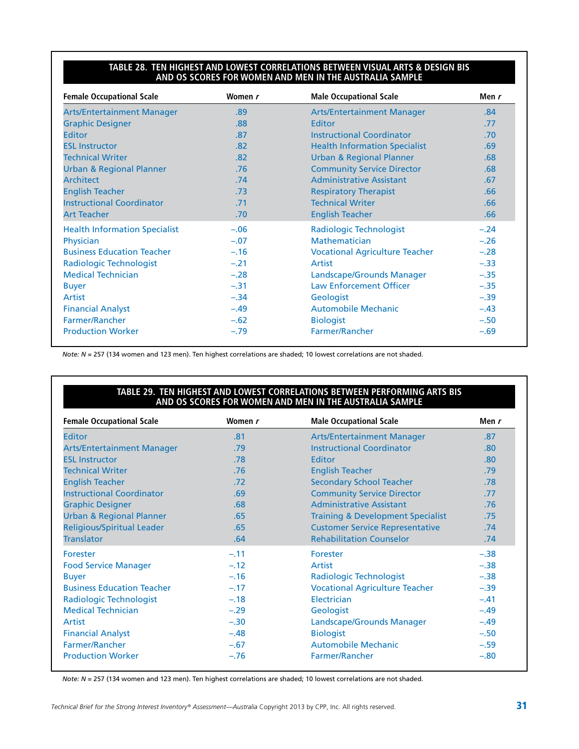#### **Table 28. Ten Highest and Lowest Correlations Between Visual Arts & Design BIS and OS Scores for Women and Men in the Australia Sample**

| <b>Female Occupational Scale</b>     | Women r | <b>Male Occupational Scale</b>        | Men r  |
|--------------------------------------|---------|---------------------------------------|--------|
| <b>Arts/Entertainment Manager</b>    | .89     | <b>Arts/Entertainment Manager</b>     | .84    |
| <b>Graphic Designer</b>              | .88     | Editor                                | .77    |
| <b>Editor</b>                        | .87     | Instructional Coordinator             | .70    |
| <b>ESL Instructor</b>                | .82     | <b>Health Information Specialist</b>  | .69    |
| <b>Technical Writer</b>              | .82     | <b>Urban &amp; Regional Planner</b>   | .68    |
| <b>Urban &amp; Regional Planner</b>  | .76     | <b>Community Service Director</b>     | .68    |
| <b>Architect</b>                     | .74     | <b>Administrative Assistant</b>       | .67    |
| <b>English Teacher</b>               | .73     | <b>Respiratory Therapist</b>          | .66    |
| <b>Instructional Coordinator</b>     | .71     | <b>Technical Writer</b>               | .66    |
| Art Teacher                          | .70     | <b>English Teacher</b>                | .66    |
| <b>Health Information Specialist</b> | $-.06$  | <b>Radiologic Technologist</b>        | $-.24$ |
| Physician                            | $-.07$  | Mathematician                         | $-.26$ |
| <b>Business Education Teacher</b>    | $-.16$  | <b>Vocational Agriculture Teacher</b> | $-.28$ |
| <b>Radiologic Technologist</b>       | $-.21$  | Artist                                | $-.33$ |
| <b>Medical Technician</b>            | $-.28$  | Landscape/Grounds Manager             | $-.35$ |
| <b>Buyer</b>                         | $-.31$  | <b>Law Enforcement Officer</b>        | $-.35$ |
| Artist                               | $-.34$  | Geologist                             | $-.39$ |
| <b>Financial Analyst</b>             | $-.49$  | Automobile Mechanic                   | $-.43$ |
| Farmer/Rancher                       | $-.62$  | <b>Biologist</b>                      | $-.50$ |
| <b>Production Worker</b>             | $-.79$  | Farmer/Rancher                        | $-.69$ |

*Note: N* = 257 (134 women and 123 men). Ten highest correlations are shaded; 10 lowest correlations are not shaded.

#### **Table 29. Ten Highest and Lowest Correlations Between Performing Arts BIS and OS Scores for Women and Men in the Australia Sample**

| <b>Female Occupational Scale</b>    | Women r | <b>Male Occupational Scale</b>               | Men r  |
|-------------------------------------|---------|----------------------------------------------|--------|
| Editor                              | .81     | <b>Arts/Entertainment Manager</b>            | .87    |
| <b>Arts/Entertainment Manager</b>   | .79     | <b>Instructional Coordinator</b>             | .80    |
| <b>ESL Instructor</b>               | .78     | Editor                                       | .80    |
| <b>Technical Writer</b>             | .76     | <b>English Teacher</b>                       | .79    |
| <b>English Teacher</b>              | .72     | <b>Secondary School Teacher</b>              | .78    |
| <b>Instructional Coordinator</b>    | .69     | <b>Community Service Director</b>            | .77    |
| <b>Graphic Designer</b>             | .68     | <b>Administrative Assistant</b>              | .76    |
| <b>Urban &amp; Regional Planner</b> | .65     | <b>Training &amp; Development Specialist</b> | .75    |
| <b>Religious/Spiritual Leader</b>   | .65     | <b>Customer Service Representative</b>       | .74    |
| <b>Translator</b>                   | .64     | <b>Rehabilitation Counselor</b>              | .74    |
| Forester                            | $-.11$  | Forester                                     | $-.38$ |
| <b>Food Service Manager</b>         | $-.12$  | Artist                                       | $-.38$ |
| <b>Buyer</b>                        | $-.16$  | Radiologic Technologist                      | $-.38$ |
| <b>Business Education Teacher</b>   | $-.17$  | <b>Vocational Agriculture Teacher</b>        | $-.39$ |
| <b>Radiologic Technologist</b>      | $-.18$  | Electrician                                  | $-.41$ |
| <b>Medical Technician</b>           | $-.29$  | Geologist                                    | $-.49$ |
| Artist                              | $-.30$  | Landscape/Grounds Manager                    | $-.49$ |
| <b>Financial Analyst</b>            | $-.48$  | <b>Biologist</b>                             | $-.50$ |
| Farmer/Rancher                      | $-.67$  | <b>Automobile Mechanic</b>                   | $-.59$ |
| <b>Production Worker</b>            | $-.76$  | Farmer/Rancher                               | $-.80$ |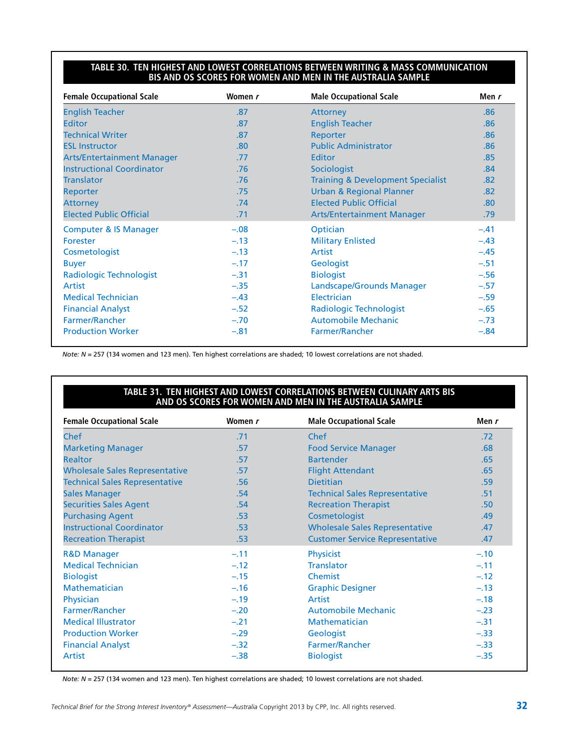#### **Table 30. Ten Highest and Lowest Correlations Between Writing & Mass Communication BIS and OS Scores for Women and Men in the Australia Sample**

| <b>Female Occupational Scale</b>  | Women r | <b>Male Occupational Scale</b>               | Men r  |
|-----------------------------------|---------|----------------------------------------------|--------|
| <b>English Teacher</b>            | .87     | Attorney                                     | .86    |
| <b>Editor</b>                     | .87     | <b>English Teacher</b>                       | .86    |
| <b>Technical Writer</b>           | .87     | Reporter                                     | .86    |
| <b>ESL Instructor</b>             | .80     | <b>Public Administrator</b>                  | .86    |
| <b>Arts/Entertainment Manager</b> | .77     | Editor                                       | .85    |
| <b>Instructional Coordinator</b>  | .76     | Sociologist                                  | .84    |
| <b>Translator</b>                 | .76     | <b>Training &amp; Development Specialist</b> | .82    |
| Reporter                          | .75     | <b>Urban &amp; Regional Planner</b>          | .82    |
| <b>Attorney</b>                   | .74     | <b>Elected Public Official</b>               | .80    |
| <b>Elected Public Official</b>    | .71     | <b>Arts/Entertainment Manager</b>            | .79    |
| <b>Computer &amp; IS Manager</b>  | $-.08$  | Optician                                     | $-.41$ |
| Forester                          | $-.13$  | <b>Military Enlisted</b>                     | $-.43$ |
| Cosmetologist                     | $-.13$  | Artist                                       | $-.45$ |
| <b>Buyer</b>                      | $-.17$  | Geologist                                    | $-.51$ |
| <b>Radiologic Technologist</b>    | $-.31$  | <b>Biologist</b>                             | $-.56$ |
| Artist                            | $-.35$  | Landscape/Grounds Manager                    | $-.57$ |
| <b>Medical Technician</b>         | $-.43$  | Electrician                                  | $-.59$ |
| <b>Financial Analyst</b>          | $-.52$  | Radiologic Technologist                      | $-.65$ |
| Farmer/Rancher                    | $-.70$  | <b>Automobile Mechanic</b>                   | $-.73$ |
| <b>Production Worker</b>          | $-.81$  | Farmer/Rancher                               | $-.84$ |

*Note: N* = 257 (134 women and 123 men). Ten highest correlations are shaded; 10 lowest correlations are not shaded.

#### **Table 31. Ten Highest and Lowest Correlations Between Culinary Arts BIS and OS Scores for Women and Men in the Australia Sample**

| <b>Female Occupational Scale</b>      | Women r | <b>Male Occupational Scale</b>         | Men r            |
|---------------------------------------|---------|----------------------------------------|------------------|
| Chef                                  | .71     | Chef                                   | .72              |
| <b>Marketing Manager</b>              | .57     | <b>Food Service Manager</b>            | .68              |
| <b>Realtor</b>                        | .57     | <b>Bartender</b>                       | .65              |
| <b>Wholesale Sales Representative</b> | .57     | <b>Flight Attendant</b>                | .65              |
| <b>Technical Sales Representative</b> | .56     | <b>Dietitian</b>                       | .59              |
| <b>Sales Manager</b>                  | .54     | <b>Technical Sales Representative</b>  | .51              |
| <b>Securities Sales Agent</b>         | .54     | <b>Recreation Therapist</b>            | .50 <sub>1</sub> |
| <b>Purchasing Agent</b>               | .53     | Cosmetologist                          | .49              |
| <b>Instructional Coordinator</b>      | .53     | <b>Wholesale Sales Representative</b>  | .47              |
| <b>Recreation Therapist</b>           | .53     | <b>Customer Service Representative</b> | .47              |
| <b>R&amp;D Manager</b>                | $-.11$  | <b>Physicist</b>                       | $-.10$           |
| <b>Medical Technician</b>             | $-.12$  | <b>Translator</b>                      | $-.11$           |
| <b>Biologist</b>                      | $-.15$  | Chemist                                | $-.12$           |
| <b>Mathematician</b>                  | $-.16$  | <b>Graphic Designer</b>                | $-.13$           |
| Physician                             | $-.19$  | Artist                                 | $-.18$           |
| Farmer/Rancher                        | $-.20$  | <b>Automobile Mechanic</b>             | $-.23$           |
| <b>Medical Illustrator</b>            | $-.21$  | Mathematician                          | $-.31$           |
| <b>Production Worker</b>              | $-.29$  | Geologist                              | $-.33$           |
| <b>Financial Analyst</b>              | $-.32$  | Farmer/Rancher                         | $-.33$           |
| Artist                                | $-.38$  | <b>Biologist</b>                       | $-.35$           |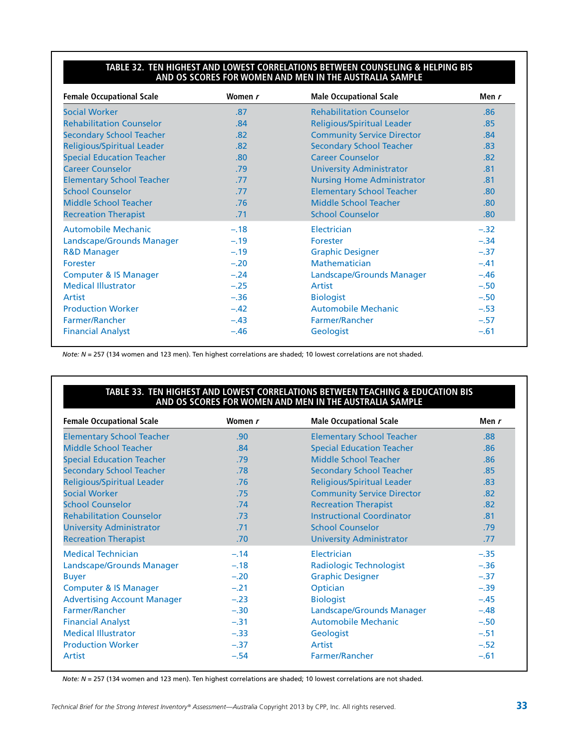#### **Table 32. Ten Highest and Lowest Correlations Between Counseling & Helping BIS and OS Scores for Women and Men in the Australia Sample**

| <b>Female Occupational Scale</b> | Women r | <b>Male Occupational Scale</b>    | Men r  |
|----------------------------------|---------|-----------------------------------|--------|
| <b>Social Worker</b>             | .87     | <b>Rehabilitation Counselor</b>   | .86    |
| <b>Rehabilitation Counselor</b>  | .84     | <b>Religious/Spiritual Leader</b> | .85    |
| <b>Secondary School Teacher</b>  | .82     | <b>Community Service Director</b> | .84    |
| Religious/Spiritual Leader       | .82     | <b>Secondary School Teacher</b>   | .83    |
| <b>Special Education Teacher</b> | .80     | <b>Career Counselor</b>           | .82    |
| <b>Career Counselor</b>          | .79     | <b>University Administrator</b>   | .81    |
| <b>Elementary School Teacher</b> | .77     | <b>Nursing Home Administrator</b> | .81    |
| <b>School Counselor</b>          | .77     | <b>Elementary School Teacher</b>  | .80    |
| <b>Middle School Teacher</b>     | .76     | Middle School Teacher             | .80    |
| <b>Recreation Therapist</b>      | .71     | <b>School Counselor</b>           | .80    |
| <b>Automobile Mechanic</b>       | $-.18$  | Electrician                       | $-.32$ |
| Landscape/Grounds Manager        | $-.19$  | Forester                          | $-.34$ |
| <b>R&amp;D Manager</b>           | $-.19$  | <b>Graphic Designer</b>           | $-.37$ |
| Forester                         | $-.20$  | Mathematician                     | $-.41$ |
| <b>Computer &amp; IS Manager</b> | $-.24$  | Landscape/Grounds Manager         | $-.46$ |
| <b>Medical Illustrator</b>       | $-.25$  | Artist                            | $-.50$ |
| Artist                           | $-.36$  | <b>Biologist</b>                  | $-.50$ |
| <b>Production Worker</b>         | $-.42$  | <b>Automobile Mechanic</b>        | $-.53$ |
| Farmer/Rancher                   | $-.43$  | Farmer/Rancher                    | $-.57$ |
| <b>Financial Analyst</b>         | $-.46$  | Geologist                         | $-.61$ |

*Note: N* = 257 (134 women and 123 men). Ten highest correlations are shaded; 10 lowest correlations are not shaded.

#### **Table 33. Ten Highest and Lowest Correlations Between Teaching & Education BIS and OS Scores for Women and Men in the Australia Sample**

| <b>Female Occupational Scale</b>   | Women r | <b>Male Occupational Scale</b>    | Men r  |
|------------------------------------|---------|-----------------------------------|--------|
| <b>Elementary School Teacher</b>   | .90     | <b>Elementary School Teacher</b>  | .88    |
| Middle School Teacher              | .84     | <b>Special Education Teacher</b>  | .86    |
| <b>Special Education Teacher</b>   | .79     | Middle School Teacher             | .86    |
| <b>Secondary School Teacher</b>    | .78     | <b>Secondary School Teacher</b>   | .85    |
| <b>Religious/Spiritual Leader</b>  | .76     | <b>Religious/Spiritual Leader</b> | .83    |
| <b>Social Worker</b>               | .75     | <b>Community Service Director</b> | .82    |
| <b>School Counselor</b>            | .74     | <b>Recreation Therapist</b>       | .82    |
| <b>Rehabilitation Counselor</b>    | .73     | <b>Instructional Coordinator</b>  | .81    |
| <b>University Administrator</b>    | .71     | <b>School Counselor</b>           | .79    |
| <b>Recreation Therapist</b>        | .70     | <b>University Administrator</b>   | .77    |
| <b>Medical Technician</b>          | $-.14$  | Electrician                       | $-.35$ |
| Landscape/Grounds Manager          | $-.18$  | Radiologic Technologist           | $-.36$ |
| <b>Buyer</b>                       | $-.20$  | <b>Graphic Designer</b>           | $-.37$ |
| <b>Computer &amp; IS Manager</b>   | $-.21$  | Optician                          | $-.39$ |
| <b>Advertising Account Manager</b> | $-.23$  | <b>Biologist</b>                  | $-.45$ |
| Farmer/Rancher                     | $-.30$  | Landscape/Grounds Manager         | $-.48$ |
| <b>Financial Analyst</b>           | $-.31$  | <b>Automobile Mechanic</b>        | $-.50$ |
| <b>Medical Illustrator</b>         | $-.33$  | Geologist                         | $-.51$ |
| <b>Production Worker</b>           | $-.37$  | Artist                            | $-.52$ |
| Artist                             | $-.54$  | <b>Farmer/Rancher</b>             | $-.61$ |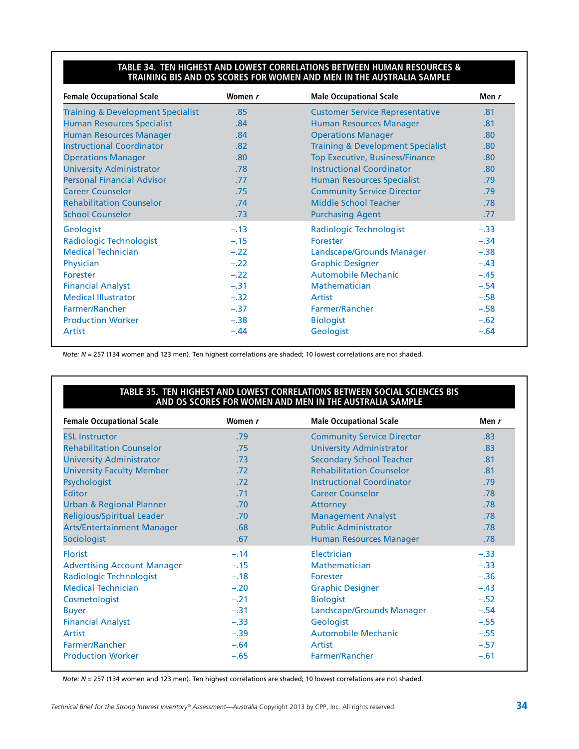#### **Table 34. Ten Highest and Lowest Correlations Between Human Resources & Training BIS and OS Scores for Women and Men in the Australia Sample**

| <b>Female Occupational Scale</b>             | Women r | <b>Male Occupational Scale</b>               | Men r            |
|----------------------------------------------|---------|----------------------------------------------|------------------|
| <b>Training &amp; Development Specialist</b> | .85     | <b>Customer Service Representative</b>       | .81              |
| <b>Human Resources Specialist</b>            | .84     | <b>Human Resources Manager</b>               | .81              |
| <b>Human Resources Manager</b>               | .84     | <b>Operations Manager</b>                    | .80 <sub>1</sub> |
| <b>Instructional Coordinator</b>             | .82     | <b>Training &amp; Development Specialist</b> | .80              |
| <b>Operations Manager</b>                    | .80     | <b>Top Executive, Business/Finance</b>       | .80              |
| <b>University Administrator</b>              | .78     | <b>Instructional Coordinator</b>             | .80              |
| <b>Personal Financial Advisor</b>            | .77     | <b>Human Resources Specialist</b>            | .79              |
| <b>Career Counselor</b>                      | .75     | <b>Community Service Director</b>            | .79              |
| <b>Rehabilitation Counselor</b>              | .74     | Middle School Teacher                        | .78              |
| <b>School Counselor</b>                      | .73     | <b>Purchasing Agent</b>                      | .77              |
| Geologist                                    | $-.13$  | Radiologic Technologist                      | $-.33$           |
| Radiologic Technologist                      | $-.15$  | Forester                                     | $-.34$           |
| <b>Medical Technician</b>                    | $-.22$  | Landscape/Grounds Manager                    | $-.38$           |
| Physician                                    | $-.22$  | <b>Graphic Designer</b>                      | $-.43$           |
| Forester                                     | $-.22$  | <b>Automobile Mechanic</b>                   | $-.45$           |
| <b>Financial Analyst</b>                     | $-.31$  | <b>Mathematician</b>                         | $-.54$           |
| <b>Medical Illustrator</b>                   | $-.32$  | Artist                                       | $-.58$           |
| Farmer/Rancher                               | $-.37$  | Farmer/Rancher                               | $-.58$           |
| <b>Production Worker</b>                     | $-.38$  | <b>Biologist</b>                             | $-.62$           |
| Artist                                       | $-.44$  | Geologist                                    | $-.64$           |

*Note: N* = 257 (134 women and 123 men). Ten highest correlations are shaded; 10 lowest correlations are not shaded.

#### **Table 35. Ten Highest and Lowest Correlations Between Social Sciences BIS and OS Scores for Women and Men in the Australia Sample**

| <b>Female Occupational Scale</b>   | Women r          | <b>Male Occupational Scale</b>    | Men r  |
|------------------------------------|------------------|-----------------------------------|--------|
| <b>ESL Instructor</b>              | .79              | <b>Community Service Director</b> | .83    |
| <b>Rehabilitation Counselor</b>    | .75              | <b>University Administrator</b>   | .83    |
| <b>University Administrator</b>    | .73              | <b>Secondary School Teacher</b>   | .81    |
| <b>University Faculty Member</b>   | .72 <sub>2</sub> | <b>Rehabilitation Counselor</b>   | .81    |
| Psychologist                       | .72              | <b>Instructional Coordinator</b>  | .79    |
| <b>Editor</b>                      | .71              | <b>Career Counselor</b>           | .78    |
| Urban & Regional Planner           | .70              | Attorney                          | .78    |
| Religious/Spiritual Leader         | .70              | <b>Management Analyst</b>         | .78    |
| <b>Arts/Entertainment Manager</b>  | .68              | <b>Public Administrator</b>       | .78    |
| Sociologist                        | .67              | <b>Human Resources Manager</b>    | .78    |
| <b>Florist</b>                     | $-.14$           | Electrician                       | $-.33$ |
| <b>Advertising Account Manager</b> | $-.15$           | <b>Mathematician</b>              | $-.33$ |
| Radiologic Technologist            | $-.18$           | Forester                          | $-.36$ |
| <b>Medical Technician</b>          | $-.20$           | <b>Graphic Designer</b>           | $-.43$ |
| Cosmetologist                      | $-.21$           | <b>Biologist</b>                  | $-.52$ |
| <b>Buyer</b>                       | $-.31$           | Landscape/Grounds Manager         | $-.54$ |
| <b>Financial Analyst</b>           | $-.33$           | Geologist                         | $-.55$ |
| Artist                             | $-.39$           | <b>Automobile Mechanic</b>        | $-.55$ |
| Farmer/Rancher                     | $-.64$           | Artist                            | $-.57$ |
| <b>Production Worker</b>           | $-.65$           | Farmer/Rancher                    | $-.61$ |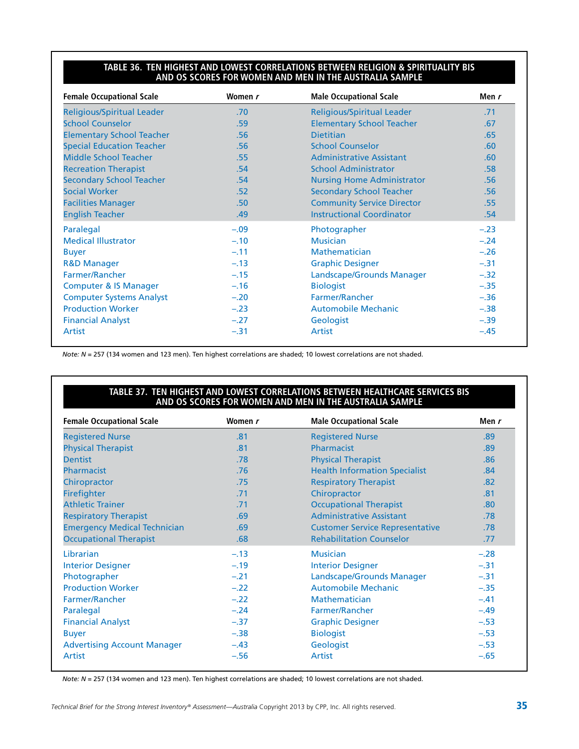#### **Table 36. Ten Highest and Lowest Correlations Between Religion & Spirituality BIS and OS Scores for Women and Men in the Australia Sample**

| <b>Female Occupational Scale</b>  | Women r | <b>Male Occupational Scale</b>    | Men r  |
|-----------------------------------|---------|-----------------------------------|--------|
| <b>Religious/Spiritual Leader</b> | .70     | Religious/Spiritual Leader        | .71    |
| <b>School Counselor</b>           | .59     | <b>Elementary School Teacher</b>  | .67    |
| <b>Elementary School Teacher</b>  | .56     | <b>Dietitian</b>                  | .65    |
| <b>Special Education Teacher</b>  | .56     | <b>School Counselor</b>           | .60    |
| <b>Middle School Teacher</b>      | .55     | <b>Administrative Assistant</b>   | .60    |
| <b>Recreation Therapist</b>       | .54     | <b>School Administrator</b>       | .58    |
| <b>Secondary School Teacher</b>   | .54     | <b>Nursing Home Administrator</b> | .56    |
| <b>Social Worker</b>              | .52     | <b>Secondary School Teacher</b>   | .56    |
| <b>Facilities Manager</b>         | .50     | <b>Community Service Director</b> | .55    |
| <b>English Teacher</b>            | .49     | <b>Instructional Coordinator</b>  | .54    |
| Paralegal                         | $-.09$  | Photographer                      | $-.23$ |
| <b>Medical Illustrator</b>        | $-.10$  | <b>Musician</b>                   | $-.24$ |
| <b>Buyer</b>                      | $-.11$  | <b>Mathematician</b>              | $-.26$ |
| <b>R&amp;D Manager</b>            | $-.13$  | <b>Graphic Designer</b>           | $-.31$ |
| Farmer/Rancher                    | $-.15$  | Landscape/Grounds Manager         | $-.32$ |
| <b>Computer &amp; IS Manager</b>  | $-.16$  | <b>Biologist</b>                  | $-.35$ |
| <b>Computer Systems Analyst</b>   | $-.20$  | Farmer/Rancher                    | $-.36$ |
| <b>Production Worker</b>          | $-.23$  | <b>Automobile Mechanic</b>        | $-.38$ |
| <b>Financial Analyst</b>          | $-.27$  | Geologist                         | $-.39$ |
| Artist                            | $-.31$  | Artist                            | $-.45$ |

*Note: N* = 257 (134 women and 123 men). Ten highest correlations are shaded; 10 lowest correlations are not shaded.

#### **Table 37. Ten Highest and Lowest Correlations Between Healthcare Services BIS and OS Scores for Women and Men in the Australia Sample**

| <b>Female Occupational Scale</b>    | Women r | <b>Male Occupational Scale</b>         | Men r  |
|-------------------------------------|---------|----------------------------------------|--------|
| <b>Registered Nurse</b>             | .81     | <b>Registered Nurse</b>                | .89    |
| <b>Physical Therapist</b>           | .81     | Pharmacist                             | .89    |
| <b>Dentist</b>                      | .78     | <b>Physical Therapist</b>              | .86    |
| Pharmacist                          | .76     | <b>Health Information Specialist</b>   | .84    |
| Chiropractor                        | .75     | <b>Respiratory Therapist</b>           | .82    |
| Firefighter                         | .71     | Chiropractor                           | .81    |
| <b>Athletic Trainer</b>             | .71     | <b>Occupational Therapist</b>          | .80    |
| <b>Respiratory Therapist</b>        | .69     | <b>Administrative Assistant</b>        | .78    |
| <b>Emergency Medical Technician</b> | .69     | <b>Customer Service Representative</b> | .78    |
| <b>Occupational Therapist</b>       | .68     | <b>Rehabilitation Counselor</b>        | .77    |
| Librarian                           | $-.13$  | <b>Musician</b>                        | $-.28$ |
| <b>Interior Designer</b>            | $-.19$  | <b>Interior Designer</b>               | $-.31$ |
| Photographer                        | $-.21$  | Landscape/Grounds Manager              | $-.31$ |
| <b>Production Worker</b>            | $-.22$  | <b>Automobile Mechanic</b>             | $-.35$ |
| Farmer/Rancher                      | $-.22$  | Mathematician                          | $-.41$ |
| Paralegal                           | $-.24$  | Farmer/Rancher                         | $-.49$ |
| <b>Financial Analyst</b>            | $-.37$  | <b>Graphic Designer</b>                | $-.53$ |
| <b>Buyer</b>                        | $-.38$  | <b>Biologist</b>                       | $-.53$ |
| <b>Advertising Account Manager</b>  | $-.43$  | Geologist                              | $-.53$ |
| Artist                              | $-.56$  | Artist                                 | $-.65$ |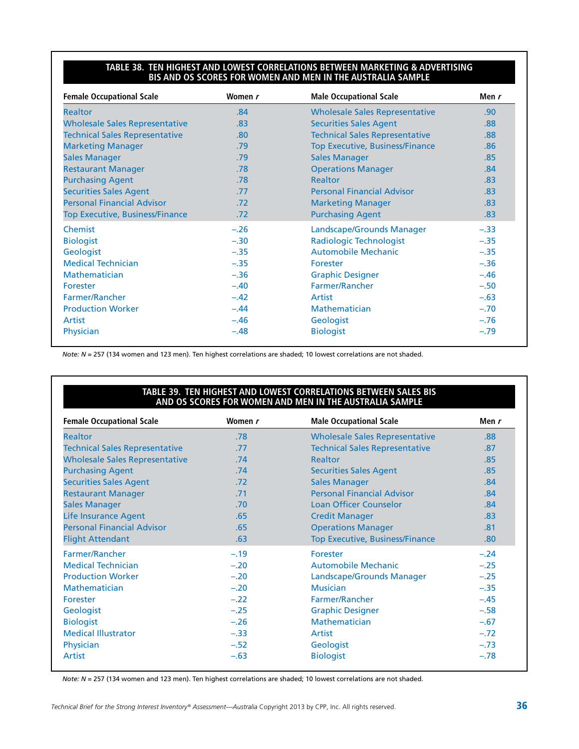#### **Table 38. Ten Highest and Lowest Correlations Between Marketing & Advertising BIS and OS Scores for Women and Men in the Australia Sample**

| <b>Female Occupational Scale</b>       | Women r | <b>Male Occupational Scale</b>         | Men r  |
|----------------------------------------|---------|----------------------------------------|--------|
| <b>Realtor</b>                         | .84     | <b>Wholesale Sales Representative</b>  | .90    |
| <b>Wholesale Sales Representative</b>  | .83     | <b>Securities Sales Agent</b>          | .88    |
| <b>Technical Sales Representative</b>  | .80     | <b>Technical Sales Representative</b>  | .88    |
| <b>Marketing Manager</b>               | .79     | <b>Top Executive, Business/Finance</b> | .86    |
| <b>Sales Manager</b>                   | .79     | <b>Sales Manager</b>                   | .85    |
| <b>Restaurant Manager</b>              | .78     | <b>Operations Manager</b>              | .84    |
| <b>Purchasing Agent</b>                | .78     | <b>Realtor</b>                         | .83    |
| <b>Securities Sales Agent</b>          | .77     | <b>Personal Financial Advisor</b>      | .83    |
| <b>Personal Financial Advisor</b>      | .72     | <b>Marketing Manager</b>               | .83    |
| <b>Top Executive, Business/Finance</b> | .72     | <b>Purchasing Agent</b>                | .83    |
| Chemist                                | $-.26$  | Landscape/Grounds Manager              | $-.33$ |
| <b>Biologist</b>                       | $-.30$  | <b>Radiologic Technologist</b>         | $-.35$ |
| Geologist                              | $-.35$  | <b>Automobile Mechanic</b>             | $-.35$ |
| <b>Medical Technician</b>              | $-.35$  | <b>Forester</b>                        | $-.36$ |
| Mathematician                          | $-.36$  | <b>Graphic Designer</b>                | $-.46$ |
| Forester                               | $-.40$  | Farmer/Rancher                         | $-.50$ |
| <b>Farmer/Rancher</b>                  | $-.42$  | Artist                                 | $-.63$ |
| <b>Production Worker</b>               | $-.44$  | <b>Mathematician</b>                   | $-.70$ |
| Artist                                 | $-.46$  | Geologist                              | $-.76$ |
| Physician                              | $-.48$  | <b>Biologist</b>                       | $-.79$ |

*Note: N* = 257 (134 women and 123 men). Ten highest correlations are shaded; 10 lowest correlations are not shaded.

#### TABLE 39. TEN HIGHEST AND LOWEST CORRELATIONS BETWEEN SALES B **and OS Scores for Women and Men in the Australia Sample**

| <b>Female Occupational Scale</b>      | Women r | <b>Male Occupational Scale</b>         | Men r  |
|---------------------------------------|---------|----------------------------------------|--------|
| <b>Realtor</b>                        | .78     | <b>Wholesale Sales Representative</b>  | .88    |
| <b>Technical Sales Representative</b> | .77     | <b>Technical Sales Representative</b>  | .87    |
| <b>Wholesale Sales Representative</b> | .74     | <b>Realtor</b>                         | .85    |
| <b>Purchasing Agent</b>               | .74     | <b>Securities Sales Agent</b>          | .85    |
| <b>Securities Sales Agent</b>         | .72     | <b>Sales Manager</b>                   | .84    |
| <b>Restaurant Manager</b>             | .71     | <b>Personal Financial Advisor</b>      | .84    |
| <b>Sales Manager</b>                  | .70     | Loan Officer Counselor                 | .84    |
| Life Insurance Agent                  | .65     | <b>Credit Manager</b>                  | .83    |
| <b>Personal Financial Advisor</b>     | .65     | <b>Operations Manager</b>              | .81    |
| <b>Flight Attendant</b>               | .63     | <b>Top Executive, Business/Finance</b> | .80    |
| Farmer/Rancher                        | $-.19$  | Forester                               | $-.24$ |
| <b>Medical Technician</b>             | $-.20$  | <b>Automobile Mechanic</b>             | $-.25$ |
| <b>Production Worker</b>              | $-.20$  | Landscape/Grounds Manager              | $-.25$ |
| <b>Mathematician</b>                  | $-.20$  | <b>Musician</b>                        | $-.35$ |
| <b>Forester</b>                       | $-.22$  | Farmer/Rancher                         | $-.45$ |
| Geologist                             | $-.25$  | <b>Graphic Designer</b>                | $-.58$ |
| <b>Biologist</b>                      | $-.26$  | Mathematician                          | $-.67$ |
| <b>Medical Illustrator</b>            | $-.33$  | Artist                                 | $-.72$ |
| Physician                             | $-.52$  | Geologist                              | $-.73$ |
| <b>Artist</b>                         | $-.63$  | <b>Biologist</b>                       | $-.78$ |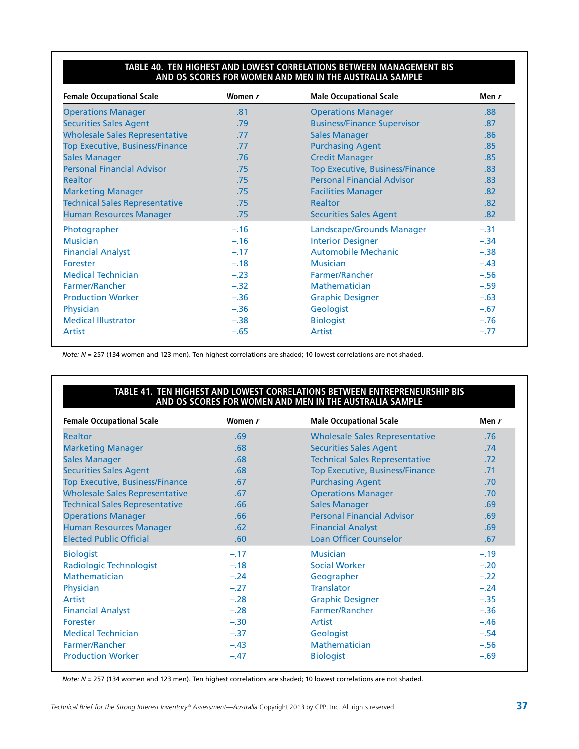#### **Table 40. Ten Highest and Lowest Correlations Between Management BIS and OS Scores for Women and Men in the Australia Sample**

| <b>Female Occupational Scale</b>       | Women r | <b>Male Occupational Scale</b>         | Men r  |
|----------------------------------------|---------|----------------------------------------|--------|
| <b>Operations Manager</b>              | .81     | <b>Operations Manager</b>              | .88    |
| <b>Securities Sales Agent</b>          | .79     | <b>Business/Finance Supervisor</b>     | .87    |
| <b>Wholesale Sales Representative</b>  | .77     | <b>Sales Manager</b>                   | .86    |
| <b>Top Executive, Business/Finance</b> | .77     | <b>Purchasing Agent</b>                | .85    |
| <b>Sales Manager</b>                   | .76     | <b>Credit Manager</b>                  | .85    |
| <b>Personal Financial Advisor</b>      | .75     | <b>Top Executive, Business/Finance</b> | .83    |
| <b>Realtor</b>                         | .75     | <b>Personal Financial Advisor</b>      | .83    |
| <b>Marketing Manager</b>               | .75     | <b>Facilities Manager</b>              | .82    |
| <b>Technical Sales Representative</b>  | .75     | <b>Realtor</b>                         | .82    |
| <b>Human Resources Manager</b>         | .75     | <b>Securities Sales Agent</b>          | .82    |
| Photographer                           | $-.16$  | Landscape/Grounds Manager              | $-.31$ |
| <b>Musician</b>                        | $-.16$  | <b>Interior Designer</b>               | $-.34$ |
| <b>Financial Analyst</b>               | $-.17$  | <b>Automobile Mechanic</b>             | $-.38$ |
| Forester                               | $-.18$  | <b>Musician</b>                        | $-.43$ |
| <b>Medical Technician</b>              | $-.23$  | Farmer/Rancher                         | $-.56$ |
| Farmer/Rancher                         | $-.32$  | <b>Mathematician</b>                   | $-.59$ |
| <b>Production Worker</b>               | $-.36$  | <b>Graphic Designer</b>                | $-.63$ |
| Physician                              | $-.36$  | Geologist                              | $-.67$ |
| <b>Medical Illustrator</b>             | $-.38$  | <b>Biologist</b>                       | $-.76$ |
| Artist                                 | $-.65$  | Artist                                 | $-.77$ |

*Note: N* = 257 (134 women and 123 men). Ten highest correlations are shaded; 10 lowest correlations are not shaded.

#### **Table 41. Ten Highest and Lowest Correlations Between Entrepreneurship BIS and OS Scores for Women and Men in the Australia Sample**

| <b>Female Occupational Scale</b>       | Women r | <b>Male Occupational Scale</b>         | Men r  |
|----------------------------------------|---------|----------------------------------------|--------|
| <b>Realtor</b>                         | .69     | <b>Wholesale Sales Representative</b>  | .76    |
| <b>Marketing Manager</b>               | .68     | <b>Securities Sales Agent</b>          | .74    |
| <b>Sales Manager</b>                   | .68     | <b>Technical Sales Representative</b>  | .72    |
| <b>Securities Sales Agent</b>          | .68     | <b>Top Executive, Business/Finance</b> | .71    |
| <b>Top Executive, Business/Finance</b> | .67     | <b>Purchasing Agent</b>                | .70    |
| <b>Wholesale Sales Representative</b>  | .67     | <b>Operations Manager</b>              | .70    |
| <b>Technical Sales Representative</b>  | .66     | <b>Sales Manager</b>                   | .69    |
| <b>Operations Manager</b>              | .66     | <b>Personal Financial Advisor</b>      | .69    |
| <b>Human Resources Manager</b>         | .62     | <b>Financial Analyst</b>               | .69    |
| <b>Elected Public Official</b>         | .60     | <b>Loan Officer Counselor</b>          | .67    |
| <b>Biologist</b>                       | $-.17$  | <b>Musician</b>                        | $-.19$ |
| Radiologic Technologist                | $-.18$  | <b>Social Worker</b>                   | $-.20$ |
| Mathematician                          | $-.24$  | Geographer                             | $-.22$ |
| Physician                              | $-.27$  | <b>Translator</b>                      | $-.24$ |
| Artist                                 | $-.28$  | <b>Graphic Designer</b>                | $-.35$ |
| <b>Financial Analyst</b>               | $-.28$  | Farmer/Rancher                         | $-.36$ |
| Forester                               | $-.30$  | Artist                                 | $-.46$ |
| <b>Medical Technician</b>              | $-.37$  | Geologist                              | $-.54$ |
| Farmer/Rancher                         | $-.43$  | <b>Mathematician</b>                   | $-.56$ |
| <b>Production Worker</b>               | $-.47$  | <b>Biologist</b>                       | $-.69$ |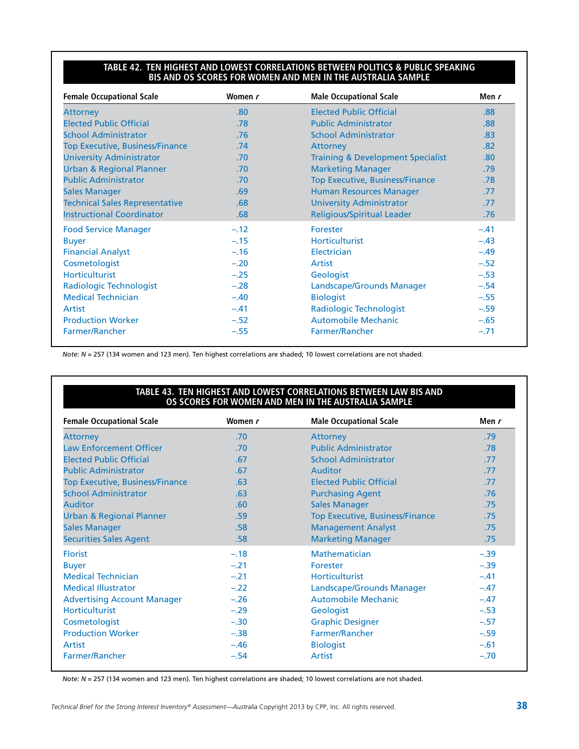#### **Table 42. Ten Highest and Lowest Correlations Between Politics & Public Speaking BIS and OS Scores for Women and Men in the Australia Sample**

| <b>Female Occupational Scale</b>       | Women r | <b>Male Occupational Scale</b>               | Men r  |
|----------------------------------------|---------|----------------------------------------------|--------|
| <b>Attorney</b>                        | .80     | <b>Elected Public Official</b>               | .88    |
| <b>Elected Public Official</b>         | .78     | <b>Public Administrator</b>                  | .88    |
| <b>School Administrator</b>            | .76     | <b>School Administrator</b>                  | .83    |
| <b>Top Executive, Business/Finance</b> | .74     | Attorney                                     | .82    |
| <b>University Administrator</b>        | .70     | <b>Training &amp; Development Specialist</b> | .80    |
| <b>Urban &amp; Regional Planner</b>    | .70     | <b>Marketing Manager</b>                     | .79    |
| <b>Public Administrator</b>            | .70     | <b>Top Executive, Business/Finance</b>       | .78    |
| <b>Sales Manager</b>                   | .69     | <b>Human Resources Manager</b>               | .77    |
| <b>Technical Sales Representative</b>  | .68     | <b>University Administrator</b>              | .77    |
| <b>Instructional Coordinator</b>       | .68     | <b>Religious/Spiritual Leader</b>            | .76    |
| <b>Food Service Manager</b>            | $-.12$  | Forester                                     | $-.41$ |
| <b>Buyer</b>                           | $-.15$  | <b>Horticulturist</b>                        | $-.43$ |
| <b>Financial Analyst</b>               | $-.16$  | Electrician                                  | $-.49$ |
| Cosmetologist                          | $-.20$  | Artist                                       | $-.52$ |
| <b>Horticulturist</b>                  | $-.25$  | Geologist                                    | $-.53$ |
| Radiologic Technologist                | $-.28$  | Landscape/Grounds Manager                    | $-.54$ |
| <b>Medical Technician</b>              | $-.40$  | <b>Biologist</b>                             | $-.55$ |
| Artist                                 | $-.41$  | Radiologic Technologist                      | $-.59$ |
| <b>Production Worker</b>               | $-.52$  | <b>Automobile Mechanic</b>                   | $-.65$ |
| Farmer/Rancher                         | $-.55$  | <b>Farmer/Rancher</b>                        | $-.71$ |

*Note: N* = 257 (134 women and 123 men). Ten highest correlations are shaded; 10 lowest correlations are not shaded.

#### **Table 43. Ten Highest and Lowest Correlations Between Law BIS and OS Scores for Women and Men in the Australia Sample**

| <b>Female Occupational Scale</b>       | Women r | <b>Male Occupational Scale</b>         | Men r  |
|----------------------------------------|---------|----------------------------------------|--------|
| <b>Attorney</b>                        | .70     | Attorney                               | .79    |
| <b>Law Enforcement Officer</b>         | .70     | <b>Public Administrator</b>            | .78    |
| <b>Elected Public Official</b>         | .67     | <b>School Administrator</b>            | .77    |
| <b>Public Administrator</b>            | .67     | Auditor                                | .77    |
| <b>Top Executive, Business/Finance</b> | .63     | <b>Elected Public Official</b>         | .77    |
| <b>School Administrator</b>            | .63     | <b>Purchasing Agent</b>                | .76    |
| Auditor                                | .60     | <b>Sales Manager</b>                   | .75    |
| <b>Urban &amp; Regional Planner</b>    | .59     | <b>Top Executive, Business/Finance</b> | .75    |
| <b>Sales Manager</b>                   | .58     | <b>Management Analyst</b>              | .75    |
| <b>Securities Sales Agent</b>          | .58     | <b>Marketing Manager</b>               | .75    |
| <b>Florist</b>                         | $-.18$  | <b>Mathematician</b>                   | $-.39$ |
| <b>Buyer</b>                           | $-.21$  | <b>Forester</b>                        | $-.39$ |
| <b>Medical Technician</b>              | $-.21$  | <b>Horticulturist</b>                  | $-.41$ |
| <b>Medical Illustrator</b>             | $-.22$  | Landscape/Grounds Manager              | $-.47$ |
| <b>Advertising Account Manager</b>     | $-.26$  | <b>Automobile Mechanic</b>             | $-.47$ |
| <b>Horticulturist</b>                  | $-.29$  | Geologist                              | $-.53$ |
| Cosmetologist                          | $-.30$  | <b>Graphic Designer</b>                | $-.57$ |
| <b>Production Worker</b>               | $-.38$  | Farmer/Rancher                         | $-.59$ |
| Artist                                 | $-.46$  | <b>Biologist</b>                       | $-.61$ |
| Farmer/Rancher                         | $-.54$  | Artist                                 | $-.70$ |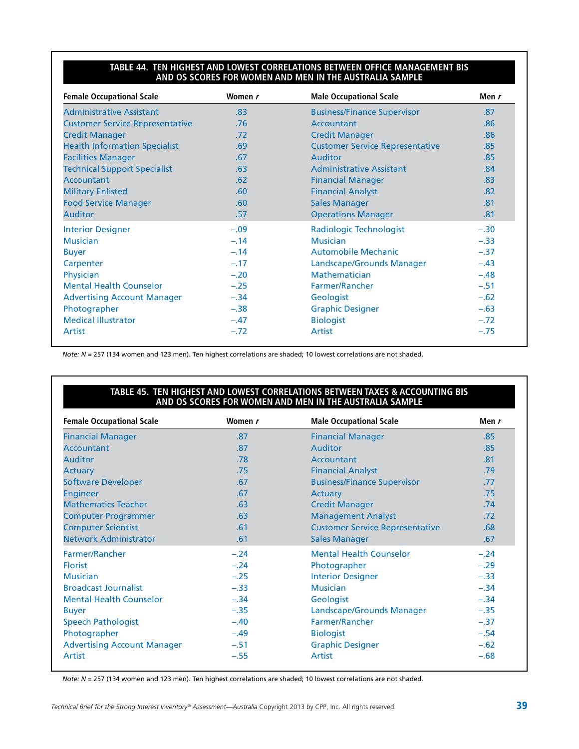#### **Table 44. Ten Highest and Lowest Correlations Between Office Management BIS and OS Scores for Women and Men in the Australia Sample**

| <b>Female Occupational Scale</b>       | Women r | <b>Male Occupational Scale</b>         | Men r  |
|----------------------------------------|---------|----------------------------------------|--------|
| <b>Administrative Assistant</b>        | .83     | <b>Business/Finance Supervisor</b>     | .87    |
| <b>Customer Service Representative</b> | .76     | Accountant                             | .86    |
| <b>Credit Manager</b>                  | .72     | <b>Credit Manager</b>                  | .86    |
| <b>Health Information Specialist</b>   | .69     | <b>Customer Service Representative</b> | .85    |
| <b>Facilities Manager</b>              | .67     | Auditor                                | .85    |
| <b>Technical Support Specialist</b>    | .63     | <b>Administrative Assistant</b>        | .84    |
| <b>Accountant</b>                      | .62     | <b>Financial Manager</b>               | .83    |
| <b>Military Enlisted</b>               | .60     | <b>Financial Analyst</b>               | .82    |
| <b>Food Service Manager</b>            | .60     | <b>Sales Manager</b>                   | .81    |
| <b>Auditor</b>                         | .57     | <b>Operations Manager</b>              | .81    |
| <b>Interior Designer</b>               | $-.09$  | <b>Radiologic Technologist</b>         | $-.30$ |
| <b>Musician</b>                        | $-.14$  | <b>Musician</b>                        | $-.33$ |
| <b>Buyer</b>                           | $-.14$  | <b>Automobile Mechanic</b>             | $-.37$ |
| Carpenter                              | $-.17$  | Landscape/Grounds Manager              | $-.43$ |
| Physician                              | $-.20$  | Mathematician                          | $-.48$ |
| <b>Mental Health Counselor</b>         | $-.25$  | Farmer/Rancher                         | $-.51$ |
| <b>Advertising Account Manager</b>     | $-.34$  | Geologist                              | $-.62$ |
| Photographer                           | $-.38$  | <b>Graphic Designer</b>                | $-.63$ |
| <b>Medical Illustrator</b>             | $-.47$  | <b>Biologist</b>                       | $-.72$ |
| Artist                                 | $-.72$  | <b>Artist</b>                          | $-.75$ |

*Note: N* = 257 (134 women and 123 men). Ten highest correlations are shaded; 10 lowest correlations are not shaded.

#### **Table 45. Ten Highest and Lowest Correlations Between Taxes & Accounting BIS and OS Scores for Women and Men in the Australia Sample**

| <b>Female Occupational Scale</b>   | Women r | <b>Male Occupational Scale</b>         | Men r  |  |
|------------------------------------|---------|----------------------------------------|--------|--|
| <b>Financial Manager</b>           | .87     | <b>Financial Manager</b>               | .85    |  |
| <b>Accountant</b>                  | .87     | Auditor                                | .85    |  |
| <b>Auditor</b>                     | .78     | Accountant                             | .81    |  |
| <b>Actuary</b>                     | .75     | <b>Financial Analyst</b>               | .79    |  |
| <b>Software Developer</b>          | .67     | <b>Business/Finance Supervisor</b>     | .77    |  |
| <b>Engineer</b>                    | .67     | Actuary                                | .75    |  |
| <b>Mathematics Teacher</b>         | .63     | <b>Credit Manager</b>                  | .74    |  |
| <b>Computer Programmer</b>         | .63     | <b>Management Analyst</b>              | .72    |  |
| <b>Computer Scientist</b>          | .61     | <b>Customer Service Representative</b> | .68    |  |
| <b>Network Administrator</b>       | .61     | <b>Sales Manager</b>                   | .67    |  |
| Farmer/Rancher                     | $-.24$  | <b>Mental Health Counselor</b>         | $-.24$ |  |
| <b>Florist</b>                     | $-.24$  | Photographer                           | $-.29$ |  |
| <b>Musician</b>                    | $-.25$  | <b>Interior Designer</b>               | $-.33$ |  |
| <b>Broadcast Journalist</b>        | $-.33$  | <b>Musician</b>                        | $-.34$ |  |
| <b>Mental Health Counselor</b>     | $-.34$  | Geologist                              | $-.34$ |  |
| <b>Buyer</b>                       | $-.35$  | Landscape/Grounds Manager              | $-.35$ |  |
| <b>Speech Pathologist</b>          | $-.40$  | Farmer/Rancher                         | $-.37$ |  |
| Photographer                       | $-.49$  | <b>Biologist</b>                       | $-.54$ |  |
| <b>Advertising Account Manager</b> | $-.51$  | <b>Graphic Designer</b>                | $-.62$ |  |
| Artist                             | $-.55$  | Artist                                 | $-.68$ |  |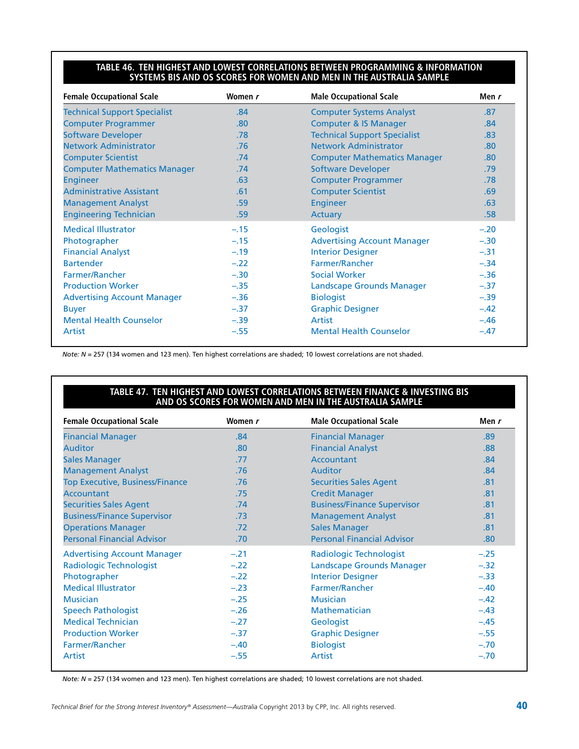#### **Table 46. Ten Highest and Lowest Correlations Between Programming & Information Systems BIS and OS Scores for Women and Men in the Australia Sample**

| <b>Female Occupational Scale</b>    | Women r | <b>Male Occupational Scale</b>      | Men $r$ |  |
|-------------------------------------|---------|-------------------------------------|---------|--|
| <b>Technical Support Specialist</b> | .84     | <b>Computer Systems Analyst</b>     | .87     |  |
| <b>Computer Programmer</b>          | .80     | <b>Computer &amp; IS Manager</b>    | .84     |  |
| <b>Software Developer</b>           | .78     | <b>Technical Support Specialist</b> | .83     |  |
| <b>Network Administrator</b>        | .76     | <b>Network Administrator</b>        | .80     |  |
| <b>Computer Scientist</b>           | .74     | <b>Computer Mathematics Manager</b> | .80     |  |
| <b>Computer Mathematics Manager</b> | .74     | <b>Software Developer</b>           | .79     |  |
| <b>Engineer</b>                     | .63     | <b>Computer Programmer</b>          | .78     |  |
| <b>Administrative Assistant</b>     | .61     | <b>Computer Scientist</b>           | .69     |  |
| <b>Management Analyst</b>           | .59     | <b>Engineer</b>                     | .63     |  |
| <b>Engineering Technician</b>       | .59     | <b>Actuary</b>                      | .58     |  |
| <b>Medical Illustrator</b>          | $-.15$  | Geologist                           | $-.20$  |  |
| Photographer                        | $-.15$  | <b>Advertising Account Manager</b>  | $-.30$  |  |
| <b>Financial Analyst</b>            | $-.19$  | <b>Interior Designer</b>            | $-.31$  |  |
| <b>Bartender</b>                    | $-.22$  | Farmer/Rancher                      | $-.34$  |  |
| Farmer/Rancher                      | $-.30$  | <b>Social Worker</b>                | $-.36$  |  |
| <b>Production Worker</b>            | $-.35$  | <b>Landscape Grounds Manager</b>    | $-.37$  |  |
| <b>Advertising Account Manager</b>  | $-.36$  | <b>Biologist</b>                    | $-.39$  |  |
| <b>Buyer</b>                        | $-.37$  | <b>Graphic Designer</b>             | $-.42$  |  |
| <b>Mental Health Counselor</b>      | $-.39$  | Artist                              | $-.46$  |  |
| Artist                              | $-.55$  | <b>Mental Health Counselor</b>      | $-.47$  |  |

*Note: N* = 257 (134 women and 123 men). Ten highest correlations are shaded; 10 lowest correlations are not shaded.

#### **Table 47. Ten Highest and Lowest Correlations Between Finance & Investing BIS and OS Scores for Women and Men in the Australia Sample**

| <b>Female Occupational Scale</b>       | Women r | <b>Male Occupational Scale</b>     | Men r            |  |
|----------------------------------------|---------|------------------------------------|------------------|--|
| <b>Financial Manager</b>               | .84     | <b>Financial Manager</b>           | .89              |  |
| Auditor                                | .80     | <b>Financial Analyst</b>           | .88              |  |
| <b>Sales Manager</b>                   | .77     | Accountant                         | .84              |  |
| <b>Management Analyst</b>              | .76     | <b>Auditor</b>                     | .84              |  |
| <b>Top Executive, Business/Finance</b> | .76     | <b>Securities Sales Agent</b>      | .81              |  |
| <b>Accountant</b>                      | .75     | <b>Credit Manager</b>              | .81              |  |
| <b>Securities Sales Agent</b>          | .74     | <b>Business/Finance Supervisor</b> | .81              |  |
| <b>Business/Finance Supervisor</b>     | .73     | <b>Management Analyst</b>          | .81              |  |
| <b>Operations Manager</b>              | .72     | <b>Sales Manager</b>               | .81              |  |
| <b>Personal Financial Advisor</b>      | .70     | <b>Personal Financial Advisor</b>  | .80 <sub>1</sub> |  |
| <b>Advertising Account Manager</b>     | $-.21$  | <b>Radiologic Technologist</b>     | $-.25$           |  |
| <b>Radiologic Technologist</b>         | $-.22$  | Landscape Grounds Manager          | $-.32$           |  |
| Photographer                           | $-.22$  | <b>Interior Designer</b>           | $-.33$           |  |
| <b>Medical Illustrator</b>             | $-.23$  | Farmer/Rancher                     | $-.40$           |  |
| <b>Musician</b>                        | $-.25$  | <b>Musician</b>                    | $-.42$           |  |
| <b>Speech Pathologist</b>              | $-.26$  | Mathematician                      | $-.43$           |  |
| <b>Medical Technician</b>              | $-.27$  | Geologist                          | $-.45$           |  |
| <b>Production Worker</b>               | $-.37$  | <b>Graphic Designer</b>            | $-.55$           |  |
| Farmer/Rancher                         | $-.40$  | <b>Biologist</b>                   | $-.70$           |  |
| Artist                                 | $-.55$  | <b>Artist</b>                      | $-.70$           |  |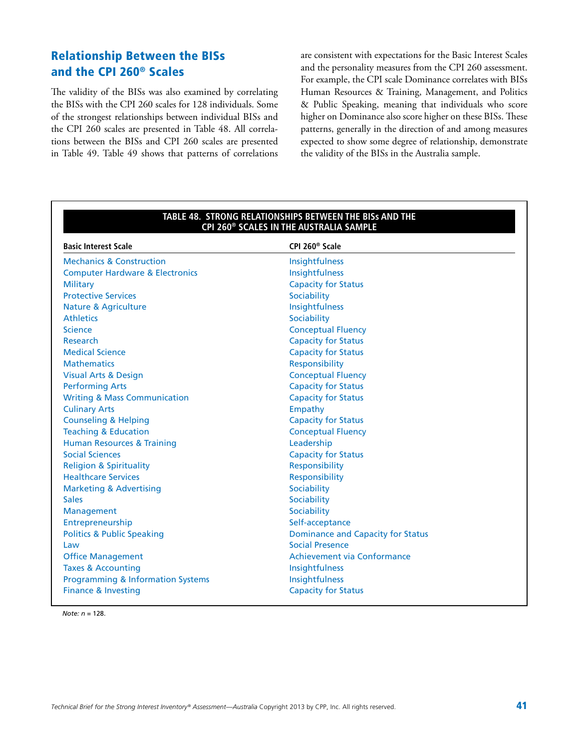### Relationship Between the BISs and the CPI 260® Scales

The validity of the BISs was also examined by correlating the BISs with the CPI 260 scales for 128 individuals. Some of the strongest relationships between individual BISs and the CPI 260 scales are presented in Table 48. All correlations between the BISs and CPI 260 scales are presented in Table 49. Table 49 shows that patterns of correlations are consistent with expectations for the Basic Interest Scales and the personality measures from the CPI 260 assessment. For example, the CPI scale Dominance correlates with BISs Human Resources & Training, Management, and Politics & Public Speaking, meaning that individuals who score higher on Dominance also score higher on these BISs. These patterns, generally in the direction of and among measures expected to show some degree of relationship, demonstrate the validity of the BISs in the Australia sample.

| TABLE 48. STRONG RELATIONSHIPS BETWEEN THE BISs AND THE<br>CPI 260 <sup>®</sup> SCALES IN THE AUSTRALIA SAMPLE |                                          |  |  |  |  |  |
|----------------------------------------------------------------------------------------------------------------|------------------------------------------|--|--|--|--|--|
| <b>Basic Interest Scale</b>                                                                                    | CPI 260 <sup>®</sup> Scale               |  |  |  |  |  |
| <b>Mechanics &amp; Construction</b>                                                                            | Insightfulness                           |  |  |  |  |  |
| <b>Computer Hardware &amp; Electronics</b>                                                                     | Insightfulness                           |  |  |  |  |  |
| <b>Military</b>                                                                                                | <b>Capacity for Status</b>               |  |  |  |  |  |
| <b>Protective Services</b>                                                                                     | Sociability                              |  |  |  |  |  |
| <b>Nature &amp; Agriculture</b>                                                                                | Insightfulness                           |  |  |  |  |  |
| <b>Athletics</b>                                                                                               | Sociability                              |  |  |  |  |  |
| <b>Science</b>                                                                                                 | <b>Conceptual Fluency</b>                |  |  |  |  |  |
| <b>Research</b>                                                                                                | <b>Capacity for Status</b>               |  |  |  |  |  |
| <b>Medical Science</b>                                                                                         | <b>Capacity for Status</b>               |  |  |  |  |  |
| <b>Mathematics</b>                                                                                             | Responsibility                           |  |  |  |  |  |
| <b>Visual Arts &amp; Design</b>                                                                                | <b>Conceptual Fluency</b>                |  |  |  |  |  |
| <b>Performing Arts</b>                                                                                         | <b>Capacity for Status</b>               |  |  |  |  |  |
| <b>Writing &amp; Mass Communication</b>                                                                        | <b>Capacity for Status</b>               |  |  |  |  |  |
| <b>Culinary Arts</b>                                                                                           | Empathy                                  |  |  |  |  |  |
| <b>Counseling &amp; Helping</b>                                                                                | <b>Capacity for Status</b>               |  |  |  |  |  |
| <b>Teaching &amp; Education</b>                                                                                | <b>Conceptual Fluency</b>                |  |  |  |  |  |
| <b>Human Resources &amp; Training</b>                                                                          | Leadership                               |  |  |  |  |  |
| <b>Social Sciences</b>                                                                                         | <b>Capacity for Status</b>               |  |  |  |  |  |
| <b>Religion &amp; Spirituality</b>                                                                             | Responsibility                           |  |  |  |  |  |
| <b>Healthcare Services</b>                                                                                     | Responsibility                           |  |  |  |  |  |
| <b>Marketing &amp; Advertising</b>                                                                             | Sociability                              |  |  |  |  |  |
| <b>Sales</b>                                                                                                   | Sociability                              |  |  |  |  |  |
| Management                                                                                                     | Sociability                              |  |  |  |  |  |
| Entrepreneurship                                                                                               | Self-acceptance                          |  |  |  |  |  |
| <b>Politics &amp; Public Speaking</b>                                                                          | <b>Dominance and Capacity for Status</b> |  |  |  |  |  |
| Law                                                                                                            | <b>Social Presence</b>                   |  |  |  |  |  |
| <b>Office Management</b>                                                                                       | <b>Achievement via Conformance</b>       |  |  |  |  |  |
| <b>Taxes &amp; Accounting</b>                                                                                  | Insightfulness                           |  |  |  |  |  |
| <b>Programming &amp; Information Systems</b>                                                                   | Insightfulness                           |  |  |  |  |  |
| <b>Finance &amp; Investing</b>                                                                                 | <b>Capacity for Status</b>               |  |  |  |  |  |

*Note: n* = 128.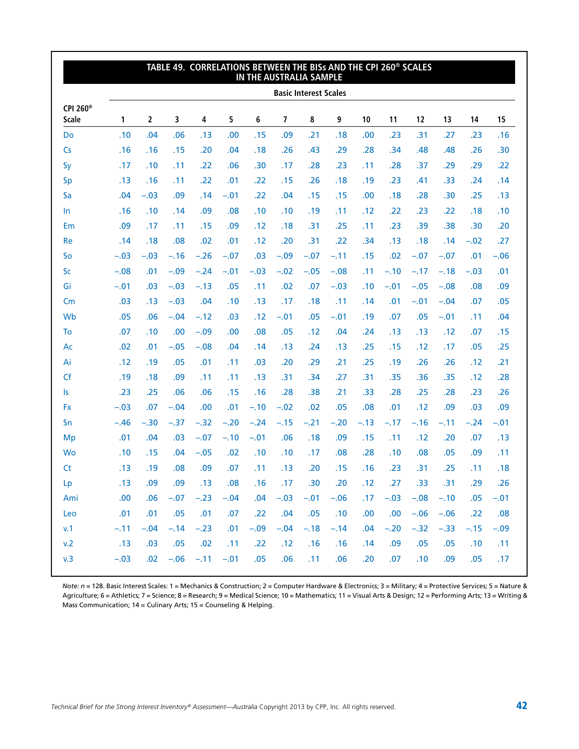|                                      |                              |                |        |                         | TABLE 49. CORRELATIONS BETWEEN THE BISs AND THE CPI 260 <sup>®</sup> SCALES |        | IN THE AUSTRALIA SAMPLE |              |        |                  |        |        |              |        |        |
|--------------------------------------|------------------------------|----------------|--------|-------------------------|-----------------------------------------------------------------------------|--------|-------------------------|--------------|--------|------------------|--------|--------|--------------|--------|--------|
|                                      | <b>Basic Interest Scales</b> |                |        |                         |                                                                             |        |                         |              |        |                  |        |        |              |        |        |
| CPI 260 <sup>®</sup><br><b>Scale</b> | 1                            | $\overline{2}$ | 3      | $\overline{\mathbf{4}}$ | 5                                                                           | 6      | $\overline{7}$          | 8            | 9      | 10               | 11     | 12     | 13           | 14     | 15     |
| Do                                   | .10                          | .04            | .06    | .13                     | .00                                                                         | .15    | .09                     | .21          | .18    | .00              | .23    | .31    | .27          | .23    | .16    |
| $\mathsf{Cs}$                        | .16                          | .16            | .15    | .20                     | .04                                                                         | .18    | .26                     | .43          | .29    | .28              | .34    | .48    | .48          | .26    | .30    |
| Sy                                   | .17                          | .10            | .11    | .22                     | .06                                                                         | .30    | .17                     | .28          | .23    | .11              | .28    | .37    | .29          | .29    | .22    |
| Sp                                   | .13                          | .16            | .11    | .22                     | .01                                                                         | .22    | .15                     | .26          | .18    | .19              | .23    | .41    | .33          | .24    | .14    |
| Sa                                   | .04                          | $-.03$         | .09    | .14                     | $-.01$                                                                      | .22    | .04                     | .15          | .15    | .00.             | .18    | .28    | .30          | .25    | .13    |
| In                                   | .16                          | .10            | .14    | .09                     | .08                                                                         | .10    | .10                     | .19          | .11    | .12              | .22    | .23    | .22          | .18    | .10    |
| Em                                   | .09                          | .17            | .11    | .15                     | .09                                                                         | .12    | .18                     | .31          | .25    | .11              | .23    | .39    | .38          | .30    | .20    |
| Re                                   | .14                          | .18            | .08    | .02                     | .01                                                                         | .12    | .20                     | .31          | .22    | .34              | .13    | .18    | .14          | $-.02$ | .27    |
| So                                   | $-.03$                       | $-.03$         | $-.16$ | $-.26$                  | $-.07$                                                                      | .03    | $-.09$                  | $-.07$       | $-.11$ | .15              | .02    | $-.07$ | $-.07$       | .01    | $-.06$ |
| Sc                                   | $-.08$                       | .01            | $-.09$ | $-.24$                  | $-.01$                                                                      | $-.03$ | $-.02$                  | $-.05$       | $-.08$ | .11              | $-.10$ | $-.17$ | $-.18$       | $-.03$ | .01    |
| Gi                                   | $-.01$                       | .03            | $-.03$ | $-.13$                  | .05                                                                         | .11    | .02                     | .07          | $-.03$ | .10              | $-.01$ | $-.05$ | $-.08$       | .08    | .09    |
| Cm                                   | .03                          | .13            | $-.03$ | .04                     | .10                                                                         | .13    | .17                     | .18          | .11    | .14              | .01    | $-.01$ | $-.04$       | .07    | .05    |
| Wb                                   | .05                          | .06            | $-.04$ | $-.12$                  | .03                                                                         | .12    | $-.01$                  | .05          | $-.01$ | .19              | .07    | .05    | $-.01$       | .11    | .04    |
| To                                   | .07                          | .10            | .00    | $-.09$                  | .00                                                                         | .08    | .05                     | .12          | .04    | .24              | .13    | .13    | .12          | .07    | .15    |
| Ac                                   | .02                          | .01            | $-.05$ | $-.08$                  | .04                                                                         | .14    | .13                     | .24          | .13    | .25              | .15    | .12    | .17          | .05    | .25    |
| Ai                                   | .12                          | .19            | .05    | .01                     | .11                                                                         | .03    | .20                     | .29          | .21    | .25              | .19    | .26    | .26          | .12    | .21    |
| Cf                                   | .19                          | .18            | .09    | .11                     | .11                                                                         | .13    | .31                     | .34          | .27    | .31              | .35    | .36    | .35          | .12    | .28    |
| Is                                   | .23                          | .25            | .06    | .06                     | .15                                                                         | .16    | .28                     | .38          | .21    | .33              | .28    | .25    | .28          | .23    | .26    |
| <b>Fx</b>                            | $-.03$                       | .07            | $-.04$ | .00                     | .01                                                                         | $-.10$ | $-.02$                  | .02          | .05    | .08              | .01    | .12    | .09          | .03    | .09    |
| Sn                                   | $-.46$                       | $-.30$         | $-.37$ | $-.32$                  | $-.20$                                                                      | $-.24$ | $-.15$                  | $-.21$       | $-.20$ | $-.13$           | $-.17$ | $-.16$ | $-.11$       | $-.24$ | $-.01$ |
| Mp                                   | .01                          | .04            | .03    | $-.07$                  | $-.10$                                                                      | $-.01$ | .06                     | .18          | .09    | .15              | .11    | .12    | .20          | .07    | .13    |
| Wo                                   | .10                          | .15            | .04    | $-.05$                  | .02                                                                         | .10    | .10                     | .17          | .08    | .28              | .10    | .08    | .05          | .09    | .11    |
| <b>Ct</b>                            | .13                          | .19            | .08    | .09                     | .07                                                                         | .11    | .13                     | .20          | .15    | .16              | .23    | .31    | .25          | .11    | .18    |
| Lp                                   | .13                          | .09            | .09    | .13                     | .08                                                                         | .16    | .17                     | .30          | .20    | .12              | .27    | .33    | .31          | .29    | .26    |
| Ami                                  | .00.                         | .06            | $-.07$ | $-.23$                  | $-.04$                                                                      | .04    |                         | $-.03 - .01$ | $-.06$ | .17 <sub>2</sub> | $-.03$ |        | $-.08 - .10$ | .05    | $-.01$ |
| Leo                                  | .01                          | .01            | .05    | .01                     | .07                                                                         | .22    | .04                     | .05          | .10    | .00.             | .00    | $-.06$ | $-.06$       | .22    | .08    |
| v.1                                  | $-.11$                       | $-.04$         | $-.14$ | $-.23$                  | .01                                                                         | $-.09$ | $-.04$                  | $-.18$       | $-.14$ | .04              | $-.20$ | $-.32$ | $-.33$       | $-.15$ | $-.09$ |
| v.2                                  | .13                          | .03            | .05    | .02                     | .11                                                                         | .22    | .12                     | .16          | .16    | .14              | .09    | .05    | .05          | .10    | .11    |
| v.3                                  | $-.03$                       | .02            | $-.06$ | $-.11$                  | $-.01$                                                                      | .05    | .06                     | .11          | .06    | .20              | .07    | .10    | .09          | .05    | .17    |

*Note: n* = 128. Basic Interest Scales: 1 = Mechanics & Construction; 2 = Computer Hardware & Electronics; 3 = Military; 4 = Protective Services; 5 = Nature & Agriculture; 6 = Athletics; 7 = Science; 8 = Research; 9 = Medical Science; 10 = Mathematics; 11 = Visual Arts & Design; 12 = Performing Arts; 13 = Writing & Mass Communication; 14 = Culinary Arts; 15 = Counseling & Helping.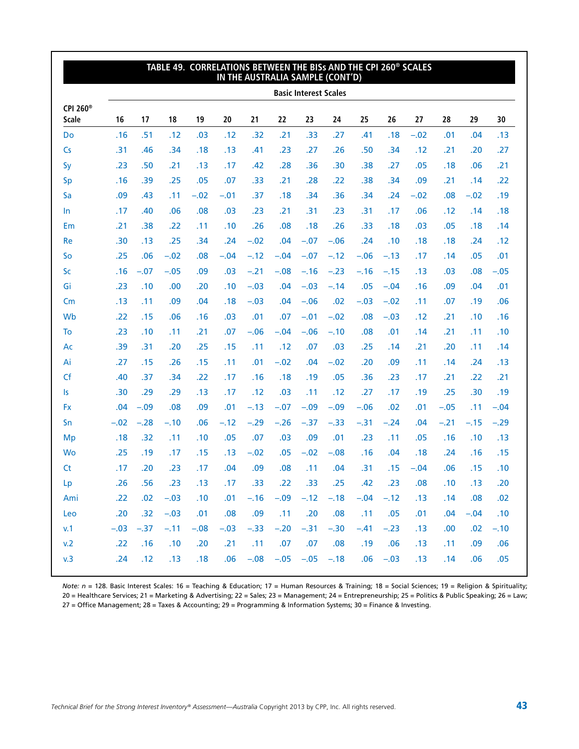|                               |        |        |        |        | TABLE 49. CORRELATIONS BETWEEN THE BISs AND THE CPI 260 <sup>®</sup> SCALES | IN THE AUSTRALIA SAMPLE (CONT'D) |        |                    |                              |            |        |        |        |        |        |
|-------------------------------|--------|--------|--------|--------|-----------------------------------------------------------------------------|----------------------------------|--------|--------------------|------------------------------|------------|--------|--------|--------|--------|--------|
|                               |        |        |        |        |                                                                             |                                  |        |                    | <b>Basic Interest Scales</b> |            |        |        |        |        |        |
| CPI 260 <sup>®</sup><br>Scale | 16     | 17     | 18     | 19     | 20                                                                          | 21                               | 22     | 23                 | 24                           | 25         | 26     | 27     | 28     | 29     | 30     |
| Do                            | .16    | .51    | .12    | .03    | .12                                                                         | .32                              | .21    | .33                | .27                          | .41        | .18    | $-.02$ | .01    | .04    | .13    |
| Cs                            | .31    | .46    | .34    | .18    | .13                                                                         | .41                              | .23    | .27                | .26                          | .50        | .34    | .12    | .21    | .20    | .27    |
| Sy                            | .23    | .50    | .21    | .13    | .17                                                                         | .42                              | .28    | .36                | .30                          | .38        | .27    | .05    | .18    | .06    | .21    |
| Sp                            | .16    | .39    | .25    | .05    | .07                                                                         | .33                              | .21    | .28                | .22                          | .38        | .34    | .09    | .21    | .14    | .22    |
| Sa                            | .09    | .43    | .11    | $-.02$ | $-.01$                                                                      | .37                              | .18    | .34                | .36                          | .34        | .24    | $-.02$ | .08    | $-.02$ | .19    |
| $\ln$                         | .17    | .40    | .06    | .08    | .03                                                                         | .23                              | .21    | .31                | .23                          | .31        | .17    | .06    | .12    | .14    | .18    |
| Em                            | .21    | .38    | .22    | .11    | .10                                                                         | .26                              | .08    | .18                | .26                          | .33        | .18    | .03    | .05    | .18    | .14    |
| Re                            | .30    | .13    | .25    | .34    | .24                                                                         | $-.02$                           | .04    | $-.07$             | $-.06$                       | .24        | .10    | .18    | .18    | .24    | .12    |
| So                            | .25    | .06    | $-.02$ | .08    | $-.04$                                                                      | $-.12$                           | $-.04$ | $-.07$             | $-.12$                       | $-.06$     | $-.13$ | .17    | .14    | .05    | .01    |
| <b>Sc</b>                     | .16    | $-.07$ | $-.05$ | .09    | .03                                                                         | $-.21$                           | $-.08$ | $-.16$             | $-.23$                       | $-.16$     | $-.15$ | .13    | .03    | .08    | $-.05$ |
| Gi                            | .23    | .10    | .00    | .20    | .10                                                                         | $-.03$                           | .04    | $-.03$             | $-.14$                       | .05        | $-.04$ | .16    | .09    | .04    | .01    |
| Cm                            | .13    | .11    | .09    | .04    | .18                                                                         | $-.03$                           | .04    | $-.06$             | .02                          | $-.03$     | $-.02$ | .11    | .07    | .19    | .06    |
| Wb                            | .22    | .15    | .06    | .16    | .03                                                                         | .01                              | .07    | $-.01$             | $-.02$                       | .08        | $-.03$ | .12    | .21    | .10    | .16    |
| To                            | .23    | .10    | .11    | .21    | .07                                                                         | $-.06$                           | $-.04$ | $-.06$             | $-.10$                       | .08        | .01    | .14    | .21    | .11    | .10    |
| Ac                            | .39    | .31    | .20    | .25    | .15                                                                         | .11                              | .12    | .07                | .03                          | .25        | .14    | .21    | .20    | .11    | .14    |
| Ai                            | .27    | .15    | .26    | .15    | .11                                                                         | .01                              | $-.02$ | .04                | $-.02$                       | .20        | .09    | .11    | .14    | .24    | .13    |
| Cf                            | .40    | .37    | .34    | .22    | .17                                                                         | .16                              | .18    | .19                | .05                          | .36        | .23    | .17    | .21    | .22    | .21    |
| Is                            | .30    | .29    | .29    | .13    | .17                                                                         | .12                              | .03    | .11                | .12                          | .27        | .17    | .19    | .25    | .30    | .19    |
| <b>Fx</b>                     | .04    | $-.09$ | .08    | .09    | .01                                                                         | $-.13$                           | $-.07$ | $-.09$             | $-.09$                       | $-.06$     | .02    | .01    | $-.05$ | .11    | $-.04$ |
| Sn                            | $-.02$ | $-.28$ | $-.10$ | .06    | $-.12$                                                                      | $-.29$                           | $-.26$ | $-.37$             | $-.33$                       | $-.31$     | $-.24$ | .04    | $-.21$ | $-.15$ | $-.29$ |
| Mp                            | .18    | .32    | .11    | .10    | .05                                                                         | .07                              | .03    | .09                | .01                          | .23        | .11    | .05    | .16    | .10    | .13    |
| <b>Wo</b>                     | .25    | .19    | .17    | .15    | .13                                                                         | $-.02$                           | .05    | $-.02$             | $-.08$                       | .16        | .04    | .18    | .24    | .16    | .15    |
| <b>Ct</b>                     | .17    | .20    | .23    | .17    | .04                                                                         | .09                              | .08    | .11                | .04                          | .31        | .15    | $-.04$ | .06    | .15    | .10    |
| Lp                            | .26    | .56    | .23    | .13    | .17                                                                         | .33                              | .22    | .33                | .25                          | .42        | .23    | .08    | .10    | .13    | .20    |
| Ami                           | .22    | .02    | $-.03$ | .10    |                                                                             | $.01 - .16 - .09 - .12 - .18$    |        |                    |                              | $-.04-.12$ |        | .13    | .14    | .08    | .02    |
| Leo                           | .20    | .32    | $-.03$ | .01    | .08                                                                         | .09                              | .11    | .20                | .08                          | .11        | .05    | .01    | .04    | $-.04$ | .10    |
| v.1                           | $-.03$ | $-.37$ | $-.11$ | $-.08$ | $-.03$                                                                      | $-.33$                           | $-.20$ | $-.31$             | $-.30$                       | $-.41$     | $-.23$ | .13    | .00    | .02    | $-.10$ |
| v.2                           | .22    | .16    | .10    | .20    | .21                                                                         | .11                              | .07    | .07                | .08                          | .19        | .06    | .13    | .11    | .09    | .06    |
| v.3                           | .24    | .12    | .13    | .18    | .06                                                                         | $-.08$                           |        | $-.05 - .05 - .18$ |                              | .06        | $-.03$ | .13    | .14    | .06    | .05    |
|                               |        |        |        |        |                                                                             |                                  |        |                    |                              |            |        |        |        |        |        |

*Note: n* = 128. Basic Interest Scales: 16 = Teaching & Education; 17 = Human Resources & Training; 18 = Social Sciences; 19 = Religion & Spirituality; 20 = Healthcare Services; 21 = Marketing & Advertising; 22 = Sales; 23 = Management; 24 = Entrepreneurship; 25 = Politics & Public Speaking; 26 = Law; 27 = Office Management; 28 = Taxes & Accounting; 29 = Programming & Information Systems; 30 = Finance & Investing.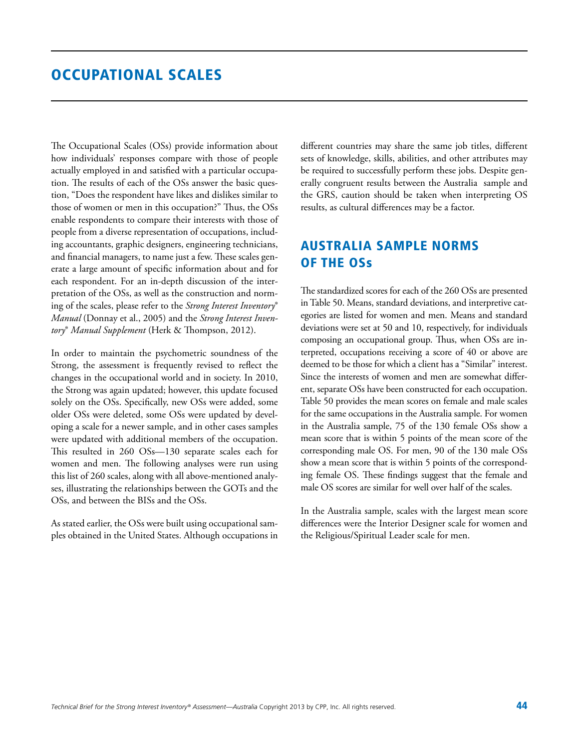### Occupational Scales

The Occupational Scales (OSs) provide information about how individuals' responses compare with those of people actually employed in and satisfied with a particular occupation. The results of each of the OSs answer the basic question, "Does the respondent have likes and dislikes similar to those of women or men in this occupation?" Thus, the OSs enable respondents to compare their interests with those of people from a diverse representation of occupations, including accountants, graphic designers, engineering technicians, and financial managers, to name just a few. These scales generate a large amount of specific information about and for each respondent. For an in-depth discussion of the interpretation of the OSs, as well as the construction and norming of the scales, please refer to the *Strong Interest Inventory*® *Manual* (Donnay et al., 2005) and the *Strong Interest Inventory*® *Manual Supplement* (Herk & Thompson, 2012).

In order to maintain the psychometric soundness of the Strong, the assessment is frequently revised to reflect the changes in the occupational world and in society. In 2010, the Strong was again updated; however, this update focused solely on the OSs. Specifically, new OSs were added, some older OSs were deleted, some OSs were updated by developing a scale for a newer sample, and in other cases samples were updated with additional members of the occupation. This resulted in 260 OSs—130 separate scales each for women and men. The following analyses were run using this list of 260 scales, along with all above-mentioned analyses, illustrating the relationships between the GOTs and the OSs, and between the BISs and the OSs.

As stated earlier, the OSs were built using occupational samples obtained in the United States. Although occupations in different countries may share the same job titles, different sets of knowledge, skills, abilities, and other attributes may be required to successfully perform these jobs. Despite generally congruent results between the Australia sample and the GRS, caution should be taken when interpreting OS results, as cultural differences may be a factor.

### Australia Sample Norms of the OSs

The standardized scores for each of the 260 OSs are presented in Table 50. Means, standard deviations, and interpretive categories are listed for women and men. Means and standard deviations were set at 50 and 10, respectively, for individuals composing an occupational group. Thus, when OSs are interpreted, occupations receiving a score of 40 or above are deemed to be those for which a client has a "Similar" interest. Since the interests of women and men are somewhat different, separate OSs have been constructed for each occupation. Table 50 provides the mean scores on female and male scales for the same occupations in the Australia sample. For women in the Australia sample, 75 of the 130 female OSs show a mean score that is within 5 points of the mean score of the corresponding male OS. For men, 90 of the 130 male OSs show a mean score that is within 5 points of the corresponding female OS. These findings suggest that the female and male OS scores are similar for well over half of the scales.

In the Australia sample, scales with the largest mean score differences were the Interior Designer scale for women and the Religious/Spiritual Leader scale for men.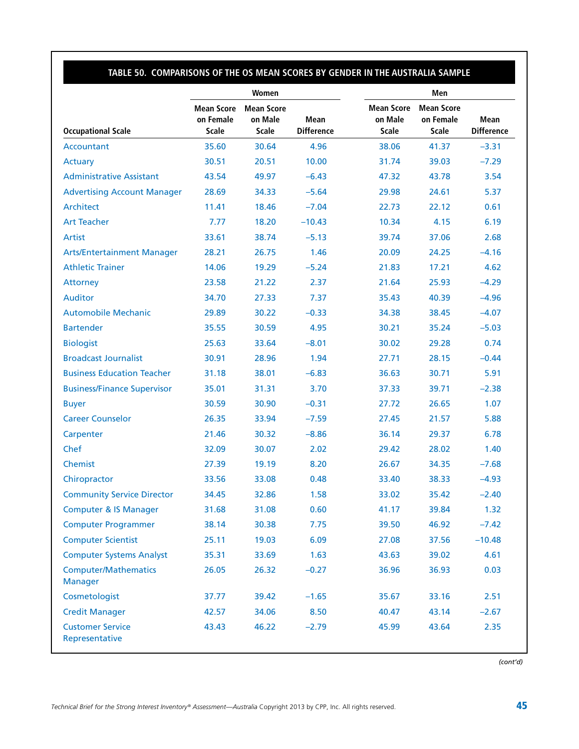### **Table 50. Comparisons of the OS Mean Scores by Gender in the Australia Sample**

|                                               |                                                | Women                                        |                                  | Men                                   |                                                |                                  |  |
|-----------------------------------------------|------------------------------------------------|----------------------------------------------|----------------------------------|---------------------------------------|------------------------------------------------|----------------------------------|--|
| <b>Occupational Scale</b>                     | <b>Mean Score</b><br>on Female<br><b>Scale</b> | <b>Mean Score</b><br>on Male<br><b>Scale</b> | <b>Mean</b><br><b>Difference</b> | <b>Mean Score</b><br>on Male<br>Scale | <b>Mean Score</b><br>on Female<br><b>Scale</b> | <b>Mean</b><br><b>Difference</b> |  |
| Accountant                                    | 35.60                                          | 30.64                                        | 4.96                             | 38.06                                 | 41.37                                          | $-3.31$                          |  |
| Actuary                                       | 30.51                                          | 20.51                                        | 10.00                            | 31.74                                 | 39.03                                          | $-7.29$                          |  |
| <b>Administrative Assistant</b>               | 43.54                                          | 49.97                                        | $-6.43$                          | 47.32                                 | 43.78                                          | 3.54                             |  |
| <b>Advertising Account Manager</b>            | 28.69                                          | 34.33                                        | $-5.64$                          | 29.98                                 | 24.61                                          | 5.37                             |  |
| Architect                                     | 11.41                                          | 18.46                                        | $-7.04$                          | 22.73                                 | 22.12                                          | 0.61                             |  |
| <b>Art Teacher</b>                            | 7.77                                           | 18.20                                        | $-10.43$                         | 10.34                                 | 4.15                                           | 6.19                             |  |
| <b>Artist</b>                                 | 33.61                                          | 38.74                                        | $-5.13$                          | 39.74                                 | 37.06                                          | 2.68                             |  |
| <b>Arts/Entertainment Manager</b>             | 28.21                                          | 26.75                                        | 1.46                             | 20.09                                 | 24.25                                          | $-4.16$                          |  |
| <b>Athletic Trainer</b>                       | 14.06                                          | 19.29                                        | $-5.24$                          | 21.83                                 | 17.21                                          | 4.62                             |  |
| Attorney                                      | 23.58                                          | 21.22                                        | 2.37                             | 21.64                                 | 25.93                                          | $-4.29$                          |  |
| <b>Auditor</b>                                | 34.70                                          | 27.33                                        | 7.37                             | 35.43                                 | 40.39                                          | $-4.96$                          |  |
| <b>Automobile Mechanic</b>                    | 29.89                                          | 30.22                                        | $-0.33$                          | 34.38                                 | 38.45                                          | $-4.07$                          |  |
| <b>Bartender</b>                              | 35.55                                          | 30.59                                        | 4.95                             | 30.21                                 | 35.24                                          | $-5.03$                          |  |
| <b>Biologist</b>                              | 25.63                                          | 33.64                                        | $-8.01$                          | 30.02                                 | 29.28                                          | 0.74                             |  |
| <b>Broadcast Journalist</b>                   | 30.91                                          | 28.96                                        | 1.94                             | 27.71                                 | 28.15                                          | $-0.44$                          |  |
| <b>Business Education Teacher</b>             | 31.18                                          | 38.01                                        | $-6.83$                          | 36.63                                 | 30.71                                          | 5.91                             |  |
| <b>Business/Finance Supervisor</b>            | 35.01                                          | 31.31                                        | 3.70                             | 37.33                                 | 39.71                                          | $-2.38$                          |  |
| <b>Buyer</b>                                  | 30.59                                          | 30.90                                        | $-0.31$                          | 27.72                                 | 26.65                                          | 1.07                             |  |
| <b>Career Counselor</b>                       | 26.35                                          | 33.94                                        | $-7.59$                          | 27.45                                 | 21.57                                          | 5.88                             |  |
| Carpenter                                     | 21.46                                          | 30.32                                        | $-8.86$                          | 36.14                                 | 29.37                                          | 6.78                             |  |
| Chef                                          | 32.09                                          | 30.07                                        | 2.02                             | 29.42                                 | 28.02                                          | 1.40                             |  |
| Chemist                                       | 27.39                                          | 19.19                                        | 8.20                             | 26.67                                 | 34.35                                          | $-7.68$                          |  |
| Chiropractor                                  | 33.56                                          | 33.08                                        | 0.48                             | 33.40                                 | 38.33                                          | $-4.93$                          |  |
| <b>Community Service Director</b>             | 34.45                                          | 32.86                                        | 1.58                             | 33.02                                 | 35.42                                          | $-2.40$                          |  |
| <b>Computer &amp; IS Manager</b>              | 31.68                                          | 31.08                                        | 0.60                             | 41.17                                 | 39.84                                          | 1.32                             |  |
| <b>Computer Programmer</b>                    | 38.14                                          | 30.38                                        | 7.75                             | 39.50                                 | 46.92                                          | $-7.42$                          |  |
| <b>Computer Scientist</b>                     | 25.11                                          | 19.03                                        | 6.09                             | 27.08                                 | 37.56                                          | $-10.48$                         |  |
| <b>Computer Systems Analyst</b>               | 35.31                                          | 33.69                                        | 1.63                             | 43.63                                 | 39.02                                          | 4.61                             |  |
| <b>Computer/Mathematics</b><br><b>Manager</b> | 26.05                                          | 26.32                                        | $-0.27$                          | 36.96                                 | 36.93                                          | 0.03                             |  |
| Cosmetologist                                 | 37.77                                          | 39.42                                        | $-1.65$                          | 35.67                                 | 33.16                                          | 2.51                             |  |
| <b>Credit Manager</b>                         | 42.57                                          | 34.06                                        | 8.50                             | 40.47                                 | 43.14                                          | $-2.67$                          |  |
| <b>Customer Service</b><br>Representative     | 43.43                                          | 46.22                                        | $-2.79$                          | 45.99                                 | 43.64                                          | 2.35                             |  |

*(cont'd)*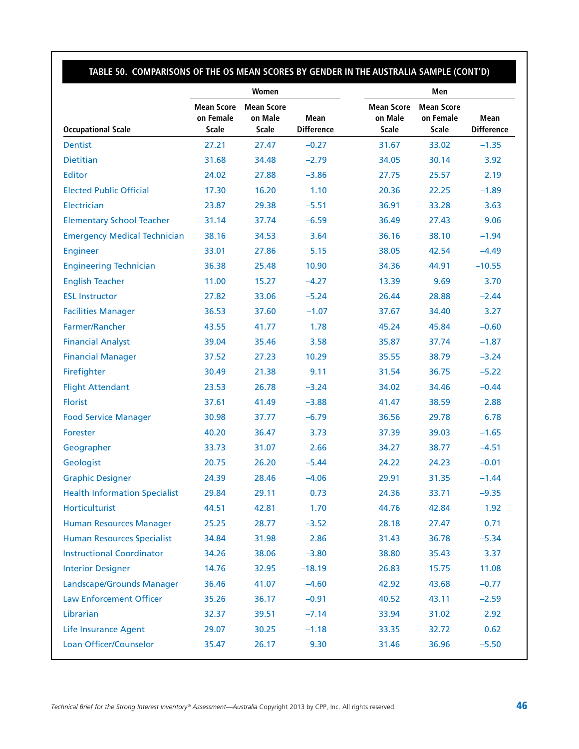### **Table 50. Comparisons of the OS Mean Scores by Gender in the Australia Sample (cont'd)**

|                                      |                                                | Women                                        |                           | Men                                          |                                                |                           |  |
|--------------------------------------|------------------------------------------------|----------------------------------------------|---------------------------|----------------------------------------------|------------------------------------------------|---------------------------|--|
| <b>Occupational Scale</b>            | <b>Mean Score</b><br>on Female<br><b>Scale</b> | <b>Mean Score</b><br>on Male<br><b>Scale</b> | Mean<br><b>Difference</b> | <b>Mean Score</b><br>on Male<br><b>Scale</b> | <b>Mean Score</b><br>on Female<br><b>Scale</b> | Mean<br><b>Difference</b> |  |
| <b>Dentist</b>                       | 27.21                                          | 27.47                                        | $-0.27$                   | 31.67                                        | 33.02                                          | $-1.35$                   |  |
| Dietitian                            | 31.68                                          | 34.48                                        | $-2.79$                   | 34.05                                        | 30.14                                          | 3.92                      |  |
| <b>Editor</b>                        | 24.02                                          | 27.88                                        | $-3.86$                   | 27.75                                        | 25.57                                          | 2.19                      |  |
| <b>Elected Public Official</b>       | 17.30                                          | 16.20                                        | 1.10                      | 20.36                                        | 22.25                                          | $-1.89$                   |  |
| Electrician                          | 23.87                                          | 29.38                                        | $-5.51$                   | 36.91                                        | 33.28                                          | 3.63                      |  |
| <b>Elementary School Teacher</b>     | 31.14                                          | 37.74                                        | $-6.59$                   | 36.49                                        | 27.43                                          | 9.06                      |  |
| <b>Emergency Medical Technician</b>  | 38.16                                          | 34.53                                        | 3.64                      | 36.16                                        | 38.10                                          | $-1.94$                   |  |
| <b>Engineer</b>                      | 33.01                                          | 27.86                                        | 5.15                      | 38.05                                        | 42.54                                          | $-4.49$                   |  |
| <b>Engineering Technician</b>        | 36.38                                          | 25.48                                        | 10.90                     | 34.36                                        | 44.91                                          | $-10.55$                  |  |
| <b>English Teacher</b>               | 11.00                                          | 15.27                                        | $-4.27$                   | 13.39                                        | 9.69                                           | 3.70                      |  |
| <b>ESL Instructor</b>                | 27.82                                          | 33.06                                        | $-5.24$                   | 26.44                                        | 28.88                                          | $-2.44$                   |  |
| <b>Facilities Manager</b>            | 36.53                                          | 37.60                                        | $-1.07$                   | 37.67                                        | 34.40                                          | 3.27                      |  |
| Farmer/Rancher                       | 43.55                                          | 41.77                                        | 1.78                      | 45.24                                        | 45.84                                          | $-0.60$                   |  |
| <b>Financial Analyst</b>             | 39.04                                          | 35.46                                        | 3.58                      | 35.87                                        | 37.74                                          | $-1.87$                   |  |
| <b>Financial Manager</b>             | 37.52                                          | 27.23                                        | 10.29                     | 35.55                                        | 38.79                                          | $-3.24$                   |  |
| Firefighter                          | 30.49                                          | 21.38                                        | 9.11                      | 31.54                                        | 36.75                                          | $-5.22$                   |  |
| <b>Flight Attendant</b>              | 23.53                                          | 26.78                                        | $-3.24$                   | 34.02                                        | 34.46                                          | $-0.44$                   |  |
| <b>Florist</b>                       | 37.61                                          | 41.49                                        | $-3.88$                   | 41.47                                        | 38.59                                          | 2.88                      |  |
| <b>Food Service Manager</b>          | 30.98                                          | 37.77                                        | $-6.79$                   | 36.56                                        | 29.78                                          | 6.78                      |  |
| Forester                             | 40.20                                          | 36.47                                        | 3.73                      | 37.39                                        | 39.03                                          | $-1.65$                   |  |
| Geographer                           | 33.73                                          | 31.07                                        | 2.66                      | 34.27                                        | 38.77                                          | $-4.51$                   |  |
| Geologist                            | 20.75                                          | 26.20                                        | $-5.44$                   | 24.22                                        | 24.23                                          | $-0.01$                   |  |
| <b>Graphic Designer</b>              | 24.39                                          | 28.46                                        | $-4.06$                   | 29.91                                        | 31.35                                          | $-1.44$                   |  |
| <b>Health Information Specialist</b> | 29.84                                          | 29.11                                        | 0.73                      | 24.36                                        | 33.71                                          | $-9.35$                   |  |
| Horticulturist                       | 44.51                                          | 42.81                                        | 1.70                      | 44.76                                        | 42.84                                          | 1.92                      |  |
| <b>Human Resources Manager</b>       | 25.25                                          | 28.77                                        | $-3.52$                   | 28.18                                        | 27.47                                          | 0.71                      |  |
| <b>Human Resources Specialist</b>    | 34.84                                          | 31.98                                        | 2.86                      | 31.43                                        | 36.78                                          | $-5.34$                   |  |
| <b>Instructional Coordinator</b>     | 34.26                                          | 38.06                                        | $-3.80$                   | 38.80                                        | 35.43                                          | 3.37                      |  |
| <b>Interior Designer</b>             | 14.76                                          | 32.95                                        | $-18.19$                  | 26.83                                        | 15.75                                          | 11.08                     |  |
| Landscape/Grounds Manager            | 36.46                                          | 41.07                                        | $-4.60$                   | 42.92                                        | 43.68                                          | $-0.77$                   |  |
| <b>Law Enforcement Officer</b>       | 35.26                                          | 36.17                                        | $-0.91$                   | 40.52                                        | 43.11                                          | $-2.59$                   |  |
| Librarian                            | 32.37                                          | 39.51                                        | $-7.14$                   | 33.94                                        | 31.02                                          | 2.92                      |  |
| <b>Life Insurance Agent</b>          | 29.07                                          | 30.25                                        | $-1.18$                   | 33.35                                        | 32.72                                          | 0.62                      |  |
| Loan Officer/Counselor               | 35.47                                          | 26.17                                        | 9.30                      | 31.46                                        | 36.96                                          | $-5.50$                   |  |
|                                      |                                                |                                              |                           |                                              |                                                |                           |  |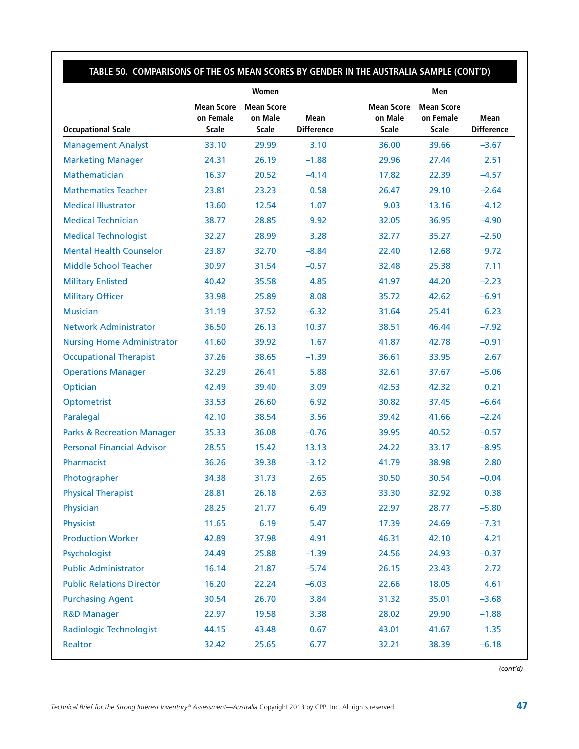### **Table 50. Comparisons of the OS Mean Scores by Gender in the Australia Sample (cont'd)**

|                                       |                                                | Women                                        |                           | Men                                   |                                                |                           |  |
|---------------------------------------|------------------------------------------------|----------------------------------------------|---------------------------|---------------------------------------|------------------------------------------------|---------------------------|--|
| <b>Occupational Scale</b>             | <b>Mean Score</b><br>on Female<br><b>Scale</b> | <b>Mean Score</b><br>on Male<br><b>Scale</b> | Mean<br><b>Difference</b> | <b>Mean Score</b><br>on Male<br>Scale | <b>Mean Score</b><br>on Female<br><b>Scale</b> | Mean<br><b>Difference</b> |  |
| <b>Management Analyst</b>             | 33.10                                          | 29.99                                        | 3.10                      | 36.00                                 | 39.66                                          | $-3.67$                   |  |
| <b>Marketing Manager</b>              | 24.31                                          | 26.19                                        | $-1.88$                   | 29.96                                 | 27.44                                          | 2.51                      |  |
| Mathematician                         | 16.37                                          | 20.52                                        | $-4.14$                   | 17.82                                 | 22.39                                          | $-4.57$                   |  |
| <b>Mathematics Teacher</b>            | 23.81                                          | 23.23                                        | 0.58                      | 26.47                                 | 29.10                                          | $-2.64$                   |  |
| <b>Medical Illustrator</b>            | 13.60                                          | 12.54                                        | 1.07                      | 9.03                                  | 13.16                                          | $-4.12$                   |  |
| <b>Medical Technician</b>             | 38.77                                          | 28.85                                        | 9.92                      | 32.05                                 | 36.95                                          | $-4.90$                   |  |
| <b>Medical Technologist</b>           | 32.27                                          | 28.99                                        | 3.28                      | 32.77                                 | 35.27                                          | $-2.50$                   |  |
| <b>Mental Health Counselor</b>        | 23.87                                          | 32.70                                        | $-8.84$                   | 22.40                                 | 12.68                                          | 9.72                      |  |
| <b>Middle School Teacher</b>          | 30.97                                          | 31.54                                        | $-0.57$                   | 32.48                                 | 25.38                                          | 7.11                      |  |
| <b>Military Enlisted</b>              | 40.42                                          | 35.58                                        | 4.85                      | 41.97                                 | 44.20                                          | $-2.23$                   |  |
| <b>Military Officer</b>               | 33.98                                          | 25.89                                        | 8.08                      | 35.72                                 | 42.62                                          | $-6.91$                   |  |
| <b>Musician</b>                       | 31.19                                          | 37.52                                        | $-6.32$                   | 31.64                                 | 25.41                                          | 6.23                      |  |
| <b>Network Administrator</b>          | 36.50                                          | 26.13                                        | 10.37                     | 38.51                                 | 46.44                                          | $-7.92$                   |  |
| <b>Nursing Home Administrator</b>     | 41.60                                          | 39.92                                        | 1.67                      | 41.87                                 | 42.78                                          | $-0.91$                   |  |
| <b>Occupational Therapist</b>         | 37.26                                          | 38.65                                        | $-1.39$                   | 36.61                                 | 33.95                                          | 2.67                      |  |
| <b>Operations Manager</b>             | 32.29                                          | 26.41                                        | 5.88                      | 32.61                                 | 37.67                                          | $-5.06$                   |  |
| Optician                              | 42.49                                          | 39.40                                        | 3.09                      | 42.53                                 | 42.32                                          | 0.21                      |  |
| Optometrist                           | 33.53                                          | 26.60                                        | 6.92                      | 30.82                                 | 37.45                                          | $-6.64$                   |  |
| Paralegal                             | 42.10                                          | 38.54                                        | 3.56                      | 39.42                                 | 41.66                                          | $-2.24$                   |  |
| <b>Parks &amp; Recreation Manager</b> | 35.33                                          | 36.08                                        | $-0.76$                   | 39.95                                 | 40.52                                          | $-0.57$                   |  |
| <b>Personal Financial Advisor</b>     | 28.55                                          | 15.42                                        | 13.13                     | 24.22                                 | 33.17                                          | $-8.95$                   |  |
| Pharmacist                            | 36.26                                          | 39.38                                        | $-3.12$                   | 41.79                                 | 38.98                                          | 2.80                      |  |
| Photographer                          | 34.38                                          | 31.73                                        | 2.65                      | 30.50                                 | 30.54                                          | $-0.04$                   |  |
| <b>Physical Therapist</b>             | 28.81                                          | 26.18                                        | 2.63                      | 33.30                                 | 32.92                                          | 0.38                      |  |
| Physician                             | 28.25                                          | 21.77                                        | 6.49                      | 22.97                                 | 28.77                                          | $-5.80$                   |  |
| Physicist                             | 11.65                                          | 6.19                                         | 5.47                      | 17.39                                 | 24.69                                          | $-7.31$                   |  |
| <b>Production Worker</b>              | 42.89                                          | 37.98                                        | 4.91                      | 46.31                                 | 42.10                                          | 4.21                      |  |
| Psychologist                          | 24.49                                          | 25.88                                        | $-1.39$                   | 24.56                                 | 24.93                                          | $-0.37$                   |  |
| <b>Public Administrator</b>           | 16.14                                          | 21.87                                        | $-5.74$                   | 26.15                                 | 23.43                                          | 2.72                      |  |
| <b>Public Relations Director</b>      | 16.20                                          | 22.24                                        | $-6.03$                   | 22.66                                 | 18.05                                          | 4.61                      |  |
| <b>Purchasing Agent</b>               | 30.54                                          | 26.70                                        | 3.84                      | 31.32                                 | 35.01                                          | $-3.68$                   |  |
| <b>R&amp;D Manager</b>                | 22.97                                          | 19.58                                        | 3.38                      | 28.02                                 | 29.90                                          | $-1.88$                   |  |
| <b>Radiologic Technologist</b>        | 44.15                                          | 43.48                                        | 0.67                      | 43.01                                 | 41.67                                          | 1.35                      |  |
| Realtor                               | 32.42                                          | 25.65                                        | 6.77                      | 32.21                                 | 38.39                                          | $-6.18$                   |  |
|                                       |                                                |                                              |                           |                                       |                                                |                           |  |

*(cont'd)*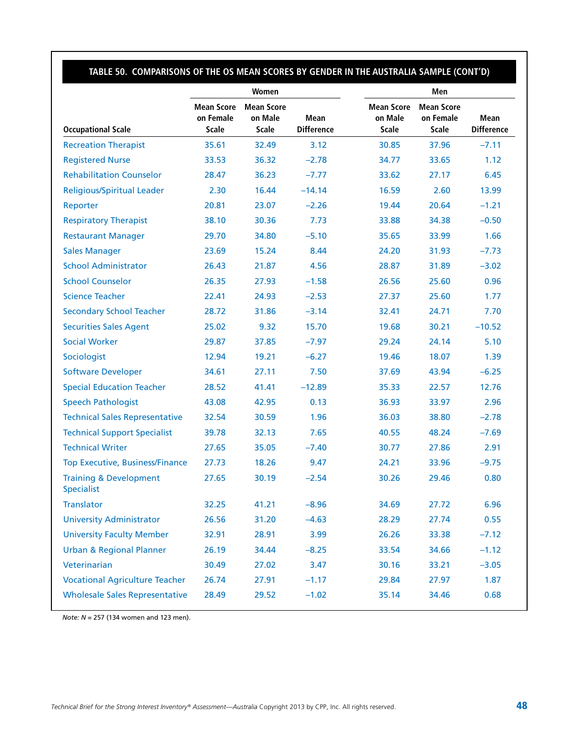### **Table 50. Comparisons of the OS Mean Scores by Gender in the Australia Sample (cont'd)**

|                                                        |                                                | Women                                        |                                  | Men                                          |                                                |                                  |  |
|--------------------------------------------------------|------------------------------------------------|----------------------------------------------|----------------------------------|----------------------------------------------|------------------------------------------------|----------------------------------|--|
| <b>Occupational Scale</b>                              | <b>Mean Score</b><br>on Female<br><b>Scale</b> | <b>Mean Score</b><br>on Male<br><b>Scale</b> | <b>Mean</b><br><b>Difference</b> | <b>Mean Score</b><br>on Male<br><b>Scale</b> | <b>Mean Score</b><br>on Female<br><b>Scale</b> | <b>Mean</b><br><b>Difference</b> |  |
| <b>Recreation Therapist</b>                            | 35.61                                          | 32.49                                        | 3.12                             | 30.85                                        | 37.96                                          | $-7.11$                          |  |
| <b>Registered Nurse</b>                                | 33.53                                          | 36.32                                        | $-2.78$                          | 34.77                                        | 33.65                                          | 1.12                             |  |
| <b>Rehabilitation Counselor</b>                        | 28.47                                          | 36.23                                        | $-7.77$                          | 33.62                                        | 27.17                                          | 6.45                             |  |
| <b>Religious/Spiritual Leader</b>                      | 2.30                                           | 16.44                                        | $-14.14$                         | 16.59                                        | 2.60                                           | 13.99                            |  |
| Reporter                                               | 20.81                                          | 23.07                                        | $-2.26$                          | 19.44                                        | 20.64                                          | $-1.21$                          |  |
| <b>Respiratory Therapist</b>                           | 38.10                                          | 30.36                                        | 7.73                             | 33.88                                        | 34.38                                          | $-0.50$                          |  |
| <b>Restaurant Manager</b>                              | 29.70                                          | 34.80                                        | $-5.10$                          | 35.65                                        | 33.99                                          | 1.66                             |  |
| <b>Sales Manager</b>                                   | 23.69                                          | 15.24                                        | 8.44                             | 24.20                                        | 31.93                                          | $-7.73$                          |  |
| <b>School Administrator</b>                            | 26.43                                          | 21.87                                        | 4.56                             | 28.87                                        | 31.89                                          | $-3.02$                          |  |
| <b>School Counselor</b>                                | 26.35                                          | 27.93                                        | $-1.58$                          | 26.56                                        | 25.60                                          | 0.96                             |  |
| <b>Science Teacher</b>                                 | 22.41                                          | 24.93                                        | $-2.53$                          | 27.37                                        | 25.60                                          | 1.77                             |  |
| <b>Secondary School Teacher</b>                        | 28.72                                          | 31.86                                        | $-3.14$                          | 32.41                                        | 24.71                                          | 7.70                             |  |
| <b>Securities Sales Agent</b>                          | 25.02                                          | 9.32                                         | 15.70                            | 19.68                                        | 30.21                                          | $-10.52$                         |  |
| <b>Social Worker</b>                                   | 29.87                                          | 37.85                                        | $-7.97$                          | 29.24                                        | 24.14                                          | 5.10                             |  |
| Sociologist                                            | 12.94                                          | 19.21                                        | $-6.27$                          | 19.46                                        | 18.07                                          | 1.39                             |  |
| <b>Software Developer</b>                              | 34.61                                          | 27.11                                        | 7.50                             | 37.69                                        | 43.94                                          | $-6.25$                          |  |
| <b>Special Education Teacher</b>                       | 28.52                                          | 41.41                                        | $-12.89$                         | 35.33                                        | 22.57                                          | 12.76                            |  |
| <b>Speech Pathologist</b>                              | 43.08                                          | 42.95                                        | 0.13                             | 36.93                                        | 33.97                                          | 2.96                             |  |
| <b>Technical Sales Representative</b>                  | 32.54                                          | 30.59                                        | 1.96                             | 36.03                                        | 38.80                                          | $-2.78$                          |  |
| <b>Technical Support Specialist</b>                    | 39.78                                          | 32.13                                        | 7.65                             | 40.55                                        | 48.24                                          | $-7.69$                          |  |
| <b>Technical Writer</b>                                | 27.65                                          | 35.05                                        | $-7.40$                          | 30.77                                        | 27.86                                          | 2.91                             |  |
| <b>Top Executive, Business/Finance</b>                 | 27.73                                          | 18.26                                        | 9.47                             | 24.21                                        | 33.96                                          | $-9.75$                          |  |
| <b>Training &amp; Development</b><br><b>Specialist</b> | 27.65                                          | 30.19                                        | $-2.54$                          | 30.26                                        | 29.46                                          | 0.80                             |  |
| <b>Translator</b>                                      | 32.25                                          | 41.21                                        | $-8.96$                          | 34.69                                        | 27.72                                          | 6.96                             |  |
| <b>University Administrator</b>                        | 26.56                                          | 31.20                                        | $-4.63$                          | 28.29                                        | 27.74                                          | 0.55                             |  |
| <b>University Faculty Member</b>                       | 32.91                                          | 28.91                                        | 3.99                             | 26.26                                        | 33.38                                          | $-7.12$                          |  |
| <b>Urban &amp; Regional Planner</b>                    | 26.19                                          | 34.44                                        | $-8.25$                          | 33.54                                        | 34.66                                          | $-1.12$                          |  |
| Veterinarian                                           | 30.49                                          | 27.02                                        | 3.47                             | 30.16                                        | 33.21                                          | $-3.05$                          |  |
| <b>Vocational Agriculture Teacher</b>                  | 26.74                                          | 27.91                                        | $-1.17$                          | 29.84                                        | 27.97                                          | 1.87                             |  |
| <b>Wholesale Sales Representative</b>                  | 28.49                                          | 29.52                                        | $-1.02$                          | 35.14                                        | 34.46                                          | 0.68                             |  |

*Note: N* = 257 (134 women and 123 men).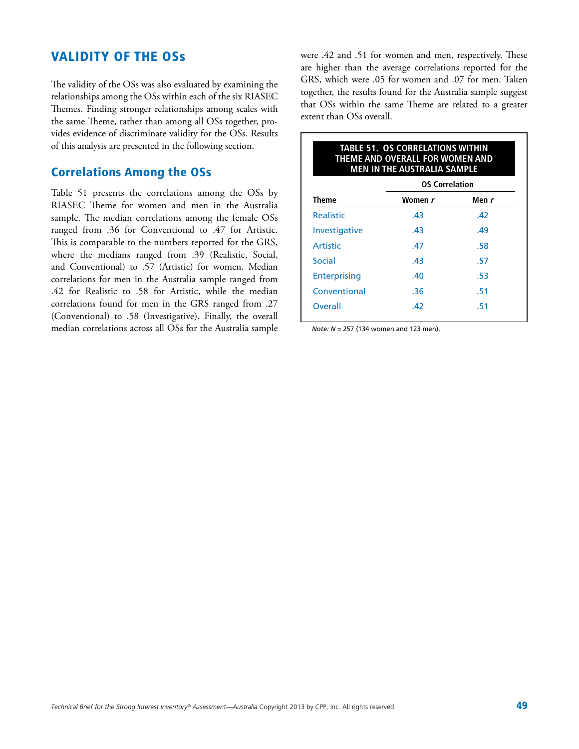### Validity of the OSs

The validity of the OSs was also evaluated by examining the relationships among the OSs within each of the six RIASEC Themes. Finding stronger relationships among scales with the same Theme, rather than among all OSs together, provides evidence of discriminate validity for the OSs. Results of this analysis are presented in the following section.

#### Correlations Among the OSs

Table 51 presents the correlations among the OSs by RIASEC Theme for women and men in the Australia sample. The median correlations among the female OSs ranged from .36 for Conventional to .47 for Artistic. This is comparable to the numbers reported for the GRS, where the medians ranged from .39 (Realistic, Social, and Conventional) to .57 (Artistic) for women. Median correlations for men in the Australia sample ranged from .42 for Realistic to .58 for Artistic, while the median correlations found for men in the GRS ranged from .27 (Conventional) to .58 (Investigative). Finally, the overall median correlations across all OSs for the Australia sample were .42 and .51 for women and men, respectively. These are higher than the average correlations reported for the GRS, which were .05 for women and .07 for men. Taken together, the results found for the Australia sample suggest that OSs within the same Theme are related to a greater extent than OSs overall.

|                      | <b>OS Correlation</b> |       |
|----------------------|-----------------------|-------|
| <b>Theme</b>         | Women <i>r</i>        | Men r |
| <b>Realistic</b>     | .43                   | .42   |
| <b>Investigative</b> | .43                   | .49   |
| Artistic             | .47                   | .58   |
| Social               | .43                   | .57   |
| <b>Enterprising</b>  | .40                   | .53   |
| Conventional         | .36                   | .51   |
| Overall              | .42                   | .51   |

*Note: N* = 257 (134 women and 123 men).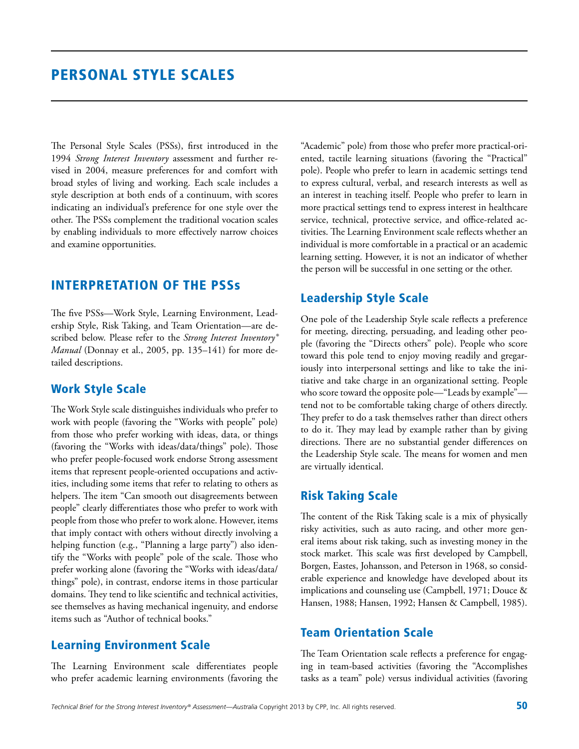The Personal Style Scales (PSSs), first introduced in the 1994 *Strong Interest Inventory* assessment and further revised in 2004, measure preferences for and comfort with broad styles of living and working. Each scale includes a style description at both ends of a continuum, with scores indicating an individual's preference for one style over the other. The PSSs complement the traditional vocation scales by enabling individuals to more effectively narrow choices and examine opportunities.

### Interpretation of the PSSs

The five PSSs—Work Style, Learning Environment, Leadership Style, Risk Taking, and Team Orientation—are described below. Please refer to the *Strong Interest Inventory® Manual* (Donnay et al., 2005, pp. 135–141) for more detailed descriptions.

#### Work Style Scale

The Work Style scale distinguishes individuals who prefer to work with people (favoring the "Works with people" pole) from those who prefer working with ideas, data, or things (favoring the "Works with ideas/data/things" pole). Those who prefer people-focused work endorse Strong assessment items that represent people-oriented occupations and activities, including some items that refer to relating to others as helpers. The item "Can smooth out disagreements between people" clearly differentiates those who prefer to work with people from those who prefer to work alone. However, items that imply contact with others without directly involving a helping function (e.g., "Planning a large party") also identify the "Works with people" pole of the scale. Those who prefer working alone (favoring the "Works with ideas/data/ things" pole), in contrast, endorse items in those particular domains. They tend to like scientific and technical activities, see themselves as having mechanical ingenuity, and endorse items such as "Author of technical books."

#### Learning Environment Scale

The Learning Environment scale differentiates people who prefer academic learning environments (favoring the

"Academic" pole) from those who prefer more practical-oriented, tactile learning situations (favoring the "Practical" pole). People who prefer to learn in academic settings tend to express cultural, verbal, and research interests as well as an interest in teaching itself. People who prefer to learn in more practical settings tend to express interest in healthcare service, technical, protective service, and office-related activities. The Learning Environment scale reflects whether an individual is more comfortable in a practical or an academic learning setting. However, it is not an indicator of whether the person will be successful in one setting or the other.

### Leadership Style Scale

One pole of the Leadership Style scale reflects a preference for meeting, directing, persuading, and leading other people (favoring the "Directs others" pole). People who score toward this pole tend to enjoy moving readily and gregariously into interpersonal settings and like to take the initiative and take charge in an organizational setting. People who score toward the opposite pole—"Leads by example" tend not to be comfortable taking charge of others directly. They prefer to do a task themselves rather than direct others to do it. They may lead by example rather than by giving directions. There are no substantial gender differences on the Leadership Style scale. The means for women and men are virtually identical.

#### Risk Taking Scale

The content of the Risk Taking scale is a mix of physically risky activities, such as auto racing, and other more general items about risk taking, such as investing money in the stock market. This scale was first developed by Campbell, Borgen, Eastes, Johansson, and Peterson in 1968, so considerable experience and knowledge have developed about its implications and counseling use (Campbell, 1971; Douce & Hansen, 1988; Hansen, 1992; Hansen & Campbell, 1985).

#### Team Orientation Scale

The Team Orientation scale reflects a preference for engaging in team-based activities (favoring the "Accomplishes tasks as a team" pole) versus individual activities (favoring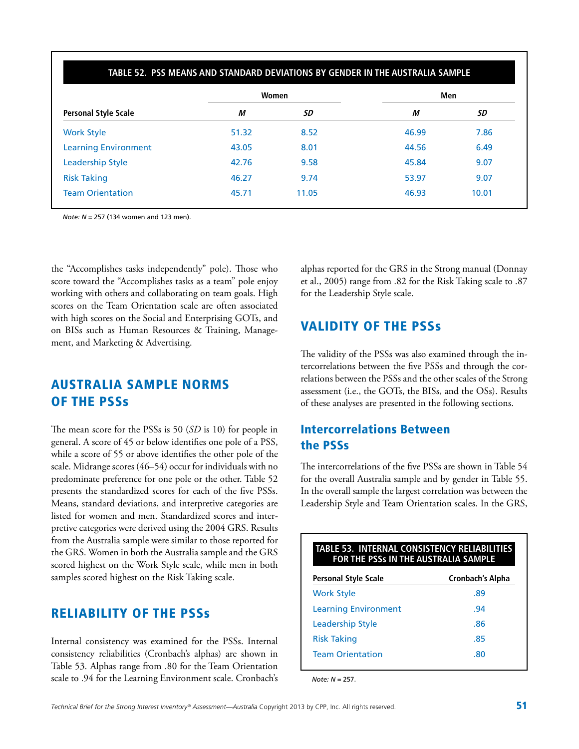| <b>Personal Style Scale</b> |       | Women | Men   |       |  |
|-----------------------------|-------|-------|-------|-------|--|
|                             | М     | SD    | М     | SD    |  |
| <b>Work Style</b>           | 51.32 | 8.52  | 46.99 | 7.86  |  |
| <b>Learning Environment</b> | 43.05 | 8.01  | 44.56 | 6.49  |  |
| <b>Leadership Style</b>     | 42.76 | 9.58  | 45.84 | 9.07  |  |
| <b>Risk Taking</b>          | 46.27 | 9.74  | 53.97 | 9.07  |  |
| <b>Team Orientation</b>     | 45.71 | 11.05 | 46.93 | 10.01 |  |

*Note: N* = 257 (134 women and 123 men).

the "Accomplishes tasks independently" pole). Those who score toward the "Accomplishes tasks as a team" pole enjoy working with others and collaborating on team goals. High scores on the Team Orientation scale are often associated with high scores on the Social and Enterprising GOTs, and on BISs such as Human Resources & Training, Management, and Marketing & Advertising.

### Australia Sample Norms of the PSSs

The mean score for the PSSs is 50 (*SD* is 10) for people in general. A score of 45 or below identifies one pole of a PSS, while a score of 55 or above identifies the other pole of the scale. Midrange scores (46–54) occur for individuals with no predominate preference for one pole or the other. Table 52 presents the standardized scores for each of the five PSSs. Means, standard deviations, and interpretive categories are listed for women and men. Standardized scores and interpretive categories were derived using the 2004 GRS. Results from the Australia sample were similar to those reported for the GRS. Women in both the Australia sample and the GRS scored highest on the Work Style scale, while men in both samples scored highest on the Risk Taking scale.

### Reliability of the PSSs

Internal consistency was examined for the PSSs. Internal consistency reliabilities (Cronbach's alphas) are shown in Table 53. Alphas range from .80 for the Team Orientation scale to .94 for the Learning Environment scale. Cronbach's alphas reported for the GRS in the Strong manual (Donnay et al., 2005) range from .82 for the Risk Taking scale to .87 for the Leadership Style scale.

### Validity of the PSSs

The validity of the PSSs was also examined through the intercorrelations between the five PSSs and through the correlations between the PSSs and the other scales of the Strong assessment (i.e., the GOTs, the BISs, and the OSs). Results of these analyses are presented in the following sections.

### Intercorrelations Between the PSSs

The intercorrelations of the five PSSs are shown in Table 54 for the overall Australia sample and by gender in Table 55. In the overall sample the largest correlation was between the Leadership Style and Team Orientation scales. In the GRS,

| <b>Personal Style Scale</b> | <b>Cronbach's Alpha</b> |
|-----------------------------|-------------------------|
| <b>Work Style</b>           | .89                     |
| <b>Learning Environment</b> | .94                     |
| Leadership Style            | .86                     |
| <b>Risk Taking</b>          | .85                     |
| <b>Team Orientation</b>     | .80                     |

*Note: N* = 257.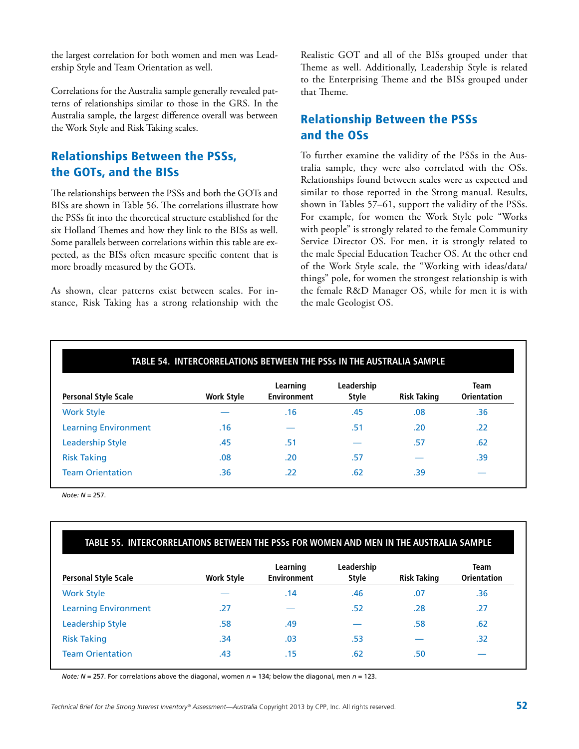the largest correlation for both women and men was Leadership Style and Team Orientation as well.

Correlations for the Australia sample generally revealed patterns of relationships similar to those in the GRS. In the Australia sample, the largest difference overall was between the Work Style and Risk Taking scales.

### Relationships Between the PSSs, the GOTs, and the BISs

The relationships between the PSSs and both the GOTs and BISs are shown in Table 56. The correlations illustrate how the PSSs fit into the theoretical structure established for the six Holland Themes and how they link to the BISs as well. Some parallels between correlations within this table are expected, as the BISs often measure specific content that is more broadly measured by the GOTs.

As shown, clear patterns exist between scales. For instance, Risk Taking has a strong relationship with the Realistic GOT and all of the BISs grouped under that Theme as well. Additionally, Leadership Style is related to the Enterprising Theme and the BISs grouped under that Theme.

### Relationship Between the PSSs and the OSs

To further examine the validity of the PSSs in the Australia sample, they were also correlated with the OSs. Relationships found between scales were as expected and similar to those reported in the Strong manual. Results, shown in Tables 57–61, support the validity of the PSSs. For example, for women the Work Style pole "Works with people" is strongly related to the female Community Service Director OS. For men, it is strongly related to the male Special Education Teacher OS. At the other end of the Work Style scale, the "Working with ideas/data/ things" pole, for women the strongest relationship is with the female R&D Manager OS, while for men it is with the male Geologist OS.

| <b>Personal Style Scale</b> | <b>Work Style</b> | Learning<br><b>Environment</b> | Leadership<br><b>Style</b> | <b>Risk Taking</b> | <b>Team</b><br><b>Orientation</b> |
|-----------------------------|-------------------|--------------------------------|----------------------------|--------------------|-----------------------------------|
| <b>Work Style</b>           |                   | .16                            | .45                        | .08                | .36                               |
| <b>Learning Environment</b> | .16               |                                | .51                        | .20                | .22                               |
| <b>Leadership Style</b>     | .45               | .51                            |                            | .57                | .62                               |
| <b>Risk Taking</b>          | .08               | .20                            | .57                        |                    | .39                               |
| <b>Team Orientation</b>     | .36               | .22                            | .62                        | .39                |                                   |

*Note: N* = 257.

#### **Table 55. Intercorrelations Between the PSSs for Women and Men in the Australia Sample**

| <b>Personal Style Scale</b> | <b>Work Style</b> | Learning<br><b>Environment</b> | Leadership<br><b>Style</b> | <b>Risk Taking</b> | <b>Team</b><br><b>Orientation</b> |
|-----------------------------|-------------------|--------------------------------|----------------------------|--------------------|-----------------------------------|
| <b>Work Style</b>           |                   | .14                            | .46                        | .07                | .36                               |
| <b>Learning Environment</b> | .27               |                                | .52                        | .28                | .27                               |
| <b>Leadership Style</b>     | .58               | .49                            |                            | .58                | .62                               |
| <b>Risk Taking</b>          | .34               | .03                            | .53                        |                    | .32                               |
| <b>Team Orientation</b>     | .43               | .15                            | .62                        | .50                |                                   |

*Note: N* = 257. For correlations above the diagonal, women *n* = 134; below the diagonal, men *n* = 123.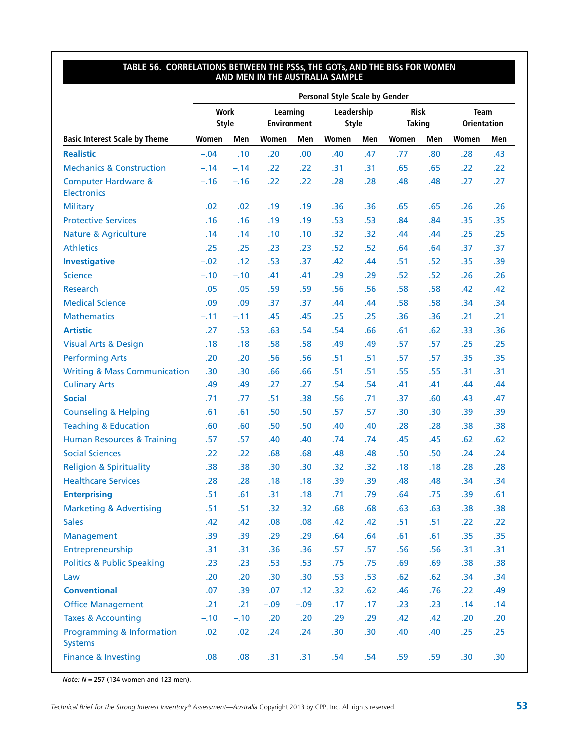#### **Table 56. Correlations Between the PSSs, the GOTs, and the BISs for Women and Men in the Australia Sample**

|                                                      |                             |        |                                |        | <b>Personal Style Scale by Gender</b> |     |                              |     |                                   |     |
|------------------------------------------------------|-----------------------------|--------|--------------------------------|--------|---------------------------------------|-----|------------------------------|-----|-----------------------------------|-----|
|                                                      | <b>Work</b><br><b>Style</b> |        | Learning<br><b>Environment</b> |        | Leadership<br><b>Style</b>            |     | <b>Risk</b><br><b>Taking</b> |     | <b>Team</b><br><b>Orientation</b> |     |
| <b>Basic Interest Scale by Theme</b>                 | Women                       | Men    | Women                          | Men    | Women                                 | Men | Women                        | Men | Women                             | Men |
| <b>Realistic</b>                                     | $-.04$                      | .10    | .20                            | .00    | .40                                   | .47 | .77                          | .80 | .28                               | .43 |
| <b>Mechanics &amp; Construction</b>                  | $-.14$                      | $-.14$ | .22                            | .22    | .31                                   | .31 | .65                          | .65 | .22                               | .22 |
| <b>Computer Hardware &amp;</b><br><b>Electronics</b> | $-.16$                      | $-.16$ | .22                            | .22    | .28                                   | .28 | .48                          | .48 | .27                               | .27 |
| <b>Military</b>                                      | .02                         | .02    | .19                            | .19    | .36                                   | .36 | .65                          | .65 | .26                               | .26 |
| <b>Protective Services</b>                           | .16                         | .16    | .19                            | .19    | .53                                   | .53 | .84                          | .84 | .35                               | .35 |
| <b>Nature &amp; Agriculture</b>                      | .14                         | .14    | .10                            | .10    | .32                                   | .32 | .44                          | .44 | .25                               | .25 |
| <b>Athletics</b>                                     | .25                         | .25    | .23                            | .23    | .52                                   | .52 | .64                          | .64 | .37                               | .37 |
| <b>Investigative</b>                                 | $-.02$                      | .12    | .53                            | .37    | .42                                   | .44 | .51                          | .52 | .35                               | .39 |
| <b>Science</b>                                       | $-.10$                      | $-.10$ | .41                            | .41    | .29                                   | .29 | .52                          | .52 | .26                               | .26 |
| <b>Research</b>                                      | .05                         | .05    | .59                            | .59    | .56                                   | .56 | .58                          | .58 | .42                               | .42 |
| <b>Medical Science</b>                               | .09                         | .09    | .37                            | .37    | .44                                   | .44 | .58                          | .58 | .34                               | .34 |
| <b>Mathematics</b>                                   | $-.11$                      | $-.11$ | .45                            | .45    | .25                                   | .25 | .36                          | .36 | .21                               | .21 |
| <b>Artistic</b>                                      | .27                         | .53    | .63                            | .54    | .54                                   | .66 | .61                          | .62 | .33                               | .36 |
| <b>Visual Arts &amp; Design</b>                      | .18                         | .18    | .58                            | .58    | .49                                   | .49 | .57                          | .57 | .25                               | .25 |
| <b>Performing Arts</b>                               | .20                         | .20    | .56                            | .56    | .51                                   | .51 | .57                          | .57 | .35                               | .35 |
| <b>Writing &amp; Mass Communication</b>              | .30                         | .30    | .66                            | .66    | .51                                   | .51 | .55                          | .55 | .31                               | .31 |
| <b>Culinary Arts</b>                                 | .49                         | .49    | .27                            | .27    | .54                                   | .54 | .41                          | .41 | .44                               | .44 |
| <b>Social</b>                                        | .71                         | .77    | .51                            | .38    | .56                                   | .71 | .37                          | .60 | .43                               | .47 |
| <b>Counseling &amp; Helping</b>                      | .61                         | .61    | .50                            | .50    | .57                                   | .57 | .30                          | .30 | .39                               | .39 |
| <b>Teaching &amp; Education</b>                      | .60                         | .60    | .50                            | .50    | .40                                   | .40 | .28                          | .28 | .38                               | .38 |
| <b>Human Resources &amp; Training</b>                | .57                         | .57    | .40                            | .40    | .74                                   | .74 | .45                          | .45 | .62                               | .62 |
| <b>Social Sciences</b>                               | .22                         | .22    | .68                            | .68    | .48                                   | .48 | .50                          | .50 | .24                               | .24 |
| <b>Religion &amp; Spirituality</b>                   | .38                         | .38    | .30                            | .30    | .32                                   | .32 | .18                          | .18 | .28                               | .28 |
| <b>Healthcare Services</b>                           | .28                         | .28    | .18                            | .18    | .39                                   | .39 | .48                          | .48 | .34                               | .34 |
| <b>Enterprising</b>                                  | .51                         | .61    | .31                            | .18    | .71                                   | .79 | .64                          | .75 | .39                               | .61 |
| <b>Marketing &amp; Advertising</b>                   | .51                         | .51    | .32                            | .32    | .68                                   | .68 | .63                          | .63 | .38                               | .38 |
| <b>Sales</b>                                         | .42                         | .42    | .08                            | .08    | .42                                   | .42 | .51                          | .51 | .22                               | .22 |
| Management                                           | .39                         | .39    | .29                            | .29    | .64                                   | .64 | .61                          | .61 | .35                               | .35 |
| Entrepreneurship                                     | .31                         | .31    | .36                            | .36    | .57                                   | .57 | .56                          | .56 | .31                               | .31 |
| <b>Politics &amp; Public Speaking</b>                | .23                         | .23    | .53                            | .53    | .75                                   | .75 | .69                          | .69 | .38                               | .38 |
| Law                                                  | .20                         | .20    | .30                            | .30    | .53                                   | .53 | .62                          | .62 | .34                               | .34 |
| <b>Conventional</b>                                  | .07                         | .39    | .07                            | .12    | .32                                   | .62 | .46                          | .76 | .22                               | .49 |
| <b>Office Management</b>                             | .21                         | .21    | $-.09$                         | $-.09$ | .17                                   | .17 | .23                          | .23 | .14                               | .14 |
| <b>Taxes &amp; Accounting</b>                        | $-.10$                      | $-.10$ | .20                            | .20    | .29                                   | .29 | .42                          | .42 | .20                               | .20 |
| Programming & Information<br><b>Systems</b>          | .02                         | .02    | .24                            | .24    | .30                                   | .30 | .40                          | .40 | .25                               | .25 |
| Finance & Investing                                  | .08                         | .08    | .31                            | .31    | .54                                   | .54 | .59                          | .59 | .30                               | .30 |

*Note: N* = 257 (134 women and 123 men).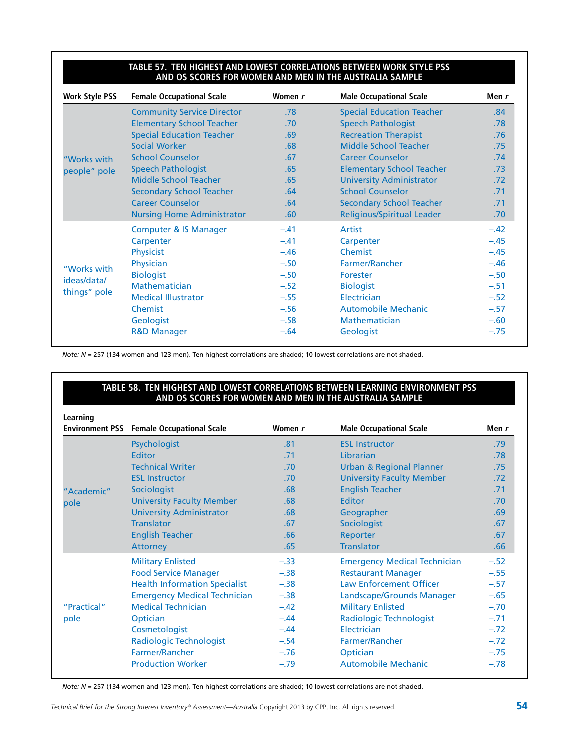#### TABLE 57. TEN HIGHEST AND LOWEST CORRELATIONS BETWEEN WORK STYLE P **and OS Scores for Women and Men in the Australia Sample**

| <b>Work Style PSS</b> | <b>Female Occupational Scale</b>  | Women r | <b>Male Occupational Scale</b>    | Men r  |
|-----------------------|-----------------------------------|---------|-----------------------------------|--------|
|                       | <b>Community Service Director</b> | .78     | <b>Special Education Teacher</b>  | .84    |
|                       | <b>Elementary School Teacher</b>  | .70     | <b>Speech Pathologist</b>         | .78    |
|                       | <b>Special Education Teacher</b>  | .69     | <b>Recreation Therapist</b>       | .76    |
|                       | Social Worker                     | .68     | <b>Middle School Teacher</b>      | .75    |
| "Works with           | <b>School Counselor</b>           | .67     | <b>Career Counselor</b>           | .74    |
| people" pole          | <b>Speech Pathologist</b>         | .65     | <b>Elementary School Teacher</b>  | .73    |
|                       | Middle School Teacher             | .65     | <b>University Administrator</b>   | .72    |
|                       | <b>Secondary School Teacher</b>   | .64     | <b>School Counselor</b>           | .71    |
|                       | <b>Career Counselor</b>           | .64     | <b>Secondary School Teacher</b>   | .71    |
|                       | <b>Nursing Home Administrator</b> | .60     | <b>Religious/Spiritual Leader</b> | .70    |
|                       | <b>Computer &amp; IS Manager</b>  | $-.41$  | Artist                            | $-.42$ |
|                       | Carpenter                         | $-.41$  | Carpenter                         | $-.45$ |
|                       | <b>Physicist</b>                  | $-.46$  | Chemist                           | $-.45$ |
|                       | Physician                         | $-.50$  | Farmer/Rancher                    | $-.46$ |
| "Works with           | <b>Biologist</b>                  | $-.50$  | Forester                          | $-.50$ |
| ideas/data/           | <b>Mathematician</b>              | $-.52$  | <b>Biologist</b>                  | $-.51$ |
| things" pole          | <b>Medical Illustrator</b>        | $-.55$  | Electrician                       | $-.52$ |
|                       | Chemist                           | $-.56$  | <b>Automobile Mechanic</b>        | $-.57$ |
|                       | Geologist                         | $-.58$  | <b>Mathematician</b>              | $-.60$ |
|                       | <b>R&amp;D Manager</b>            | $-.64$  | Geologist                         | $-.75$ |

*Note: N* = 257 (134 women and 123 men). Ten highest correlations are shaded; 10 lowest correlations are not shaded.

#### **Table 58. Ten Highest and Lowest Correlations Between Learning Environment PSS and OS Scores for Women and Men in the Australia Sample**

| Learning    |                                                  |         |                                     |        |
|-------------|--------------------------------------------------|---------|-------------------------------------|--------|
|             | <b>Environment PSS</b> Female Occupational Scale | Women r | <b>Male Occupational Scale</b>      | Men r  |
|             | Psychologist                                     | .81     | <b>ESL Instructor</b>               | .79    |
|             | Editor                                           | .71     | Librarian                           | .78    |
|             | <b>Technical Writer</b>                          | .70     | <b>Urban &amp; Regional Planner</b> | .75    |
|             | <b>ESL Instructor</b>                            | .70     | <b>University Faculty Member</b>    | .72    |
| "Academic"  | Sociologist                                      | .68     | <b>English Teacher</b>              | .71    |
| pole        | <b>University Faculty Member</b>                 | .68     | Editor                              | .70    |
|             | <b>University Administrator</b>                  | .68     | Geographer                          | .69    |
|             | <b>Translator</b>                                | .67     | Sociologist                         | .67    |
|             | <b>English Teacher</b>                           | .66     | Reporter                            | .67    |
|             | <b>Attorney</b>                                  | .65     | <b>Translator</b>                   | .66    |
|             | <b>Military Enlisted</b>                         | $-.33$  | <b>Emergency Medical Technician</b> | $-.52$ |
|             | <b>Food Service Manager</b>                      | $-.38$  | <b>Restaurant Manager</b>           | $-.55$ |
|             | <b>Health Information Specialist</b>             | $-.38$  | <b>Law Enforcement Officer</b>      | $-.57$ |
|             | <b>Emergency Medical Technician</b>              | $-.38$  | Landscape/Grounds Manager           | $-.65$ |
| "Practical" | <b>Medical Technician</b>                        | $-.42$  | <b>Military Enlisted</b>            | $-.70$ |
| pole        | Optician                                         | $-.44$  | <b>Radiologic Technologist</b>      | $-.71$ |
|             | Cosmetologist                                    | $-.44$  | Electrician                         | $-.72$ |
|             | <b>Radiologic Technologist</b>                   | $-.54$  | Farmer/Rancher                      | $-.72$ |
|             | <b>Farmer/Rancher</b>                            | $-.76$  | Optician                            | $-.75$ |
|             | <b>Production Worker</b>                         | $-.79$  | <b>Automobile Mechanic</b>          | $-.78$ |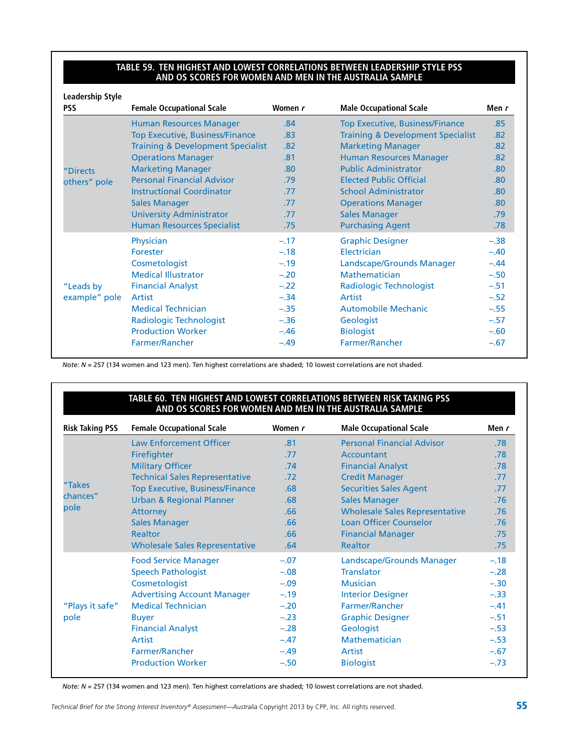#### TABLE 59. TEN HIGHEST AND LOWEST CORRELATIONS BETWEEN LEADERSHIP STYLE P **and OS Scores for Women and Men in the Australia Sample**

| <b>Leadership Style</b><br><b>PSS</b> | <b>Female Occupational Scale</b>             | Women r | <b>Male Occupational Scale</b>               | Men r  |
|---------------------------------------|----------------------------------------------|---------|----------------------------------------------|--------|
|                                       | <b>Human Resources Manager</b>               | .84     | <b>Top Executive, Business/Finance</b>       | .85    |
|                                       | <b>Top Executive, Business/Finance</b>       | .83     | <b>Training &amp; Development Specialist</b> | .82    |
|                                       | <b>Training &amp; Development Specialist</b> | .82     | <b>Marketing Manager</b>                     | .82    |
|                                       | <b>Operations Manager</b>                    | .81     | <b>Human Resources Manager</b>               | .82    |
| "Directs                              | <b>Marketing Manager</b>                     | .80     | <b>Public Administrator</b>                  | .80    |
| others" pole                          | <b>Personal Financial Advisor</b>            | .79     | <b>Elected Public Official</b>               | .80    |
|                                       | <b>Instructional Coordinator</b>             | .77     | <b>School Administrator</b>                  | .80    |
|                                       | <b>Sales Manager</b>                         | .77     | <b>Operations Manager</b>                    | .80    |
|                                       | <b>University Administrator</b>              | .77     | <b>Sales Manager</b>                         | .79    |
|                                       | <b>Human Resources Specialist</b>            | .75     | <b>Purchasing Agent</b>                      | .78    |
|                                       | Physician                                    | $-.17$  | <b>Graphic Designer</b>                      | $-.38$ |
|                                       | Forester                                     | $-.18$  | Electrician                                  | $-.40$ |
|                                       | Cosmetologist                                | $-.19$  | Landscape/Grounds Manager                    | $-.44$ |
|                                       | <b>Medical Illustrator</b>                   | $-.20$  | Mathematician                                | $-.50$ |
| "Leads by                             | <b>Financial Analyst</b>                     | $-.22$  | <b>Radiologic Technologist</b>               | $-.51$ |
| example" pole                         | Artist                                       | $-.34$  | Artist                                       | $-.52$ |
|                                       | <b>Medical Technician</b>                    | $-.35$  | <b>Automobile Mechanic</b>                   | $-.55$ |
|                                       | <b>Radiologic Technologist</b>               | $-.36$  | Geologist                                    | $-.57$ |
|                                       | <b>Production Worker</b>                     | $-.46$  | <b>Biologist</b>                             | $-.60$ |
|                                       | Farmer/Rancher                               | $-.49$  | <b>Farmer/Rancher</b>                        | $-.67$ |

*Note: N* = 257 (134 women and 123 men). Ten highest correlations are shaded; 10 lowest correlations are not shaded.

#### TABLE 60. TEN HIGHEST AND LOWEST CORRELATIONS BETWEEN RISK TAKING P **and OS Scores for Women and Men in the Australia Sample**

| <b>Risk Taking PSS</b> | <b>Female Occupational Scale</b>       | Women r | <b>Male Occupational Scale</b>        | Men r  |
|------------------------|----------------------------------------|---------|---------------------------------------|--------|
|                        | <b>Law Enforcement Officer</b>         | .81     | <b>Personal Financial Advisor</b>     | .78    |
|                        | Firefighter                            | .77     | Accountant                            | .78    |
|                        | <b>Military Officer</b>                | .74     | <b>Financial Analyst</b>              | .78    |
|                        | <b>Technical Sales Representative</b>  | .72     | <b>Credit Manager</b>                 | .77    |
| "Takes                 | <b>Top Executive, Business/Finance</b> | .68     | <b>Securities Sales Agent</b>         | .77    |
| chances"               | <b>Urban &amp; Regional Planner</b>    | .68     | <b>Sales Manager</b>                  | .76    |
| pole                   | Attorney                               | .66     | <b>Wholesale Sales Representative</b> | .76    |
|                        | <b>Sales Manager</b>                   | .66     | <b>Loan Officer Counselor</b>         | .76    |
|                        | <b>Realtor</b>                         | .66     | <b>Financial Manager</b>              | .75    |
|                        | <b>Wholesale Sales Representative</b>  | .64     | <b>Realtor</b>                        | .75    |
|                        | <b>Food Service Manager</b>            | $-.07$  | Landscape/Grounds Manager             | $-.18$ |
|                        | <b>Speech Pathologist</b>              | $-.08$  | <b>Translator</b>                     | $-.28$ |
|                        | Cosmetologist                          | $-.09$  | <b>Musician</b>                       | $-.30$ |
|                        | <b>Advertising Account Manager</b>     | $-.19$  | <b>Interior Designer</b>              | $-.33$ |
| "Plays it safe"        | <b>Medical Technician</b>              | $-.20$  | <b>Farmer/Rancher</b>                 | $-.41$ |
| pole                   | <b>Buyer</b>                           | $-.23$  | <b>Graphic Designer</b>               | $-.51$ |
|                        | <b>Financial Analyst</b>               | $-.28$  | Geologist                             | $-.53$ |
|                        | Artist                                 | $-.47$  | <b>Mathematician</b>                  | $-.53$ |
|                        | Farmer/Rancher                         | $-.49$  | Artist                                | $-.67$ |
|                        | <b>Production Worker</b>               | $-.50$  | <b>Biologist</b>                      | $-.73$ |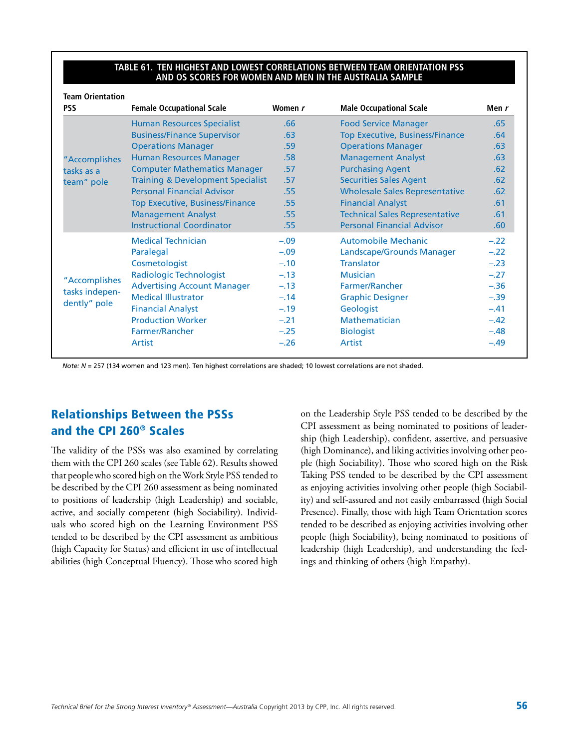#### **Table 61. Ten Highest and Lowest Correlations Between Team Orientation PSS and OS Scores for Women and Men in the Australia Sample**

| <b>PSS</b>     | <b>Female Occupational Scale</b>             | Women r | <b>Male Occupational Scale</b>         | Men r            |
|----------------|----------------------------------------------|---------|----------------------------------------|------------------|
|                | <b>Human Resources Specialist</b>            | .66     | <b>Food Service Manager</b>            | .65              |
|                | <b>Business/Finance Supervisor</b>           | .63     | <b>Top Executive, Business/Finance</b> | .64              |
|                | <b>Operations Manager</b>                    | .59     | <b>Operations Manager</b>              | .63              |
| "Accomplishes  | <b>Human Resources Manager</b>               | .58     | <b>Management Analyst</b>              | .63              |
| tasks as a     | <b>Computer Mathematics Manager</b>          | .57     | <b>Purchasing Agent</b>                | .62              |
| team" pole     | <b>Training &amp; Development Specialist</b> | .57     | <b>Securities Sales Agent</b>          | .62 <sub>1</sub> |
|                | <b>Personal Financial Advisor</b>            | .55     | <b>Wholesale Sales Representative</b>  | .62              |
|                | <b>Top Executive, Business/Finance</b>       | .55     | <b>Financial Analyst</b>               | .61              |
|                | <b>Management Analyst</b>                    | .55     | <b>Technical Sales Representative</b>  | .61              |
|                | <b>Instructional Coordinator</b>             | .55     | <b>Personal Financial Advisor</b>      | .60              |
|                | <b>Medical Technician</b>                    | $-.09$  | <b>Automobile Mechanic</b>             | $-.22$           |
|                | Paralegal                                    | $-.09$  | Landscape/Grounds Manager              | $-.22$           |
|                | Cosmetologist                                | $-.10$  | <b>Translator</b>                      | $-.23$           |
|                | Radiologic Technologist                      | $-.13$  | <b>Musician</b>                        | $-.27$           |
| "Accomplishes  | <b>Advertising Account Manager</b>           | $-.13$  | Farmer/Rancher                         | $-.36$           |
| tasks indepen- | <b>Medical Illustrator</b>                   | $-.14$  | <b>Graphic Designer</b>                | $-.39$           |
| dently" pole   | <b>Financial Analyst</b>                     | $-.19$  | Geologist                              | $-.41$           |
|                | <b>Production Worker</b>                     | $-.21$  | <b>Mathematician</b>                   | $-.42$           |
|                | Farmer/Rancher                               | $-.25$  | <b>Biologist</b>                       | $-.48$           |
|                | <b>Artist</b>                                | $-.26$  | <b>Artist</b>                          | $-.49$           |

*Note: N* = 257 (134 women and 123 men). Ten highest correlations are shaded; 10 lowest correlations are not shaded.

### Relationships Between the PSSs and the CPI 260® Scales

The validity of the PSSs was also examined by correlating them with the CPI 260 scales (see Table 62). Results showed that people who scored high on the Work Style PSS tended to be described by the CPI 260 assessment as being nominated to positions of leadership (high Leadership) and sociable, active, and socially competent (high Sociability). Individuals who scored high on the Learning Environment PSS tended to be described by the CPI assessment as ambitious (high Capacity for Status) and efficient in use of intellectual abilities (high Conceptual Fluency). Those who scored high on the Leadership Style PSS tended to be described by the CPI assessment as being nominated to positions of leadership (high Leadership), confident, assertive, and persuasive (high Dominance), and liking activities involving other people (high Sociability). Those who scored high on the Risk Taking PSS tended to be described by the CPI assessment as enjoying activities involving other people (high Sociability) and self-assured and not easily embarrassed (high Social Presence). Finally, those with high Team Orientation scores tended to be described as enjoying activities involving other people (high Sociability), being nominated to positions of leadership (high Leadership), and understanding the feelings and thinking of others (high Empathy).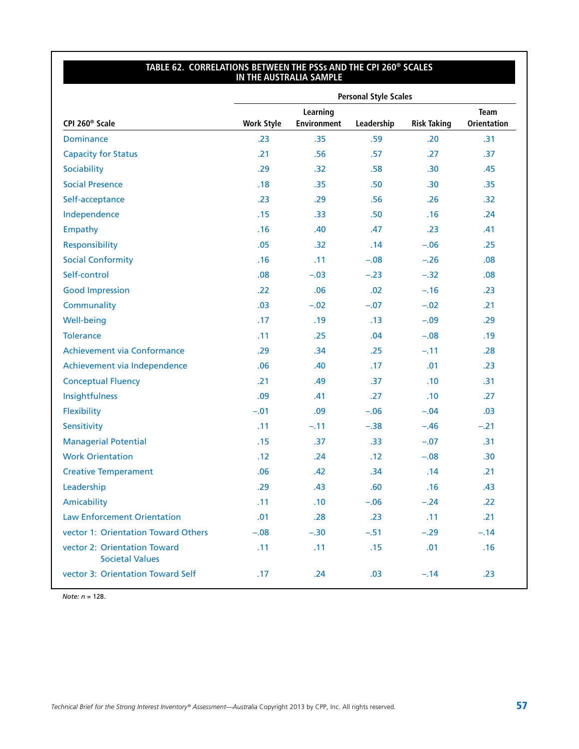#### **Table 62. Correlations Between the PSSs and the CPI 260® Scales in the Australia Sample**

|                                                        | <b>Personal Style Scales</b> |                                |            |                    |                                   |  |  |  |
|--------------------------------------------------------|------------------------------|--------------------------------|------------|--------------------|-----------------------------------|--|--|--|
| CPI 260 <sup>®</sup> Scale                             | <b>Work Style</b>            | Learning<br><b>Environment</b> | Leadership | <b>Risk Taking</b> | <b>Team</b><br><b>Orientation</b> |  |  |  |
| <b>Dominance</b>                                       | .23                          | .35                            | .59        | .20                | .31                               |  |  |  |
| <b>Capacity for Status</b>                             | .21                          | .56                            | .57        | .27                | .37                               |  |  |  |
| Sociability                                            | .29                          | .32                            | .58        | .30 <sub>0</sub>   | .45                               |  |  |  |
| <b>Social Presence</b>                                 | .18                          | .35                            | .50        | .30 <sub>0</sub>   | .35                               |  |  |  |
| Self-acceptance                                        | .23                          | .29                            | .56        | .26                | .32                               |  |  |  |
| Independence                                           | .15                          | .33                            | .50        | .16                | .24                               |  |  |  |
| Empathy                                                | .16                          | .40                            | .47        | .23                | .41                               |  |  |  |
| Responsibility                                         | .05                          | .32                            | .14        | $-.06$             | .25                               |  |  |  |
| <b>Social Conformity</b>                               | .16                          | .11                            | $-.08$     | $-.26$             | .08                               |  |  |  |
| Self-control                                           | .08                          | $-.03$                         | $-.23$     | $-.32$             | .08                               |  |  |  |
| <b>Good Impression</b>                                 | .22                          | .06                            | .02        | $-.16$             | .23                               |  |  |  |
| Communality                                            | .03                          | $-.02$                         | $-.07$     | $-.02$             | .21                               |  |  |  |
| <b>Well-being</b>                                      | .17                          | .19                            | .13        | $-.09$             | .29                               |  |  |  |
| <b>Tolerance</b>                                       | .11                          | .25                            | .04        | $-.08$             | .19                               |  |  |  |
| Achievement via Conformance                            | .29                          | .34                            | .25        | $-.11$             | .28                               |  |  |  |
| Achievement via Independence                           | .06                          | .40                            | .17        | .01                | .23                               |  |  |  |
| <b>Conceptual Fluency</b>                              | .21                          | .49                            | .37        | .10                | .31                               |  |  |  |
| Insightfulness                                         | .09                          | .41                            | .27        | .10                | .27                               |  |  |  |
| Flexibility                                            | $-.01$                       | .09                            | $-.06$     | $-.04$             | .03                               |  |  |  |
| Sensitivity                                            | .11                          | $-.11$                         | $-.38$     | $-.46$             | $-.21$                            |  |  |  |
| <b>Managerial Potential</b>                            | .15                          | .37                            | .33        | $-.07$             | .31                               |  |  |  |
| <b>Work Orientation</b>                                | .12                          | .24                            | .12        | $-.08$             | .30                               |  |  |  |
| <b>Creative Temperament</b>                            | .06                          | .42                            | .34        | .14                | .21                               |  |  |  |
| Leadership                                             | .29                          | .43                            | .60        | .16                | .43                               |  |  |  |
| Amicability                                            | .11                          | .10                            | $-.06$     | $-.24$             | .22                               |  |  |  |
| <b>Law Enforcement Orientation</b>                     | .01                          | .28                            | .23        | .11                | .21                               |  |  |  |
| vector 1: Orientation Toward Others                    | $-.08$                       | $-.30$                         | $-.51$     | $-.29$             | $-.14$                            |  |  |  |
| vector 2: Orientation Toward<br><b>Societal Values</b> | .11                          | .11                            | .15        | .01                | .16                               |  |  |  |
| vector 3: Orientation Toward Self                      | .17                          | .24                            | .03        | $-.14$             | .23                               |  |  |  |
|                                                        |                              |                                |            |                    |                                   |  |  |  |

*Note: n* = 128.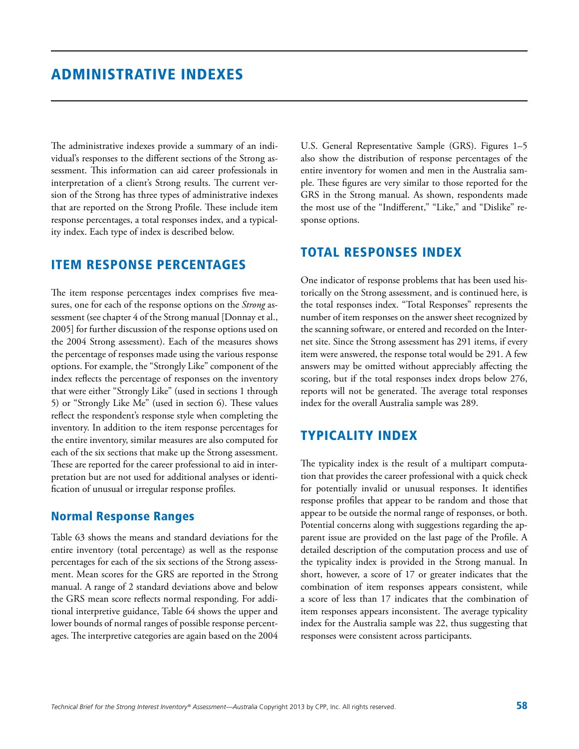The administrative indexes provide a summary of an individual's responses to the different sections of the Strong assessment. This information can aid career professionals in interpretation of a client's Strong results. The current version of the Strong has three types of administrative indexes that are reported on the Strong Profile. These include item response percentages, a total responses index, and a typicality index. Each type of index is described below.

### Item Response Percentages

The item response percentages index comprises five measures, one for each of the response options on the *Strong* assessment (see chapter 4 of the Strong manual [Donnay et al., 2005] for further discussion of the response options used on the 2004 Strong assessment). Each of the measures shows the percentage of responses made using the various response options. For example, the "Strongly Like" component of the index reflects the percentage of responses on the inventory that were either "Strongly Like" (used in sections 1 through 5) or "Strongly Like Me" (used in section 6). These values reflect the respondent's response style when completing the inventory. In addition to the item response percentages for the entire inventory, similar measures are also computed for each of the six sections that make up the Strong assessment. These are reported for the career professional to aid in interpretation but are not used for additional analyses or identification of unusual or irregular response profiles.

#### Normal Response Ranges

Table 63 shows the means and standard deviations for the entire inventory (total percentage) as well as the response percentages for each of the six sections of the Strong assessment. Mean scores for the GRS are reported in the Strong manual. A range of 2 standard deviations above and below the GRS mean score reflects normal responding. For additional interpretive guidance, Table 64 shows the upper and lower bounds of normal ranges of possible response percentages. The interpretive categories are again based on the 2004

U.S. General Representative Sample (GRS). Figures 1–5 also show the distribution of response percentages of the entire inventory for women and men in the Australia sample. These figures are very similar to those reported for the GRS in the Strong manual. As shown, respondents made the most use of the "Indifferent," "Like," and "Dislike" response options.

### Total Responses Index

One indicator of response problems that has been used historically on the Strong assessment, and is continued here, is the total responses index. "Total Responses" represents the number of item responses on the answer sheet recognized by the scanning software, or entered and recorded on the Internet site. Since the Strong assessment has 291 items, if every item were answered, the response total would be 291. A few answers may be omitted without appreciably affecting the scoring, but if the total responses index drops below 276, reports will not be generated. The average total responses index for the overall Australia sample was 289.

### Typicality Index

The typicality index is the result of a multipart computation that provides the career professional with a quick check for potentially invalid or unusual responses. It identifies response profiles that appear to be random and those that appear to be outside the normal range of responses, or both. Potential concerns along with suggestions regarding the apparent issue are provided on the last page of the Profile. A detailed description of the computation process and use of the typicality index is provided in the Strong manual. In short, however, a score of 17 or greater indicates that the combination of item responses appears consistent, while a score of less than 17 indicates that the combination of item responses appears inconsistent. The average typicality index for the Australia sample was 22, thus suggesting that responses were consistent across participants.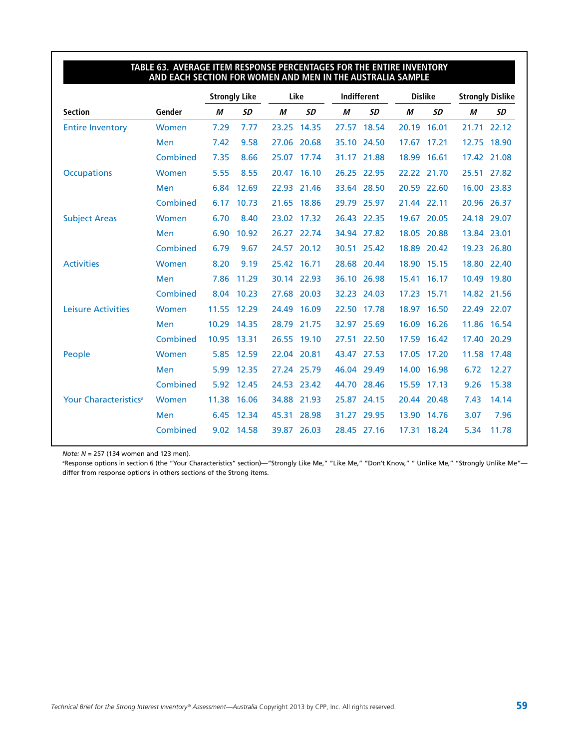|                                   |            |       | <b>Strongly Like</b> |       | Like        | <b>Indifferent</b> |             | <b>Dislike</b> |             | <b>Strongly Dislike</b> |             |
|-----------------------------------|------------|-------|----------------------|-------|-------------|--------------------|-------------|----------------|-------------|-------------------------|-------------|
| <b>Section</b>                    | Gender     | М     | SD                   | М     | SD          | М                  | <b>SD</b>   | М              | SD          | M                       | SD          |
| <b>Entire Inventory</b>           | Women      | 7.29  | 7.77                 |       | 23.25 14.35 |                    | 27.57 18.54 | 20.19          | 16.01       |                         | 21.71 22.12 |
|                                   | <b>Men</b> | 7.42  | 9.58                 | 27.06 | 20.68       | 35.10              | 24.50       | 17.67          | 17.21       | 12.75                   | 18.90       |
|                                   | Combined   | 7.35  | 8.66                 |       | 25.07 17.74 |                    | 31.17 21.88 |                | 18.99 16.61 |                         | 17.42 21.08 |
| <b>Occupations</b>                | Women      | 5.55  | 8.55                 | 20.47 | 16.10       | 26.25              | 22.95       | 22.22          | 21.70       |                         | 25.51 27.82 |
|                                   | Men        | 6.84  | 12.69                |       | 22.93 21.46 |                    | 33.64 28.50 |                | 20.59 22.60 | 16.00                   | 23.83       |
|                                   | Combined   | 6.17  | 10.73                | 21.65 | 18.86       | 29.79              | 25.97       | 21.44          | 22.11       | 20.96                   | 26.37       |
| <b>Subject Areas</b>              | Women      | 6.70  | 8.40                 |       | 23.02 17.32 | 26.43              | 22.35       | 19.67          | 20.05       |                         | 24.18 29.07 |
|                                   | <b>Men</b> | 6.90  | 10.92                | 26.27 | 22.74       |                    | 34.94 27.82 | 18.05          | 20.88       |                         | 13.84 23.01 |
|                                   | Combined   | 6.79  | 9.67                 | 24.57 | 20.12       |                    | 30.51 25.42 | 18.89          | 20.42       |                         | 19.23 26.80 |
| <b>Activities</b>                 | Women      | 8.20  | 9.19                 |       | 25.42 16.71 |                    | 28.68 20.44 |                | 18.90 15.15 |                         | 18.80 22.40 |
|                                   | <b>Men</b> | 7.86  | 11.29                |       | 30.14 22.93 |                    | 36.10 26.98 | 15.41          | 16.17       |                         | 10.49 19.80 |
|                                   | Combined   |       | 8.04 10.23           |       | 27.68 20.03 |                    | 32.23 24.03 | 17.23          | 15.71       |                         | 14.82 21.56 |
| <b>Leisure Activities</b>         | Women      | 11.55 | 12.29                |       | 24.49 16.09 | 22.50              | 17.78       | 18.97          | 16.50       |                         | 22.49 22.07 |
|                                   | <b>Men</b> |       | 10.29 14.35          |       | 28.79 21.75 |                    | 32.97 25.69 |                | 16.09 16.26 |                         | 11.86 16.54 |
|                                   | Combined   | 10.95 | 13.31                |       | 26.55 19.10 |                    | 27.51 22.50 | 17.59          | 16.42       | 17.40                   | 20.29       |
| People                            | Women      |       | 5.85 12.59           |       | 22.04 20.81 |                    | 43.47 27.53 |                | 17.05 17.20 |                         | 11.58 17.48 |
|                                   | <b>Men</b> | 5.99  | 12.35                |       | 27.24 25.79 |                    | 46.04 29.49 |                | 14.00 16.98 | 6.72                    | 12.27       |
|                                   | Combined   | 5.92  | 12.45                |       | 24.53 23.42 |                    | 44.70 28.46 |                | 15.59 17.13 | 9.26                    | 15.38       |
| Your Characteristics <sup>a</sup> | Women      | 11.38 | 16.06                | 34.88 | 21.93       | 25.87              | 24.15       | 20.44          | 20.48       | 7.43                    | 14.14       |
|                                   | <b>Men</b> | 6.45  | 12.34                | 45.31 | 28.98       | 31.27              | 29.95       | 13.90          | 14.76       | 3.07                    | 7.96        |
|                                   | Combined   |       | 9.02 14.58           |       | 39.87 26.03 |                    | 28.45 27.16 |                | 17.31 18.24 | 5.34                    | 11.78       |

## **Table 63. Average Item Response Percentages for the Entire Inventory**

*Note: N* = 257 (134 women and 123 men).

a Response options in section 6 (the "Your Characteristics" section)—"Strongly Like Me," "Like Me," "Don't Know," " Unlike Me," "Strongly Unlike Me" differ from response options in others sections of the Strong items.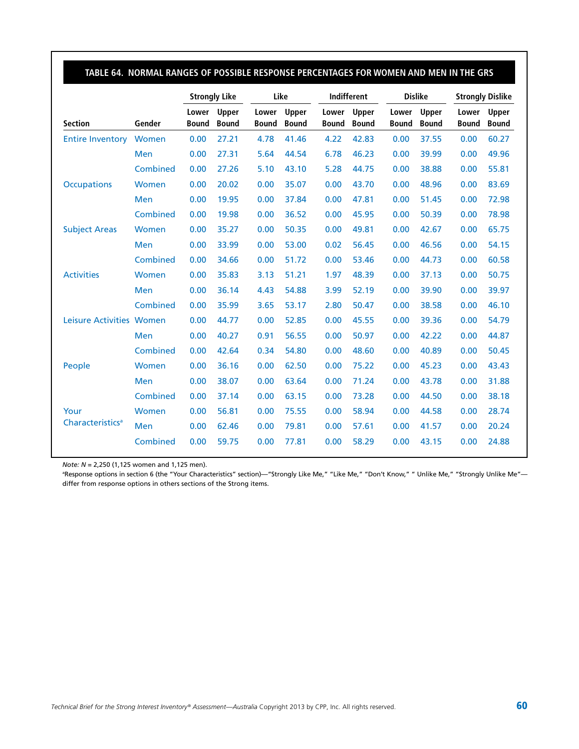|                              |          |                       | <b>Strongly Like</b>  |                       | Like                         |                       | Indifferent           |                       | <b>Dislike</b>        |                       | <b>Strongly Dislike</b> |  |
|------------------------------|----------|-----------------------|-----------------------|-----------------------|------------------------------|-----------------------|-----------------------|-----------------------|-----------------------|-----------------------|-------------------------|--|
| <b>Section</b>               | Gender   | Lower<br><b>Bound</b> | Upper<br><b>Bound</b> | Lower<br><b>Bound</b> | <b>Upper</b><br><b>Bound</b> | Lower<br><b>Bound</b> | Upper<br><b>Bound</b> | Lower<br><b>Bound</b> | Upper<br><b>Bound</b> | Lower<br><b>Bound</b> | Upper<br><b>Bound</b>   |  |
| <b>Entire Inventory</b>      | Women    | 0.00                  | 27.21                 | 4.78                  | 41.46                        | 4.22                  | 42.83                 | 0.00                  | 37.55                 | 0.00                  | 60.27                   |  |
|                              | Men      | 0.00                  | 27.31                 | 5.64                  | 44.54                        | 6.78                  | 46.23                 | 0.00                  | 39.99                 | 0.00                  | 49.96                   |  |
|                              | Combined | 0.00                  | 27.26                 | 5.10                  | 43.10                        | 5.28                  | 44.75                 | 0.00                  | 38.88                 | 0.00                  | 55.81                   |  |
| <b>Occupations</b>           | Women    | 0.00                  | 20.02                 | 0.00                  | 35.07                        | 0.00                  | 43.70                 | 0.00                  | 48.96                 | 0.00                  | 83.69                   |  |
|                              | Men      | 0.00                  | 19.95                 | 0.00                  | 37.84                        | 0.00                  | 47.81                 | 0.00                  | 51.45                 | 0.00                  | 72.98                   |  |
|                              | Combined | 0.00                  | 19.98                 | 0.00                  | 36.52                        | 0.00                  | 45.95                 | 0.00                  | 50.39                 | 0.00                  | 78.98                   |  |
| <b>Subject Areas</b>         | Women    | 0.00                  | 35.27                 | 0.00                  | 50.35                        | 0.00                  | 49.81                 | 0.00                  | 42.67                 | 0.00                  | 65.75                   |  |
|                              | Men      | 0.00                  | 33.99                 | 0.00                  | 53.00                        | 0.02                  | 56.45                 | 0.00                  | 46.56                 | 0.00                  | 54.15                   |  |
|                              | Combined | 0.00                  | 34.66                 | 0.00                  | 51.72                        | 0.00                  | 53.46                 | 0.00                  | 44.73                 | 0.00                  | 60.58                   |  |
| <b>Activities</b>            | Women    | 0.00                  | 35.83                 | 3.13                  | 51.21                        | 1.97                  | 48.39                 | 0.00                  | 37.13                 | 0.00                  | 50.75                   |  |
|                              | Men      | 0.00                  | 36.14                 | 4.43                  | 54.88                        | 3.99                  | 52.19                 | 0.00                  | 39.90                 | 0.00                  | 39.97                   |  |
|                              | Combined | 0.00                  | 35.99                 | 3.65                  | 53.17                        | 2.80                  | 50.47                 | 0.00                  | 38.58                 | 0.00                  | 46.10                   |  |
| Leisure Activities Women     |          | 0.00                  | 44.77                 | 0.00                  | 52.85                        | 0.00                  | 45.55                 | 0.00                  | 39.36                 | 0.00                  | 54.79                   |  |
|                              | Men      | 0.00                  | 40.27                 | 0.91                  | 56.55                        | 0.00                  | 50.97                 | 0.00                  | 42.22                 | 0.00                  | 44.87                   |  |
|                              | Combined | 0.00                  | 42.64                 | 0.34                  | 54.80                        | 0.00                  | 48.60                 | 0.00                  | 40.89                 | 0.00                  | 50.45                   |  |
| People                       | Women    | 0.00                  | 36.16                 | 0.00                  | 62.50                        | 0.00                  | 75.22                 | 0.00                  | 45.23                 | 0.00                  | 43.43                   |  |
|                              | Men      | 0.00                  | 38.07                 | 0.00                  | 63.64                        | 0.00                  | 71.24                 | 0.00                  | 43.78                 | 0.00                  | 31.88                   |  |
|                              | Combined | 0.00                  | 37.14                 | 0.00                  | 63.15                        | 0.00                  | 73.28                 | 0.00                  | 44.50                 | 0.00                  | 38.18                   |  |
| Your                         | Women    | 0.00                  | 56.81                 | 0.00                  | 75.55                        | 0.00                  | 58.94                 | 0.00                  | 44.58                 | 0.00                  | 28.74                   |  |
| Characteristics <sup>a</sup> | Men      | 0.00                  | 62.46                 | 0.00                  | 79.81                        | 0.00                  | 57.61                 | 0.00                  | 41.57                 | 0.00                  | 20.24                   |  |
|                              | Combined | 0.00                  | 59.75                 | 0.00                  | 77.81                        | 0.00                  | 58.29                 | 0.00                  | 43.15                 | 0.00                  | 24.88                   |  |

*Note: N* = 2,250 (1,125 women and 1,125 men).

a Response options in section 6 (the "Your Characteristics" section)—"Strongly Like Me," "Like Me," "Don't Know," " Unlike Me," "Strongly Unlike Me" differ from response options in others sections of the Strong items.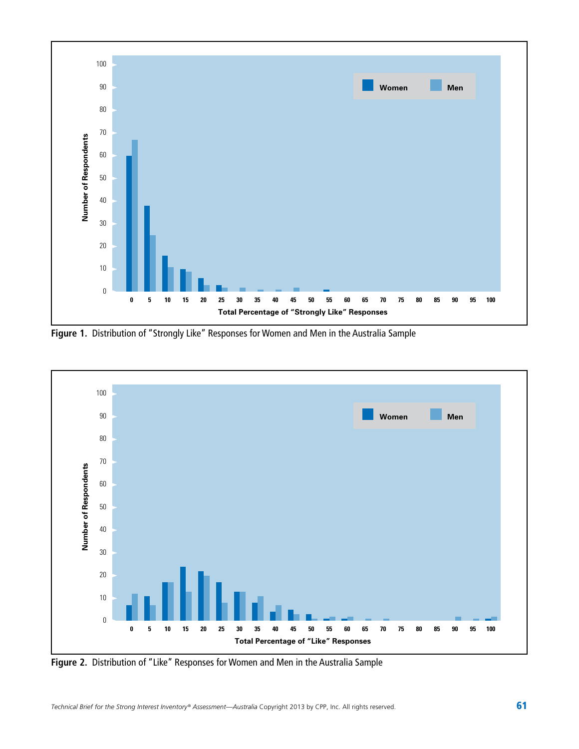

**Figure 1.** Distribution of "Strongly Like" Responses for Women and Men in the Australia Sample



**Figure 2.** Distribution of "Like" Responses for Women and Men in the Australia Sample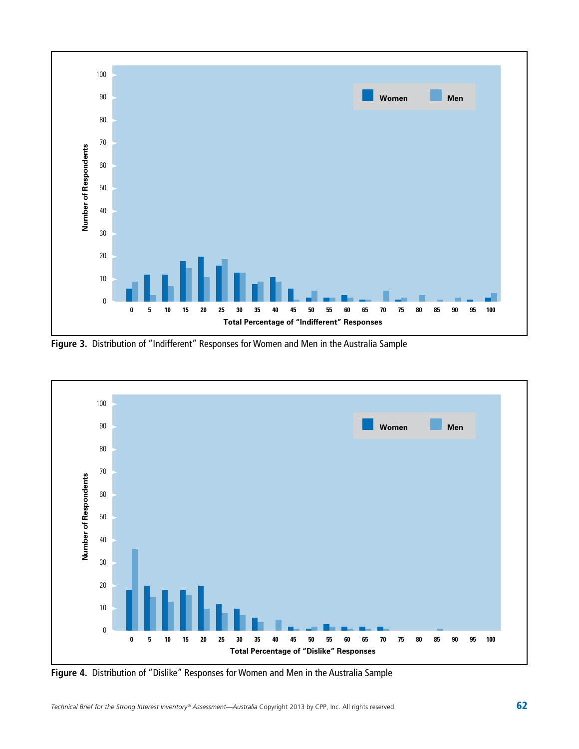

**Figure 3.** Distribution of "Indifferent" Responses for Women and Men in the Australia Sample



**Figure 4.** Distribution of "Dislike" Responses for Women and Men in the Australia Sample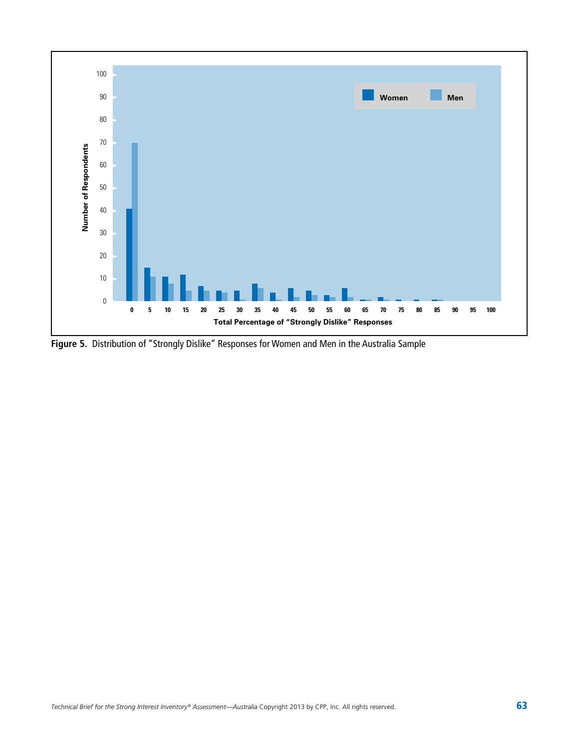

**Figure 5.** Distribution of "Strongly Dislike" Responses for Women and Men in the Australia Sample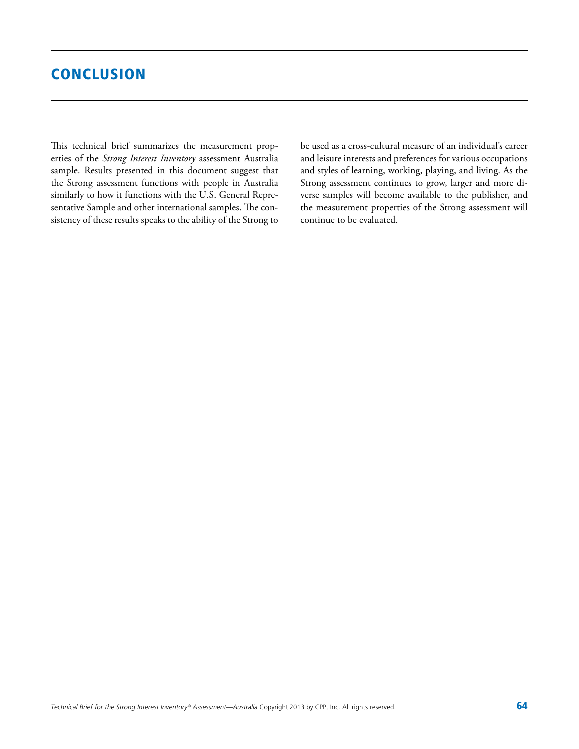### **CONCLUSION**

This technical brief summarizes the measurement properties of the *Strong Interest Inventory* assessment Australia sample. Results presented in this document suggest that the Strong assessment functions with people in Australia similarly to how it functions with the U.S. General Representative Sample and other international samples. The consistency of these results speaks to the ability of the Strong to be used as a cross-cultural measure of an individual's career and leisure interests and preferences for various occupations and styles of learning, working, playing, and living. As the Strong assessment continues to grow, larger and more diverse samples will become available to the publisher, and the measurement properties of the Strong assessment will continue to be evaluated.